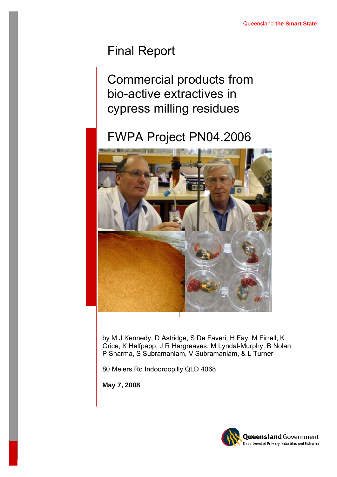# Final Report

Commercial products from bio-active extractives in cypress milling residues

# FWPA Project PN04.2006



by M J Kennedy, D Astridge, S De Faveri, H Fay, M Firrell, K Grice, K Halfpapp, J R Hargreaves, M Lyndal-Murphy, B Nolan, P Sharma, S Subramaniam, V Subramaniam, & L Turner

80 Meiers Rd Indooroopilly QLD 4068

**May 7, 2008** 

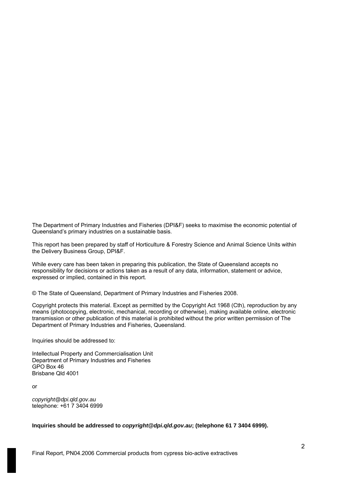The Department of Primary Industries and Fisheries (DPI&F) seeks to maximise the economic potential of Queensland's primary industries on a sustainable basis.

This report has been prepared by staff of Horticulture & Forestry Science and Animal Science Units within the Delivery Business Group, DPI&F.

While every care has been taken in preparing this publication, the State of Queensland accepts no responsibility for decisions or actions taken as a result of any data, information, statement or advice, expressed or implied, contained in this report.

© The State of Queensland, Department of Primary Industries and Fisheries 2008.

Copyright protects this material. Except as permitted by the Copyright Act 1968 (Cth), reproduction by any means (photocopying, electronic, mechanical, recording or otherwise), making available online, electronic transmission or other publication of this material is prohibited without the prior written permission of The Department of Primary Industries and Fisheries, Queensland.

Inquiries should be addressed to:

Intellectual Property and Commercialisation Unit Department of Primary Industries and Fisheries GPO Box 46 Brisbane Qld 4001

or

*[copyright@dpi.qld.gov.au](mailto:copyright@dpi.qld.gov.au)* telephone: +61 7 3404 6999

**Inquiries should be addressed to** *[copyright@dpi.qld.gov.au](mailto:copyright@dpi.qld.gov.au)***; (telephone 61 7 3404 6999).**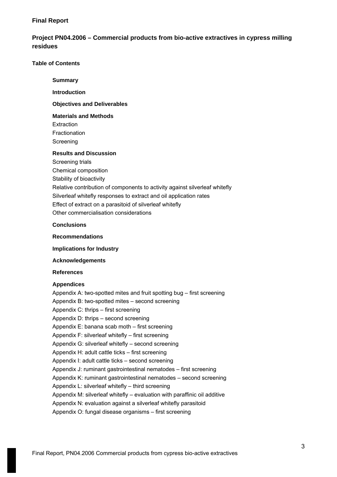# **Final Report**

# **Project PN04.2006 – Commercial products from bio-active extractives in cypress milling residues**

### **Table of Contents**

## **Summary**

### **Introduction**

# **Objectives and Deliverables**

# **Materials and Methods**

Extraction Fractionation Screening

# **Results and Discussion**

Screening trials Chemical composition Stability of bioactivity Relative contribution of components to activity against silverleaf whitefly Silverleaf whitefly responses to extract and oil application rates Effect of extract on a parasitoid of silverleaf whitefly Other commercialisation considerations

### **Conclusions**

#### **Recommendations**

**Implications for Industry** 

### **Acknowledgements**

#### **References**

# **Appendices**

Appendix A: two-spotted mites and fruit spotting bug – first screening Appendix B: two-spotted mites – second screening Appendix C: thrips – first screening Appendix D: thrips – second screening Appendix E: banana scab moth – first screening Appendix F: silverleaf whitefly – first screening Appendix G: silverleaf whitefly – second screening Appendix H: adult cattle ticks – first screening Appendix I: adult cattle ticks – second screening Appendix J: ruminant gastrointestinal nematodes – first screening Appendix K: ruminant gastrointestinal nematodes – second screening Appendix L: silverleaf whitefly – third screening Appendix M: silverleaf whitefly – evaluation with paraffinic oil additive Appendix N: evaluation against a silverleaf whitefly parasitoid Appendix O: fungal disease organisms – first screening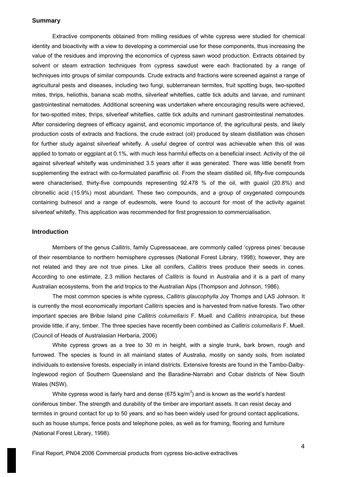#### **Summary**

Extractive components obtained from milling residues of white cypress were studied for chemical identity and bioactivity with a view to developing a commercial use for these components, thus increasing the value of the residues and improving the economics of cypress sawn wood production. Extracts obtained by solvent or steam extraction techniques from cypress sawdust were each fractionated by a range of techniques into groups of similar compounds. Crude extracts and fractions were screened against a range of agricultural pests and diseases, including two fungi, subterranean termites, fruit spotting bugs, two-spotted mites, thrips, heliothis, banana scab moths, silverleaf whiteflies, cattle tick adults and larvae, and ruminant gastrointestinal nematodes. Additional screening was undertaken where encouraging results were achieved, for two-spotted mites, thrips, silverleaf whiteflies, cattle tick adults and ruminant gastrointestinal nematodes. After considering degrees of efficacy against, and economic importance of, the agricultural pests, and likely production costs of extracts and fractions, the crude extract (oil) produced by steam distillation was chosen for further study against silverleaf whitefly. A useful degree of control was achievable when this oil was applied to tomato or eggplant at 0.1%, with much less harmful effects on a beneficial insect. Activity of the oil against silverleaf whitefly was undiminished 3.5 years after it was generated. There was little benefit from supplementing the extract with co-formulated paraffinic oil. From the steam distilled oil, fifty-five compounds were characterised, thirty-five compounds representing 92.478 % of the oil, with guaiol (20.8%) and citronellic acid (15.9%) most abundant. These two compounds, and a group of oxygenated compounds containing bulnesol and a range of eudesmols, were found to account for most of the activity against silverleaf whitefly. This application was recommended for first progression to commercialisation.

### **Introduction**

Members of the genus *Callitris*, family Cupressaceae, are commonly called 'cypress pines' because of their resemblance to northern hemisphere cypresses (National Forest Library, 1998); however, they are not related and they are not true pines. Like all conifers, *Callitris* trees produce their seeds in cones. According to one estimate, 2.3 million hectares of *Callitris* is found in Australia and it is a part of many Australian ecosystems, from the arid tropics to the Australian Alps (Thompson and Johnson, 1986).

The most common species is white cypress, *Callitris glaucophylla* Joy Thomps and LAS Johnson. It is currently the most economically important *Callitris* species and is harvested from native forests. Two other important species are Bribie Island pine *Callitris columellaris* F. Muell. and *Callitris intratropica*, but these provide little, if any, timber. The three species have recently been combined as *Callitris columellaris* F. Muell. (Council of Heads of Australasian Herbaria, 2006)

White cypress grows as a tree to 30 m in height, with a single trunk, bark brown, rough and furrowed. The species is found in all mainland states of Australia, mostly on sandy soils, from isolated individuals to extensive forests, especially in inland districts. Extensive forests are found in the Tambo-Dalby-Inglewood region of Southern Queensland and the Baradine-Narrabri and Cobar districts of New South Wales (NSW).

White cypress wood is fairly hard and dense (675 kg/m<sup>3</sup>) and is known as the world's hardest coniferous timber. The strength and durability of the timber are important assets. It can resist decay and termites in ground contact for up to 50 years, and so has been widely used for ground contact applications, such as house stumps, fence posts and telephone poles, as well as for framing, flooring and furniture (National Forest Library, 1998).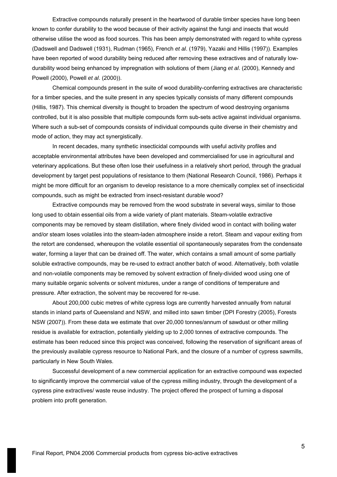Extractive compounds naturally present in the heartwood of durable timber species have long been known to confer durability to the wood because of their activity against the fungi and insects that would otherwise utilise the wood as food sources. This has been amply demonstrated with regard to white cypress (Dadswell and Dadswell (1931), Rudman (1965), French *et al*. (1979), Yazaki and Hillis (1997)). Examples have been reported of wood durability being reduced after removing these extractives and of naturally lowdurability wood being enhanced by impregnation with solutions of them (Jiang *et al*. (2000), Kennedy and Powell (2000), Powell *et al*. (2000)).

Chemical compounds present in the suite of wood durability-conferring extractives are characteristic for a timber species, and the suite present in any species typically consists of many different compounds (Hillis, 1987). This chemical diversity is thought to broaden the spectrum of wood destroying organisms controlled, but it is also possible that multiple compounds form sub-sets active against individual organisms. Where such a sub-set of compounds consists of individual compounds quite diverse in their chemistry and mode of action, they may act synergistically.

In recent decades, many synthetic insecticidal compounds with useful activity profiles and acceptable environmental attributes have been developed and commercialised for use in agricultural and veterinary applications. But these often lose their usefulness in a relatively short period, through the gradual development by target pest populations of resistance to them (National Research Council, 1986). Perhaps it might be more difficult for an organism to develop resistance to a more chemically complex set of insecticidal compounds, such as might be extracted from insect-resistant durable wood?

Extractive compounds may be removed from the wood substrate in several ways, similar to those long used to obtain essential oils from a wide variety of plant materials. Steam-volatile extractive components may be removed by steam distillation, where finely divided wood in contact with boiling water and/or steam loses volatiles into the steam-laden atmosphere inside a retort. Steam and vapour exiting from the retort are condensed, whereupon the volatile essential oil spontaneously separates from the condensate water, forming a layer that can be drained off. The water, which contains a small amount of some partially soluble extractive compounds, may be re-used to extract another batch of wood. Alternatively, both volatile and non-volatile components may be removed by solvent extraction of finely-divided wood using one of many suitable organic solvents or solvent mixtures, under a range of conditions of temperature and pressure. After extraction, the solvent may be recovered for re-use.

About 200,000 cubic metres of white cypress logs are currently harvested annually from natural stands in inland parts of Queensland and NSW, and milled into sawn timber (DPI Forestry (2005), Forests NSW (2007)). From these data we estimate that over 20,000 tonnes/annum of sawdust or other milling residue is available for extraction, potentially yielding up to 2,000 tonnes of extractive compounds. The estimate has been reduced since this project was conceived, following the reservation of significant areas of the previously available cypress resource to National Park, and the closure of a number of cypress sawmills, particularly in New South Wales.

Successful development of a new commercial application for an extractive compound was expected to significantly improve the commercial value of the cypress milling industry, through the development of a cypress pine extractives/ waste reuse industry. The project offered the prospect of turning a disposal problem into profit generation.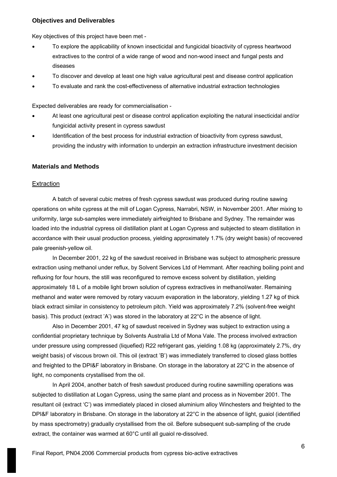#### **Objectives and Deliverables**

Key objectives of this project have been met -

- To explore the applicability of known insecticidal and fungicidal bioactivity of cypress heartwood extractives to the control of a wide range of wood and non-wood insect and fungal pests and diseases
- To discover and develop at least one high value agricultural pest and disease control application
- To evaluate and rank the cost-effectiveness of alternative industrial extraction technologies

Expected deliverables are ready for commercialisation -

- At least one agricultural pest or disease control application exploiting the natural insecticidal and/or fungicidal activity present in cypress sawdust
- Identification of the best process for industrial extraction of bioactivity from cypress sawdust, providing the industry with information to underpin an extraction infrastructure investment decision

#### **Materials and Methods**

#### **Extraction**

A batch of several cubic metres of fresh cypress sawdust was produced during routine sawing operations on white cypress at the mill of Logan Cypress, Narrabri, NSW, in November 2001. After mixing to uniformity, large sub-samples were immediately airfreighted to Brisbane and Sydney. The remainder was loaded into the industrial cypress oil distillation plant at Logan Cypress and subjected to steam distillation in accordance with their usual production process, yielding approximately 1.7% (dry weight basis) of recovered pale greenish-yellow oil.

In December 2001, 22 kg of the sawdust received in Brisbane was subject to atmospheric pressure extraction using methanol under reflux, by Solvent Services Ltd of Hemmant. After reaching boiling point and refluxing for four hours, the still was reconfigured to remove excess solvent by distillation, yielding approximately 18 L of a mobile light brown solution of cypress extractives in methanol/water. Remaining methanol and water were removed by rotary vacuum evaporation in the laboratory, yielding 1.27 kg of thick black extract similar in consistency to petroleum pitch. Yield was approximately 7.2% (solvent-free weight basis). This product (extract 'A') was stored in the laboratory at 22°C in the absence of light.

Also in December 2001, 47 kg of sawdust received in Sydney was subject to extraction using a confidential proprietary technique by Solvents Australia Ltd of Mona Vale. The process involved extraction under pressure using compressed (liquefied) R22 refrigerant gas, yielding 1.08 kg (approximately 2.7%, dry weight basis) of viscous brown oil. This oil (extract 'B') was immediately transferred to closed glass bottles and freighted to the DPI&F laboratory in Brisbane. On storage in the laboratory at 22°C in the absence of light, no components crystallised from the oil.

In April 2004, another batch of fresh sawdust produced during routine sawmilling operations was subjected to distillation at Logan Cypress, using the same plant and process as in November 2001. The resultant oil (extract 'C') was immediately placed in closed aluminium alloy Winchesters and freighted to the DPI&F laboratory in Brisbane. On storage in the laboratory at 22°C in the absence of light, guaiol (identified by mass spectrometry) gradually crystallised from the oil. Before subsequent sub-sampling of the crude extract, the container was warmed at 60°C until all guaiol re-dissolved.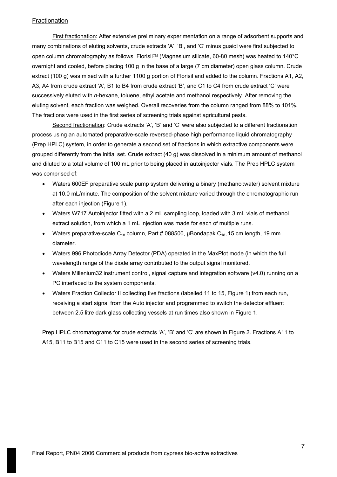# **Fractionation**

First fractionation: After extensive preliminary experimentation on a range of adsorbent supports and many combinations of eluting solvents, crude extracts 'A', 'B', and 'C' minus guaiol were first subjected to open column chromatography as follows. Florisil™ (Magnesium silicate, 60-80 mesh) was heated to 140°C overnight and cooled, before placing 100 g in the base of a large (7 cm diameter) open glass column. Crude extract (100 g) was mixed with a further 1100 g portion of Florisil and added to the column. Fractions A1, A2, A3, A4 from crude extract 'A', B1 to B4 from crude extract 'B', and C1 to C4 from crude extract 'C' were successively eluted with *n*-hexane, toluene, ethyl acetate and methanol respectively. After removing the eluting solvent, each fraction was weighed. Overall recoveries from the column ranged from 88% to 101%. The fractions were used in the first series of screening trials against agricultural pests.

Second fractionation: Crude extracts 'A', 'B' and 'C' were also subjected to a different fractionation process using an automated preparative-scale reversed-phase high performance liquid chromatography (Prep HPLC) system, in order to generate a second set of fractions in which extractive components were grouped differently from the initial set. Crude extract (40 g) was dissolved in a minimum amount of methanol and diluted to a total volume of 100 mL prior to being placed in autoinjector vials. The Prep HPLC system was comprised of:

- Waters 600EF preparative scale pump system delivering a binary (methanol:water) solvent mixture at 10.0 mL/minute. The composition of the solvent mixture varied through the chromatographic run after each injection (Figure 1).
- Waters W717 Autoinjector fitted with a 2 mL sampling loop, loaded with 3 mL vials of methanol extract solution, from which a 1 mL injection was made for each of multiple runs.
- Waters preparative-scale  $C_{18}$  column, Part # 088500, µBondapak  $C_{18}$ , 15 cm length, 19 mm diameter.
- Waters 996 Photodiode Array Detector (PDA) operated in the MaxPlot mode (in which the full wavelength range of the diode array contributed to the output signal monitored.
- Waters Millenium32 instrument control, signal capture and integration software (v4.0) running on a PC interfaced to the system components.
- Waters Fraction Collector II collecting five fractions (labelled 11 to 15, Figure 1) from each run, receiving a start signal from the Auto injector and programmed to switch the detector effluent between 2.5 litre dark glass collecting vessels at run times also shown in Figure 1.

Prep HPLC chromatograms for crude extracts 'A', 'B' and 'C' are shown in Figure 2. Fractions A11 to A15, B11 to B15 and C11 to C15 were used in the second series of screening trials.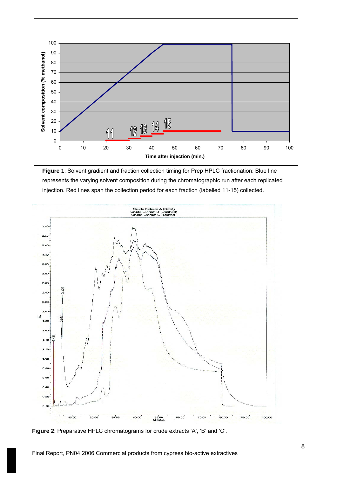

**Figure 1**: Solvent gradient and fraction collection timing for Prep HPLC fractionation: Blue line represents the varying solvent composition during the chromatographic run after each replicated injection. Red lines span the collection period for each fraction (labelled 11-15) collected.



**Figure 2**: Preparative HPLC chromatograms for crude extracts 'A', 'B' and 'C'.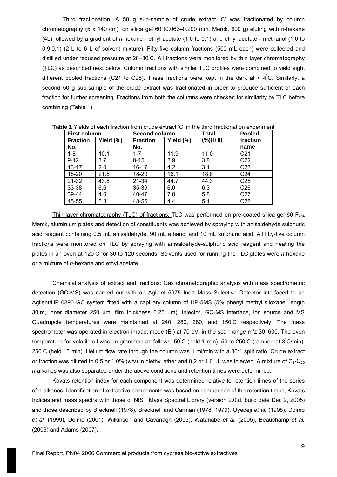Third fractionation: A 50 g sub-sample of crude extract 'C' was fractionated by column chromatography (5 x 140 cm), on silica gel 60 (0.063–0.200 mm, Merck, 600 g) eluting with n-hexane (4L) followed by a gradient of *n*-hexane - ethyl acetate (1:0 to 0:1) and ethyl acetate - methanol (1:0 to 0.9:0.1) (2 L to 6 L of solvent mixture). Fifty-five column fractions (500 mL each) were collected and distilled under reduced pressure at 28–30° C. All fractions were monitored by thin layer chromatography (TLC) as described next below. Column fractions with similar TLC profiles were combined to yield eight different pooled fractions (C21 to C28). These fractions were kept in the dark at < 4° C. Similarly, a second 50 g sub-sample of the crude extract was fractionated in order to produce sufficient of each fraction for further screening. Fractions from both the columns were checked for similarity by TLC before combining (Table 1).

| <b>First column</b> |           |                 | Second column |              | <b>Pooled</b>   |
|---------------------|-----------|-----------------|---------------|--------------|-----------------|
| <b>Fraction</b>     | Yield (%) | <b>Fraction</b> | Yield (%)     | $(\%)(I+II)$ | fraction        |
| No.                 |           | No.             |               |              | name            |
| $1 - 8$             | 10.1      | $1 - 7$         | 11.9          | 11.0         | C <sub>21</sub> |
| $9 - 12$            | 3.7       | $8 - 15$        | 3.9           | 3.8          | C <sub>22</sub> |
| $13 - 17$           | 2.0       | 16-17           | 4.2           | 3.1          | C <sub>23</sub> |
| 18-20               | 21.5      | 18-20           | 16.1          | 18.8         | C <sub>24</sub> |
| 21-32               | 43.8      | 21-34           | 44.7          | 44.3         | C <sub>25</sub> |
| 33-38               | 6.6       | 35-39           | 6.0           | 6.3          | C <sub>26</sub> |
| 39-44               | 4.6       | 40-47           | 7.0           | 5.8          | C <sub>27</sub> |
| 45-55               | 5.8       | 48-55           | 4.4           | 5.1          | C28             |

**Table 1** Yields of each fraction from crude extract 'C' in the third fractionation experiment

Thin layer chromatography (TLC) of fractions: TLC was performed on pre-coated silica gel 60  $F_{254}$ Merck, aluminium plates and detection of constituents was achieved by spraying with anisaldehyde sulphuric acid reagent containing 0.5 mL anisaldehyde, 90 mL ethanol and 10 mL sulphuric acid. All fifty-five column fractions were monitored on TLC by spraying with anisaldehyde-sulphuric acid reagent and heating the plates in an oven at 120<sup>°</sup>C for 30 to 120 seconds. Solvents used for running the TLC plates were *n*-hexane or a mixture of *n*-hexane and ethyl acetate.

Chemical analysis of extract and fractions: Gas chromatographic analysis with mass spectrometric detection (GC-MS) was carried out with an Agilent 5975 Inert Mass Selective Detector interfaced to an Agilent/HP 6890 GC system fitted with a capillary column of HP-5MS (5% phenyl methyl siloxane, length 30 m, inner diameter 250 µm, film thickness 0.25 µm). Injector, GC-MS interface, ion source and MS Quadrupole temperatures were maintained at 240, 280, 280, and 150°C respectively. The mass spectrometer was operated in electron-impact mode (EI) at 70 eV, in the scan range m/z 30–600. The oven temperature for volatile oil was programmed as follows: 50°C (held 1 min), 50 to 250°C (ramped at 3°C/min), 250° C (held 15 min). Helium flow rate through the column was 1 ml/min with a 30:1 split ratio. Crude extract or fraction was diluted to 0.5 or 1.0% (w/v) in diethyl ether and 0.2 or 1.0  $\mu$ L was injected. A mixture of C<sub>8</sub>-C<sub>20</sub> *n*-alkanes was also separated under the above conditions and retention times were determined.

Kovats retention index for each component was determined relative to retention times of the series of n-alkanes. Identification of extractive components was based on comparison of the retention times, Kovats Indices and mass spectra with those of NIST Mass Spectral Library (version 2.0.d, build date Dec 2, 2005) and those described by Brecknell (1978), Brecknell and Carman (1978, 1979), Oyedeji *et al.* (1998), Doimo *et al.* (1999), Doimo (2001), Wilkinson and Cavanagh (2005), Watanabe *et al.* (2005), Beauchamp *et al.* (2006) and Adams (2007).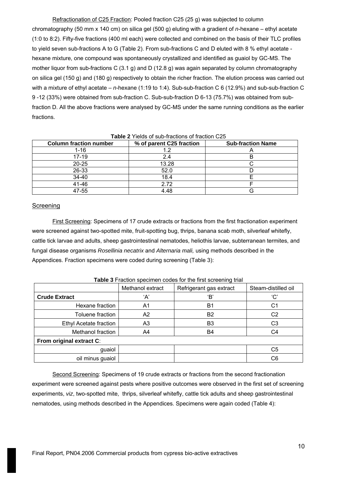Refractionation of C25 Fraction: Pooled fraction C25 (25 g) was subjected to column chromatography (50 mm x 140 cm) on silica gel (500 g) eluting with a gradient of *n*-hexane – ethyl acetate (1:0 to 8:2). Fifty-five fractions (400 ml each) were collected and combined on the basis of their TLC profiles to yield seven sub-fractions A to G (Table 2). From sub-fractions C and D eluted with 8 % ethyl acetate hexane mixture, one compound was spontaneously crystallized and identified as guaiol by GC-MS. The mother liquor from sub-fractions C (3.1 g) and D (12.8 g) was again separated by column chromatography on silica gel (150 g) and (180 g) respectively to obtain the richer fraction. The elution process was carried out with a mixture of ethyl acetate – *n*-hexane (1:19 to 1:4). Sub-sub-fraction C 6 (12.9%) and sub-sub-fraction C 9 -12 (33%) were obtained from sub-fraction C. Sub-sub-fraction D 6-13 (75.7%) was obtained from subfraction D. All the above fractions were analysed by GC-MS under the same running conditions as the earlier fractions.

| <b>Column fraction number</b> | % of parent C25 fraction | <b>Sub-fraction Name</b> |
|-------------------------------|--------------------------|--------------------------|
| 1-16                          |                          |                          |
| 17-19                         | 2.4                      |                          |
| $20 - 25$                     | 13.28                    |                          |
| 26-33                         | 52.0                     |                          |
| 34-40                         | 18.4                     |                          |
| 41-46                         | 2.72                     |                          |
| 47-55                         | 4.48                     |                          |

#### **Table 2** Yields of sub-fractions of fraction C25

### Screening

First Screening: Specimens of 17 crude extracts or fractions from the first fractionation experiment were screened against two-spotted mite, fruit-spotting bug, thrips, banana scab moth, silverleaf whitefly, cattle tick larvae and adults, sheep gastrointestinal nematodes, heliothis larvae, subterranean termites, and fungal disease organisms *Rosellinia necatrix* and *Alternaria mali,* using methods described in the Appendices. Fraction specimens were coded during screening (Table 3):

|                          | Methanol extract | Refrigerant gas extract | Steam-distilled oil |  |  |
|--------------------------|------------------|-------------------------|---------------------|--|--|
| <b>Crude Extract</b>     | ʻA'              | 'В'                     | 'C'                 |  |  |
| Hexane fraction          | A1               | B <sub>1</sub>          | C1                  |  |  |
| Toluene fraction         | A2               | B <sub>2</sub>          | C <sub>2</sub>      |  |  |
| Ethyl Acetate fraction   | A3               | B <sub>3</sub>          | C <sub>3</sub>      |  |  |
| Methanol fraction        | A4               | B4                      | C4                  |  |  |
| From original extract C: |                  |                         |                     |  |  |
| guaiol                   |                  |                         | C5                  |  |  |
| oil minus guaiol         |                  |                         | C6                  |  |  |

**Table 3** Fraction specimen codes for the first screening trial

Second Screening: Specimens of 19 crude extracts or fractions from the second fractionation experiment were screened against pests where positive outcomes were observed in the first set of screening experiments, *viz*, two-spotted mite, thrips, silverleaf whitefly, cattle tick adults and sheep gastrointestinal nematodes, using methods described in the Appendices. Specimens were again coded (Table 4):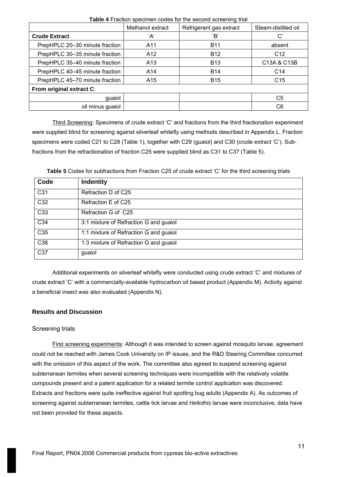|                                | Methanol extract | Refrigerant gas extract | Steam-distilled oil |  |  |
|--------------------------------|------------------|-------------------------|---------------------|--|--|
| <b>Crude Extract</b>           | ʻA'              | 'В'                     | 'C'                 |  |  |
| PrepHPLC 20-30 minute fraction | A11              | <b>B11</b>              | absent              |  |  |
| PrepHPLC 30-35 minute fraction | A <sub>12</sub>  | <b>B12</b>              | C <sub>12</sub>     |  |  |
| PrepHPLC 35-40 minute fraction | A <sub>13</sub>  | <b>B13</b>              | C13A & C13B         |  |  |
| PrepHPLC 40-45 minute fraction | A14              | <b>B14</b>              | C <sub>14</sub>     |  |  |
| PrepHPLC 45-70 minute fraction | A15              | <b>B15</b>              | C <sub>15</sub>     |  |  |
| From original extract C:       |                  |                         |                     |  |  |
| guaiol                         |                  |                         | C5                  |  |  |
| oil minus guaiol               |                  |                         | C6                  |  |  |

**Table 4** Fraction specimen codes for the second screening trial

Third Screening: Specimens of crude extract 'C' and fractions from the third fractionation experiment were supplied blind for screening against silverleaf whitefly using methods described in Appendix L. Fraction specimens were coded C21 to C28 (Table 1), together with C29 (guaiol) and C30 (crude extract 'C'). Subfractions from the refractionation of fraction C25 were supplied blind as C31 to C37 (Table 5).

**Table 5** Codes for subfractions from Fraction C25 of crude extract 'C' for the third screening trials

| Code             | Indentity                              |
|------------------|----------------------------------------|
| C <sub>31</sub>  | Refraction D of C25                    |
| C <sub>32</sub>  | Refraction E of C25                    |
| C <sub>33</sub>  | Refraction G of C25                    |
| C34              | 3:1 mixture of Refraction G and guaiol |
| C <sub>35</sub>  | 1:1 mixture of Refraction G and guaiol |
| C36              | 1:3 mixture of Refraction G and guaiol |
| $\overline{C37}$ | guaiol                                 |

Additional experiments on silverleaf whitefly were conducted using crude extract 'C' and mixtures of crude extract 'C' with a commercially-available hydrocarbon oil based product (Appendix M). Activity against a beneficial insect was also evaluated (Appendix N).

# **Results and Discussion**

# Screening trials

First screening experiments: Although it was intended to screen against mosquito larvae, agreement could not be reached with James Cook University on IP issues, and the R&D Steering Committee concurred with the omission of this aspect of the work. The committee also agreed to suspend screening against subterranean termites when several screening techniques were incompatible with the relatively volatile compounds present and a patent application for a related termite control application was discovered. Extracts and fractions were quite ineffective against fruit spotting bug adults (Appendix A). As outcomes of screening against subterranean termites, cattle tick larvae and *Heliothis* larvae were inconclusive, data have not been provided for these aspects.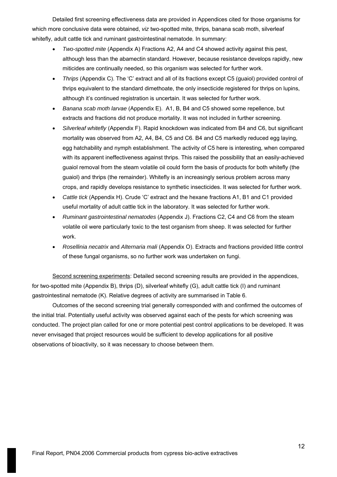Detailed first screening effectiveness data are provided in Appendices cited for those organisms for which more conclusive data were obtained, *viz* two-spotted mite, thrips, banana scab moth, silverleaf whitefly, adult cattle tick and ruminant gastrointestinal nematode. In summary:

- *Two-spotted mite* (Appendix A) Fractions A2, A4 and C4 showed activity against this pest, although less than the abamectin standard. However, because resistance develops rapidly, new miticides are continually needed, so this organism was selected for further work.
- *Thrips* (Appendix C). The 'C' extract and all of its fractions except C5 (guaiol) provided control of thrips equivalent to the standard dimethoate, the only insecticide registered for thrips on lupins, although it's continued registration is uncertain. It was selected for further work.
- *Banana scab moth larvae* (Appendix E). A1, B, B4 and C5 showed some repellence, but extracts and fractions did not produce mortality. It was not included in further screening.
- *Silverleaf whitefly* (Appendix F). Rapid knockdown was indicated from B4 and C6, but significant mortality was observed from A2, A4, B4, C5 and C6. B4 and C5 markedly reduced egg laying, egg hatchability and nymph establishment. The activity of C5 here is interesting, when compared with its apparent ineffectiveness against thrips. This raised the possibility that an easily-achieved guaiol removal from the steam volatile oil could form the basis of products for both whitefly (the guaiol) and thrips (the remainder). Whitefly is an increasingly serious problem across many crops, and rapidly develops resistance to synthetic insecticides. It was selected for further work.
- *Cattle tick* (Appendix H). Crude 'C' extract and the hexane fractions A1, B1 and C1 provided useful mortality of adult cattle tick in the laboratory. It was selected for further work.
- *Ruminant gastrointestinal nematodes* (Appendix J). Fractions C2, C4 and C6 from the steam volatile oil were particularly toxic to the test organism from sheep. It was selected for further work.
- *Rosellinia necatrix* and *Alternaria mali* (Appendix O). Extracts and fractions provided little control of these fungal organisms, so no further work was undertaken on fungi.

Second screening experiments: Detailed second screening results are provided in the appendices, for two-spotted mite (Appendix B), thrips (D), silverleaf whitefly (G), adult cattle tick (I) and ruminant gastrointestinal nematode (K). Relative degrees of activity are summarised in Table 6.

Outcomes of the second screening trial generally corresponded with and confirmed the outcomes of the initial trial. Potentially useful activity was observed against each of the pests for which screening was conducted. The project plan called for one or more potential pest control applications to be developed. It was never envisaged that project resources would be sufficient to develop applications for all positive observations of bioactivity, so it was necessary to choose between them.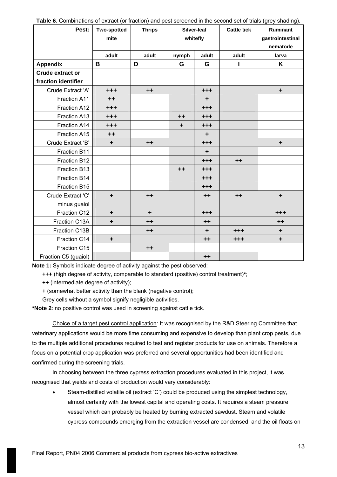| Pest:                   | <b>Two-spotted</b><br>mite | <b>Thrips</b> | Silver-leaf<br>whitefly |           | Ruminant<br><b>Cattle tick</b><br>gastrointestinal<br>nematode |         |
|-------------------------|----------------------------|---------------|-------------------------|-----------|----------------------------------------------------------------|---------|
|                         | adult                      | adult         | nymph                   | adult     | adult                                                          | larva   |
| <b>Appendix</b>         | B                          | D             | G                       | G         |                                                                | K       |
| <b>Crude extract or</b> |                            |               |                         |           |                                                                |         |
| fraction identifier     |                            |               |                         |           |                                                                |         |
| Crude Extract 'A'       | $+ + +$                    | $++$          |                         | $+ + +$   |                                                                | ٠       |
| Fraction A11            | $++$                       |               |                         | ٠         |                                                                |         |
| Fraction A12            | $+ + +$                    |               |                         | $+ + +$   |                                                                |         |
| Fraction A13            | $+ + +$                    |               | $++$                    | $+ + +$   |                                                                |         |
| Fraction A14            | $+ + +$                    |               | ÷                       | $+ + +$   |                                                                |         |
| Fraction A15            | $++$                       |               |                         | $\ddot{}$ |                                                                |         |
| Crude Extract 'B'       | ÷                          | $++$          |                         | $+ + +$   |                                                                | ÷       |
| Fraction B11            |                            |               |                         | ÷         |                                                                |         |
| Fraction B12            |                            |               |                         | $+ + +$   | $++$                                                           |         |
| Fraction B13            |                            |               | $++$                    | $+ + +$   |                                                                |         |
| Fraction B14            |                            |               |                         | $+ + +$   |                                                                |         |
| Fraction B15            |                            |               |                         | $+ + +$   |                                                                |         |
| Crude Extract 'C'       | $\ddot{}$                  | $++$          |                         | $++$      | $++$                                                           | ÷       |
| minus guaiol            |                            |               |                         |           |                                                                |         |
| Fraction C12            | ÷                          | ÷             |                         | $+ + +$   |                                                                | $+ + +$ |
| Fraction C13A           | $\ddot{\phantom{1}}$       | $++$          |                         | $++$      |                                                                | $++$    |
| Fraction C13B           |                            | $++$          |                         | ٠         | $+ + +$                                                        | ÷       |
| Fraction C14            | $\ddot{\phantom{1}}$       |               |                         | $++$      | $+ + +$                                                        | ÷       |
| Fraction C15            |                            | $++$          |                         |           |                                                                |         |
| Fraction C5 (guaiol)    |                            |               |                         | $++$      |                                                                |         |

**Table 6**. Combinations of extract (or fraction) and pest screened in the second set of trials (grey shading).

**Note 1:** Symbols indicate degree of activity against the pest observed:

**+++** (high degree of activity, comparable to standard (positive) control treatment)**\***;

**++** (intermediate degree of activity);

**+** (somewhat better activity than the blank (negative control);

Grey cells without a symbol signify negligible activities.

**\*Note 2**: no positive control was used in screening against cattle tick.

Choice of a target pest control application: It was recognised by the R&D Steering Committee that veterinary applications would be more time consuming and expensive to develop than plant crop pests, due to the multiple additional procedures required to test and register products for use on animals. Therefore a focus on a potential crop application was preferred and several opportunities had been identified and confirmed during the screening trials.

In choosing between the three cypress extraction procedures evaluated in this project, it was recognised that yields and costs of production would vary considerably:

• Steam-distilled volatile oil (extract 'C') could be produced using the simplest technology, almost certainly with the lowest capital and operating costs. It requires a steam pressure vessel which can probably be heated by burning extracted sawdust. Steam and volatile cypress compounds emerging from the extraction vessel are condensed, and the oil floats on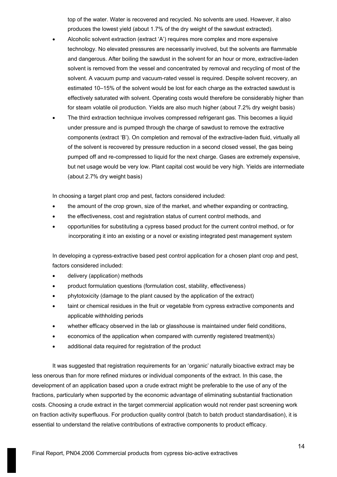top of the water. Water is recovered and recycled. No solvents are used. However, it also produces the lowest yield (about 1.7% of the dry weight of the sawdust extracted).

- Alcoholic solvent extraction (extract 'A') requires more complex and more expensive technology. No elevated pressures are necessarily involved, but the solvents are flammable and dangerous. After boiling the sawdust in the solvent for an hour or more, extractive-laden solvent is removed from the vessel and concentrated by removal and recycling of most of the solvent. A vacuum pump and vacuum-rated vessel is required. Despite solvent recovery, an estimated 10–15% of the solvent would be lost for each charge as the extracted sawdust is effectively saturated with solvent. Operating costs would therefore be considerably higher than for steam volatile oil production. Yields are also much higher (about 7.2% dry weight basis)
- The third extraction technique involves compressed refrigerant gas. This becomes a liquid under pressure and is pumped through the charge of sawdust to remove the extractive components (extract 'B'). On completion and removal of the extractive-laden fluid, virtually all of the solvent is recovered by pressure reduction in a second closed vessel, the gas being pumped off and re-compressed to liquid for the next charge. Gases are extremely expensive, but net usage would be very low. Plant capital cost would be very high. Yields are intermediate (about 2.7% dry weight basis)

In choosing a target plant crop and pest, factors considered included:

- the amount of the crop grown, size of the market, and whether expanding or contracting,
- the effectiveness, cost and registration status of current control methods, and
- opportunities for substituting a cypress based product for the current control method, or for incorporating it into an existing or a novel or existing integrated pest management system

In developing a cypress-extractive based pest control application for a chosen plant crop and pest, factors considered included:

- delivery (application) methods
- product formulation questions (formulation cost, stability, effectiveness)
- phytotoxicity (damage to the plant caused by the application of the extract)
- taint or chemical residues in the fruit or vegetable from cypress extractive components and applicable withholding periods
- whether efficacy observed in the lab or glasshouse is maintained under field conditions,
- economics of the application when compared with currently registered treatment(s)
- additional data required for registration of the product

It was suggested that registration requirements for an 'organic' naturally bioactive extract may be less onerous than for more refined mixtures or individual components of the extract. In this case, the development of an application based upon a crude extract might be preferable to the use of any of the fractions, particularly when supported by the economic advantage of eliminating substantial fractionation costs. Choosing a crude extract in the target commercial application would not render past screening work on fraction activity superfluous. For production quality control (batch to batch product standardisation), it is essential to understand the relative contributions of extractive components to product efficacy.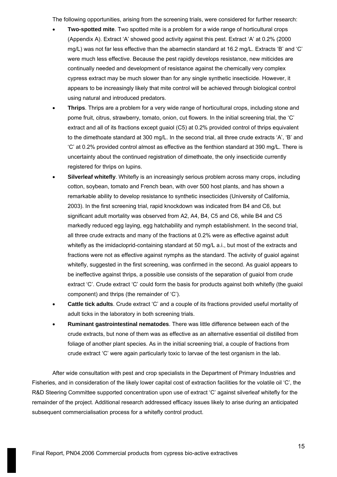The following opportunities, arising from the screening trials, were considered for further research:

- **Two-spotted mite**. Two spotted mite is a problem for a wide range of horticultural crops (Appendix A). Extract 'A' showed good activity against this pest. Extract 'A' at 0.2% (2000 mg/L) was not far less effective than the abamectin standard at 16.2 mg/L. Extracts 'B' and 'C' were much less effective. Because the pest rapidly develops resistance, new miticides are continually needed and development of resistance against the chemically very complex cypress extract may be much slower than for any single synthetic insecticide. However, it appears to be increasingly likely that mite control will be achieved through biological control using natural and introduced predators.
- **Thrips**. Thrips are a problem for a very wide range of horticultural crops, including stone and pome fruit, citrus, strawberry, tomato, onion, cut flowers. In the initial screening trial, the 'C' extract and all of its fractions except guaiol (C5) at 0.2% provided control of thrips equivalent to the dimethoate standard at 300 mg/L. In the second trial, all three crude extracts 'A', 'B' and 'C' at 0.2% provided control almost as effective as the fenthion standard at 390 mg/L. There is uncertainty about the continued registration of dimethoate, the only insecticide currently registered for thrips on lupins.
- **Silverleaf whitefly**. Whitefly is an increasingly serious problem across many crops, including cotton, soybean, tomato and French bean, with over 500 host plants, and has shown a remarkable ability to develop resistance to synthetic insecticides (University of California, 2003). In the first screening trial, rapid knockdown was indicated from B4 and C6, but significant adult mortality was observed from A2, A4, B4, C5 and C6, while B4 and C5 markedly reduced egg laying, egg hatchability and nymph establishment. In the second trial, all three crude extracts and many of the fractions at 0.2% were as effective against adult whitefly as the imidacloprid-containing standard at 50 mg/L a.i., but most of the extracts and fractions were not as effective against nymphs as the standard. The activity of guaiol against whitefly, suggested in the first screening, was confirmed in the second. As guaiol appears to be ineffective against thrips, a possible use consists of the separation of guaiol from crude extract 'C'. Crude extract 'C' could form the basis for products against both whitefly (the guaiol component) and thrips (the remainder of 'C').
- **Cattle tick adults**. Crude extract 'C' and a couple of its fractions provided useful mortality of adult ticks in the laboratory in both screening trials.
- **Ruminant gastrointestinal nematodes**. There was little difference between each of the crude extracts, but none of them was as effective as an alternative essential oil distilled from foliage of another plant species. As in the initial screening trial, a couple of fractions from crude extract 'C' were again particularly toxic to larvae of the test organism in the lab.

After wide consultation with pest and crop specialists in the Department of Primary Industries and Fisheries, and in consideration of the likely lower capital cost of extraction facilities for the volatile oil 'C', the R&D Steering Committee supported concentration upon use of extract 'C' against silverleaf whitefly for the remainder of the project. Additional research addressed efficacy issues likely to arise during an anticipated subsequent commercialisation process for a whitefly control product.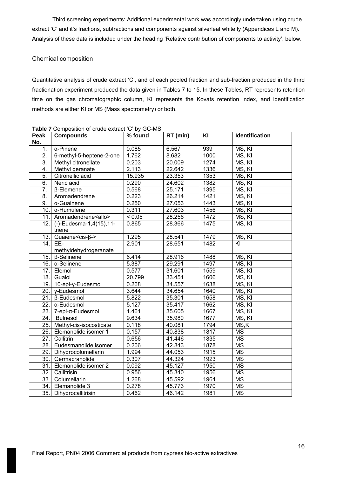Third screening experiments: Additional experimental work was accordingly undertaken using crude extract 'C' and it's fractions, subfractions and components against silverleaf whitefly (Appendices L and M). Analysis of these data is included under the heading 'Relative contribution of components to activity', below.

# Chemical composition

Quantitative analysis of crude extract 'C', and of each pooled fraction and sub-fraction produced in the third fractionation experiment produced the data given in Tables 7 to 15. In these Tables, RT represents retention time on the gas chromatographic column, KI represents the Kovats retention index, and identification methods are either KI or MS (Mass spectrometry) or both.

| Peak<br>No.      | <b>Compounds</b>            | % found | RT (min) | KI   | <b>Identification</b> |
|------------------|-----------------------------|---------|----------|------|-----------------------|
| 1.               | $\alpha$ -Pinene            | 0.085   | 6.567    | 939  | MS, KI                |
| $\overline{2}$ . | 6-methyl-5-heptene-2-one    | 1.762   | 8.682    | 1000 | MS, KI                |
| $\overline{3}$ . | Methyl citronellate         | 0.203   | 20.009   | 1274 | MS, KI                |
| $\overline{4}$ . | Methyl geranate             | 2.113   | 22.642   | 1336 | MS, KI                |
| 5.               | Citronellic acid            | 15.935  | 23.353   | 1353 | MS, KI                |
| 6.               | Neric acid                  | 0.290   | 24.602   | 1382 | MS, KI                |
| 7.               | $\beta$ -Elemene            | 0.568   | 25.171   | 1395 | MS, KI                |
| 8.               | Aromadendrene               | 0.223   | 26.214   | 1421 | MS, KI                |
| 9.               | $\alpha$ -Guainene          | 0.250   | 27.053   | 1443 | MS, KI                |
| 10.              | $\alpha$ -Humulene          | 0.311   | 27.603   | 1456 | MS, KI                |
| 11.              | Aromadendrene <allo></allo> | < 0.05  | 28.256   | 1472 | MS, KI                |
| 12.              | (-)-Eudesma-1,4(15),11-     | 0.865   | 28.366   | 1475 | MS, KI                |
|                  | triene                      |         |          |      |                       |
| 13.              | Guaiene <cis-β-></cis-β->   | 1.295   | 28.541   | 1479 | MS, KI                |
| 14.              | EE-                         | 2.901   | 28.651   | 1482 | KI                    |
|                  | methyldehydrogeranate       |         |          |      |                       |
| 15.              | β-Selinene                  | 6.414   | 28.916   | 1488 | MS, KI                |
|                  | 16. $\alpha$ -Selinene      | 5.387   | 29.291   | 1497 | MS, KI                |
| 17.              | Elemol                      | 0.577   | 31.601   | 1559 | MS, KI                |
|                  | 18. Guaiol                  | 20.799  | 33.451   | 1606 | MS, KI                |
| 19.              | 10-epi-y-Eudesmol           | 0.268   | 34.557   | 1638 | MS, KI                |
| 20.              | v-Eudesmol                  | 3.644   | 34.654   | 1640 | MS, KI                |
| 21.              | β-Eudesmol                  | 5.822   | 35.301   | 1658 | MS, KI                |
| 22.              | α-Eudesmol                  | 5.127   | 35.417   | 1662 | MS, KI                |
| 23.              | 7-epi-α-Eudesmol            | 1.461   | 35.605   | 1667 | MS, KI                |
| 24.              | <b>Bulnesol</b>             | 9.634   | 35.980   | 1677 | MS, KI                |
| 25.              | Methyl-cis-isocosticate     | 0.118   | 40.081   | 1794 | MS,KI                 |
| 26.              | Elemanolide isomer 1        | 0.157   | 40.838   | 1817 | <b>MS</b>             |
| 27.              | Callitrin                   | 0.656   | 41.446   | 1835 | <b>MS</b>             |
| 28.              | Eudesmanolide isomer        | 0.206   | 42.843   | 1878 | <b>MS</b>             |
| 29.              | Dihydrocolumellarin         | 1.994   | 44.053   | 1915 | MS                    |
| 30.              | Germacranolide              | 0.307   | 44.324   | 1923 | <b>MS</b>             |
| 31.              | Elemanolide isomer 2        | 0.092   | 45.127   | 1950 | <b>MS</b>             |
| 32.              | Callitrisin                 | 0.956   | 45.340   | 1956 | <b>MS</b>             |
| 33.              | Columellarin                | 1.268   | 45.592   | 1964 | <b>MS</b>             |
| 34.              | Elemanolide 3               | 0.278   | 45.773   | 1970 | <b>MS</b>             |
|                  | 35. Dihydrocallitrisin      | 0.462   | 46.142   | 1981 | <b>MS</b>             |

**Table 7** Composition of crude extract 'C' by GC-MS.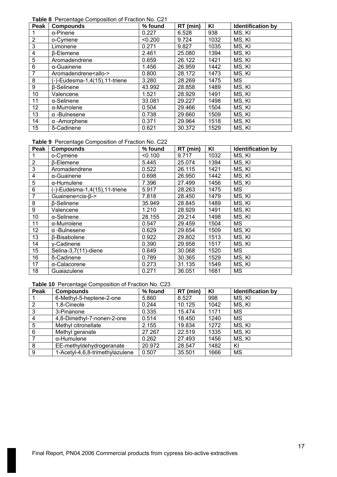**Table 8** Percentage Composition of Fraction No. C21

| Peak            | <b>Compounds</b>              | % found | RT (min) | KI   | <b>Identification by</b> |
|-----------------|-------------------------------|---------|----------|------|--------------------------|
|                 | $\alpha$ -Pinene              | 0.227   | 6.528    | 938  | MS, KI                   |
| $\overline{2}$  | o-Cymene                      | < 0.200 | 9.724    | 1032 | MS, KI                   |
| 3               | Limonene                      | 0.271   | 9.827    | 1035 | MS, KI                   |
| 4               | <b>B-Elemene</b>              | 2.461   | 25.080   | 1394 | MS, KI                   |
| 5               | Aromadendrene                 | 0.659   | 26.122   | 1421 | MS, KI                   |
| 6               | $\alpha$ -Guainene            | 1.456   | 26.959   | 1442 | MS, KI                   |
| $\overline{7}$  | Aromadendrene <allo-></allo-> | 0.800   | 28.172   | 1473 | MS, KI                   |
| 8               | (-)-Eudesma-1,4(15),11-triene | 3.280   | 28.269   | 1475 | <b>MS</b>                |
| 9               | <b>B-Selinene</b>             | 43.992  | 28.858   | 1489 | MS, KI                   |
| 10              | Valencene                     | 1.521   | 28.929   | 1491 | MS, KI                   |
| 11              | $\alpha$ -Selinene            | 33.081  | 29.227   | 1498 | MS, KI                   |
| 12 <sub>2</sub> | $\alpha$ -Murrolene           | 0.504   | 29.466   | 1504 | MS, KI                   |
| 13              | $\alpha$ -Bulnesene           | 0.738   | 29.660   | 1509 | MS, KI                   |
| 14              | $\alpha$ -Amorphene           | 0.371   | 29.964   | 1518 | MS, KI                   |
| 15              | δ-Cadinene                    | 0.621   | 30.372   | 1529 | MS, KI                   |

**Table 9** Percentage Composition of Fraction No. C22

| Peak           | <b>Compounds</b>                           | % found | RT (min) | KI   | Identification by |
|----------------|--------------------------------------------|---------|----------|------|-------------------|
| 1              | o-Cymene                                   | < 0.100 | 9.717    | 1032 | MS, KI            |
| $\overline{2}$ | <b>ß-Elemene</b>                           | 5.445   | 25.074   | 1394 | MS, KI            |
| 3              | Aromadendrene                              | 0.522   | 26.115   | 1421 | MS, KI            |
| 4              | $\alpha$ -Guainene                         | 0.698   | 26.950   | 1442 | MS, KI            |
| 5              | $\alpha$ -Humulene                         | 7.396   | 27.499   | 1456 | MS, KI            |
| 6              | (-)-Eudesma-1,4(15),11-triene              | 5.917   | 28.263   | 1475 | <b>MS</b>         |
| $\overline{7}$ | Guainene <cis-<math>\beta-&gt;</cis-<math> | 7.818   | 28.450   | 1479 | MS, KI            |
| 8              | $\beta$ -Selinene                          | 35.949  | 28.845   | 1489 | MS, KI            |
| 9              | Valencene                                  | 1.210   | 28.929   | 1491 | MS, KI            |
| 10             | $\alpha$ -Selinene                         | 28.155  | 29.214   | 1498 | MS, KI            |
| 11             | $\alpha$ -Murrolene                        | 0.547   | 29.459   | 1504 | <b>MS</b>         |
| 12             | $\alpha$ -Bulnesene                        | 0.629   | 29.654   | 1509 | MS, KI            |
| 13             | β-Bisabolene                               | 0.922   | 29.802   | 1513 | MS, KI            |
| 14             | y-Cadinene                                 | 0.390   | 29.958   | 1517 | MS, KI            |
| 15             | Selina-3,7(11)-diene                       | 0.649   | 30.068   | 1520 | MS                |
| 16             | δ-Cadinene                                 | 0.789   | 30.365   | 1529 | MS, KI            |
| 17             | α-Calacorene                               | 0.273   | 31.135   | 1549 | MS, KI            |
| 18             | Guaiazulene                                | 0.271   | 36.051   | 1681 | <b>MS</b>         |

# **Table 10** Percentage Composition of Fraction No. C23

| Peak           | <b>Compounds</b>                | % found | RT (min) | KI   | <b>Identification by</b> |
|----------------|---------------------------------|---------|----------|------|--------------------------|
|                | 6-Methyl-5-heptene-2-one        | 5.860   | 8.527    | 998  | MS, KI                   |
| $\overline{2}$ | 1,8-Cineole                     | 0.244   | 10.125   | 1042 | MS, KI                   |
| 3              | 3-Pinanone                      | 0.335   | 15.474   | 1171 | MS                       |
| $\overline{4}$ | 4,8-Dimethyl-7-nonen-2-one      | 0.514   | 18.450   | 1240 | <b>MS</b>                |
| 5              | Methyl citronellate             | 2.155   | 19.834   | 1272 | MS, KI                   |
| 6              | Methyl geranate                 | 27.267  | 22.519   | 1335 | MS, KI                   |
|                | $\alpha$ -Humulene              | 0.262   | 27.493   | 1456 | MS, KI                   |
| 8              | EE-methyldehydrogeranate        | 20.972  | 28.547   | 1482 | KI                       |
| 9              | 1-Acetyl-4,6,8-trimethylazulene | 0.507   | 35.501   | 1666 | <b>MS</b>                |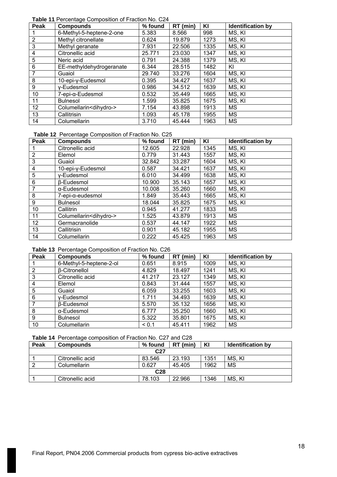**Table 11** Percentage Composition of Fraction No. C24

| Peak           | <b>Compounds</b>                   | % found | RT (min) | ΚI   | <b>Identification by</b> |
|----------------|------------------------------------|---------|----------|------|--------------------------|
|                | 6-Methyl-5-heptene-2-one           | 5.383   | 8.566    | 998  | MS, KI                   |
| $\overline{2}$ | Methyl citronellate                | 0.624   | 19.879   | 1273 | MS, KI                   |
| 3              | Methyl geranate                    | 7.931   | 22.506   | 1335 | MS, KI                   |
| 4              | Citronellic acid                   | 25.771  | 23.030   | 1347 | MS, KI                   |
| 5              | Neric acid                         | 0.791   | 24.388   | 1379 | MS, KI                   |
| 6              | EE-methyldehydrogeranate           | 6.344   | 28.515   | 1482 | ΚI                       |
| 7              | Guaiol                             | 29.740  | 33.276   | 1604 | MS, KI                   |
| 8              | 10-epi-y-Eudesmol                  | 0.395   | 34.427   | 1637 | MS, KI                   |
| 9              | y-Eudesmol                         | 0.986   | 34.512   | 1639 | MS, KI                   |
| 10             | 7-epi-α-Eudesmol                   | 0.532   | 35.449   | 1665 | MS, KI                   |
| 11             | <b>Bulnesol</b>                    | 1.599   | 35.825   | 1675 | MS, KI                   |
| 12             | Columellarin <dihydro-></dihydro-> | 7.154   | 43.898   | 1913 | МS                       |
| 13             | Callitrisin                        | 1.093   | 45.178   | 1955 | <b>MS</b>                |
| 14             | Columellarin                       | 3.710   | 45.444   | 1963 | <b>MS</b>                |

# **Table 12** Percentage Composition of Fraction No. C25

| Peak           | <b>Compounds</b>                   | % found | RT (min) | KI   | <b>Identification by</b> |
|----------------|------------------------------------|---------|----------|------|--------------------------|
|                | Citronellic acid                   | 12.605  | 22.928   | 1345 | MS, KI                   |
| $\overline{2}$ | Elemol                             | 0.779   | 31.443   | 1557 | MS, KI                   |
| 3              | Guaiol                             | 32.842  | 33.287   | 1604 | MS, KI                   |
| $\overline{4}$ | 10-epi-y-Eudesmol                  | 0.587   | 34.421   | 1637 | MS, KI                   |
| 5              | y-Eudesmol                         | 6.010   | 34.499   | 1638 | MS, KI                   |
| 6              | <b>B-Eudesmol</b>                  | 10.900  | 35.143   | 1657 | MS, KI                   |
| 7              | α-Eudesmol                         | 10.008  | 35.260   | 1660 | MS, KI                   |
| 8              | 7-epi-α-eudesmol                   | 1.849   | 35.443   | 1665 | MS, KI                   |
| 9              | <b>Bulnesol</b>                    | 18.044  | 35.825   | 1675 | MS, KI                   |
| 10             | Callitrin                          | 0.945   | 41.277   | 1833 | МS                       |
| 11             | Columellarin <dihydro-></dihydro-> | 1.525   | 43.879   | 1913 | <b>MS</b>                |
| 12             | Germacranolide                     | 0.537   | 44.147   | 1922 | MS                       |
| 13             | Callitrisin                        | 0.901   | 45.182   | 1955 | <b>MS</b>                |
| 14             | Columellarin                       | 0.222   | 45.425   | 1963 | MS                       |

# **Table 13** Percentage Composition of Fraction No. C26

| Peak | <b>Compounds</b>        | % found | RT (min) | KI   | <b>Identification by</b> |
|------|-------------------------|---------|----------|------|--------------------------|
|      | 6-Methyl-5-heptene-2-ol | 0.651   | 8.915    | 1009 | MS, KI                   |
| 2    | <b>B-Citronellol</b>    | 4.829   | 18.497   | 1241 | MS, KI                   |
| 3    | Citronellic acid        | 41.217  | 23.127   | 1349 | MS, KI                   |
| 4    | Elemol                  | 0.843   | 31.444   | 1557 | MS, KI                   |
| 5    | Guaiol                  | 6.059   | 33.255   | 1603 | MS, KI                   |
| 6    | y-Eudesmol              | 1.711   | 34.493   | 1639 | MS, KI                   |
| 7    | β-Eudesmol              | 5.570   | 35.132   | 1656 | MS, KI                   |
| 8    | α-Eudesmol              | 6.777   | 35.250   | 1660 | MS, KI                   |
| 9    | <b>Bulnesol</b>         | 5.322   | 35.801   | 1675 | MS, KI                   |
| 10   | Columellarin            | < 0.1   | 45.411   | 1962 | MS                       |

# **Table 14** Percentage composition of Fraction No. C27 and C28

| Peak | <b>Compounds</b> | % found         | RT (min) | KI   | <b>Identification by</b> |  |  |  |  |  |
|------|------------------|-----------------|----------|------|--------------------------|--|--|--|--|--|
|      |                  | C <sub>27</sub> |          |      |                          |  |  |  |  |  |
|      | Citronellic acid | 83.546          | 23.193   | 1351 | MS, KI                   |  |  |  |  |  |
|      | Columellarin     | 0.627           | 45.405   | 1962 | MS                       |  |  |  |  |  |
|      | C <sub>28</sub>  |                 |          |      |                          |  |  |  |  |  |
|      | Citronellic acid | 78.103          | 22.966   | 1346 | MS, KI                   |  |  |  |  |  |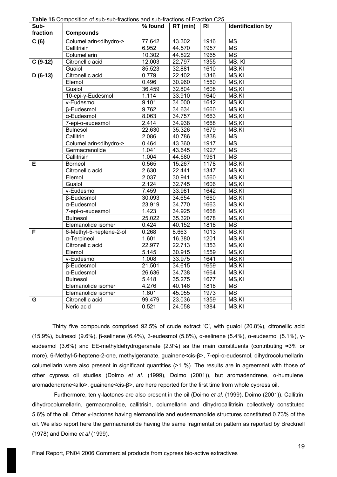| Sub-      |                                    | % found | RT (min) | R <sub>l</sub> | <b>Identification by</b> |
|-----------|------------------------------------|---------|----------|----------------|--------------------------|
| fraction  | <b>Compounds</b>                   |         |          |                |                          |
| C(6)      | Columellarin <dihydro-></dihydro-> | 77.642  | 43.302   | 1916           | <b>MS</b>                |
|           | Callitrisin                        | 6.952   | 44.570   | 1957           | <b>MS</b>                |
|           | Columellarin                       | 10.302  | 44.822   | 1965           | $\overline{\text{MS}}$   |
| $C(9-12)$ | Citronellic acid                   | 12.003  | 22.797   | 1355           | MS, KI                   |
|           | Guaiol                             | 85.523  | 32.881   | 1610           | MS, KI                   |
| $D(6-13)$ | Citronellic acid                   | 0.779   | 22.402   | 1346           | MS,KI                    |
|           | Elemol                             | 0.496   | 30.960   | 1560           | MS,KI                    |
|           | Guaiol                             | 36.459  | 32.804   | 1608           | MS,KI                    |
|           | 10-epi-y-Eudesmol                  | 1.114   | 33.910   | 1640           | MS, KI                   |
|           | y-Eudesmol                         | 9.101   | 34.000   | 1642           | MS, KI                   |
|           | β-Eudesmol                         | 9.762   | 34.634   | 1660           | MS, KI                   |
|           | α-Eudesmol                         | 8.063   | 34.757   | 1663           | MS,KI                    |
|           | 7-epi-α-eudesmol                   | 2.414   | 34.938   | 1668           | MS,KI                    |
|           | <b>Bulnesol</b>                    | 22.630  | 35.326   | 1679           | MS,KI                    |
|           | Callitrin                          | 2.086   | 40.786   | 1838           | $\overline{\text{MS}}$   |
|           | Columellarin <dihydro-></dihydro-> | 0.464   | 43.360   | 1917           | <b>MS</b>                |
|           | Germacranolide                     | 1.041   | 43.645   | 1927           | <b>MS</b>                |
|           | Callitrisin                        | 1.004   | 44.680   | 1961           | $\overline{\text{MS}}$   |
| E         | <b>Borneol</b>                     | 0.565   | 15.267   | 1178           | $\overline{\text{MS,K}}$ |
|           | Citronellic acid                   | 2.630   | 22.441   | 1347           | MS,KI                    |
|           | Elemol                             | 2.037   | 30.941   | 1560           | MS,KI                    |
|           | Guaiol                             | 2.124   | 32.745   | 1606           | MS,KI                    |
|           | y-Eudesmol                         | 7.459   | 33.981   | 1642           | MS,KI                    |
|           | <b>ß-Eudesmol</b>                  | 30.093  | 34.654   | 1660           | MS,KI                    |
|           | α-Eudesmol                         | 23.919  | 34.770   | 1663           | MS,KI                    |
|           | 7-epi-α-eudesmol                   | 1.423   | 34.925   | 1668           | MS,KI                    |
|           | <b>Bulnesol</b>                    | 25.022  | 35.320   | 1678           | MS,KI                    |
|           | Elemanolide isomer                 | 0.424   | 40.152   | 1818           | <b>MS</b>                |
| F         | 6-Methyl-5-heptene-2-ol            | 0.268   | 8.663    | 1013           | MS,KI                    |
|           | α-Terpineol                        | 1.601   | 16.380   | 1201           | MS,KI                    |
|           | Citronellic acid                   | 22.977  | 22.713   | 1353           | MS,KI                    |
|           | Elemol                             | 5.145   | 30.915   | 1559           | MS,KI                    |
|           | y-Eudesmol                         | 1.008   | 33.975   | 1641           | MS,KI                    |
|           | <b>ß-Eudesmol</b>                  | 21.501  | 34.615   | 1659           | MS,KI                    |
|           | α-Eudesmol                         | 26.636  | 34.738   | 1664           | MS,KI                    |
|           | <b>Bulnesol</b>                    | 5.418   | 35.275   | 1677           | MS,KI                    |
|           | Elemanolide isomer                 | 4.276   | 40.146   | 1818           | <b>MS</b>                |
|           | Elemanolide isomer                 | 1.601   | 45.055   | 1973           | <b>MS</b>                |
| G         | Citronellic acid                   | 99.479  | 23.036   | 1359           | MS,KI                    |
|           | Neric acid                         | 0.521   | 24.058   | 1384           | MS,KI                    |

**Table 15** Composition of sub-sub-fractions and sub-fractions of Fraction C25.

Thirty five compounds comprised 92.5% of crude extract 'C', with guaiol (20.8%), citronellic acid (15.9%), bulnesol (9.6%), β-selinene (6.4%), β-eudesmol (5.8%), α-selinene (5.4%), α-eudesmol (5.1%), γeudesmol (3.6%) and EE-methyldehydrogeranate (2.9%) as the main constituents (contributing ≈3% or more). 6-Methyl-5-heptene-2-one, methylgeranate, guainene<cis-β>, 7-epi-α-eudesmol, dihydrocolumellarin, columellarin were also present in significant quantities (>1 %). The results are in agreement with those of other cypress oil studies (Doimo *et al*. (1999), Doimo (2001)), but aromadendrene, α-humulene, aromadendrene<allo>, guainene<cis-β>, are here reported for the first time from whole cypress oil.

 Furthermore, ten γ-lactones are also present in the oil (Doimo *et al*. (1999), Doimo (2001)). Callitrin, dihydrocolumellarin, germacranolide, callitrisin, columellarin and dihydrocallitrisin collectively constituted 5.6% of the oil. Other γ-lactones having elemanolide and eudesmanolide structures constituted 0.73% of the oil. We also report here the germacranolide having the same fragmentation pattern as reported by Brecknell (1978) and Doimo *et al* (1999).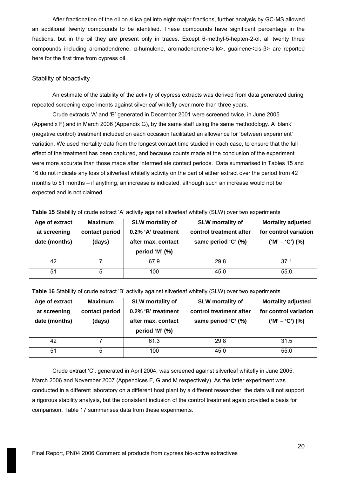After fractionation of the oil on silica gel into eight major fractions, further analysis by GC-MS allowed an additional twenty compounds to be identified. These compounds have significant percentage in the fractions, but in the oil they are present only in traces. Except 6-methyl-5-hepten-2-ol, all twenty three compounds including aromadendrene, α-humulene, aromadendrene<allo>, guainene<cis-β> are reported here for the first time from cypress oil.

# Stability of bioactivity

An estimate of the stability of the activity of cypress extracts was derived from data generated during repeated screening experiments against silverleaf whitefly over more than three years.

Crude extracts 'A' and 'B' generated in December 2001 were screened twice, in June 2005 (Appendix F) and in March 2006 (Appendix G), by the same staff using the same methodology. A 'blank' (negative control) treatment included on each occasion facilitated an allowance for 'between experiment' variation. We used mortality data from the longest contact time studied in each case, to ensure that the full effect of the treatment has been captured, and because counts made at the conclusion of the experiment were more accurate than those made after intermediate contact periods. Data summarised in Tables 15 and 16 do not indicate any loss of silverleaf whitefly activity on the part of either extract over the period from 42 months to 51 months – if anything, an increase is indicated, although such an increase would not be expected and is not claimed.

| Age of extract<br>at screening<br>date (months) | <b>Maximum</b><br>contact period<br>(days) | <b>SLW</b> mortality of<br>0.2% 'A' treatment<br>after max. contact<br>period 'M' (%) | <b>SLW</b> mortality of<br>control treatment after<br>same period 'C' (%) | <b>Mortality adjusted</b><br>for control variation<br>$('M' - 'C') (%)$ |
|-------------------------------------------------|--------------------------------------------|---------------------------------------------------------------------------------------|---------------------------------------------------------------------------|-------------------------------------------------------------------------|
| 42                                              |                                            | 67.9                                                                                  | 29.8                                                                      | 37.1                                                                    |
| 51                                              | 5                                          | 100                                                                                   | 45.0                                                                      | 55.0                                                                    |

**Table 15** Stability of crude extract 'A' activity against silverleaf whitefly (SLW) over two experiments

**Table 16** Stability of crude extract 'B' activity against silverleaf whitefly (SLW) over two experiments

| Age of extract<br>at screening<br>date (months) | <b>Maximum</b><br>contact period<br>(days) | <b>SLW</b> mortality of<br>0.2% 'B' treatment<br>after max. contact<br>period 'M' (%) | <b>SLW</b> mortality of<br>control treatment after<br>same period 'C' (%) | <b>Mortality adjusted</b><br>for control variation<br>$('M' - 'C') (%)$ |
|-------------------------------------------------|--------------------------------------------|---------------------------------------------------------------------------------------|---------------------------------------------------------------------------|-------------------------------------------------------------------------|
| 42                                              |                                            | 61.3                                                                                  | 29.8                                                                      | 31.5                                                                    |
| 51                                              | 5                                          | 100                                                                                   | 45.0                                                                      | 55.0                                                                    |

Crude extract 'C', generated in April 2004, was screened against silverleaf whitefly in June 2005, March 2006 and November 2007 (Appendices F, G and M respectively). As the latter experiment was conducted in a different laboratory on a different host plant by a different researcher, the data will not support a rigorous stability analysis, but the consistent inclusion of the control treatment again provided a basis for comparison. Table 17 summarises data from these experiments.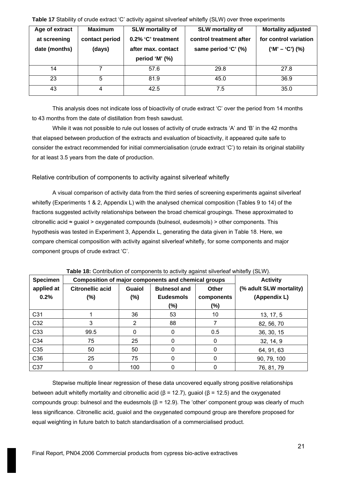| Age of extract<br>at screening<br>date (months) | <b>Maximum</b><br>contact period<br>(days) | <b>SLW mortality of</b><br>0.2% 'C' treatment<br>after max. contact<br>period 'M' (%) | <b>SLW mortality of</b><br>control treatment after<br>same period 'C' (%) | <b>Mortality adjusted</b><br>for control variation<br>$('M' - 'C') (%)$ |
|-------------------------------------------------|--------------------------------------------|---------------------------------------------------------------------------------------|---------------------------------------------------------------------------|-------------------------------------------------------------------------|
| 14                                              |                                            | 57.6                                                                                  | 29.8                                                                      | 27.8                                                                    |
| 23                                              | 5                                          | 81.9                                                                                  | 45.0                                                                      | 36.9                                                                    |
| 43                                              | 4                                          | 42.5                                                                                  | 7.5                                                                       | 35.0                                                                    |

**Table 17** Stability of crude extract 'C' activity against silverleaf whitefly (SLW) over three experiments

This analysis does not indicate loss of bioactivity of crude extract 'C' over the period from 14 months to 43 months from the date of distillation from fresh sawdust.

While it was not possible to rule out losses of activity of crude extracts 'A' and 'B' in the 42 months that elapsed between production of the extracts and evaluation of bioactivity, it appeared quite safe to consider the extract recommended for initial commercialisation (crude extract 'C') to retain its original stability for at least 3.5 years from the date of production.

Relative contribution of components to activity against silverleaf whitefly

A visual comparison of activity data from the third series of screening experiments against silverleaf whitefly (Experiments 1 & 2, Appendix L) with the analysed chemical composition (Tables 9 to 14) of the fractions suggested activity relationships between the broad chemical groupings. These approximated to citronellic acid  $\approx$  guaiol > oxygenated compounds (bulnesol, eudesmols) > other components. This hypothesis was tested in Experiment 3, Appendix L, generating the data given in Table 18. Here, we compare chemical composition with activity against silverleaf whitefly, for some components and major component groups of crude extract 'C'.

| <b>Specimen</b>    | <b>TWEE</b> TO CONTINUATION OF COMPONDING to abtivity against onventour mintenty (OEVY).<br>Composition of major components and chemical groups |                         |                                                   |                            | <b>Activity</b>                         |
|--------------------|-------------------------------------------------------------------------------------------------------------------------------------------------|-------------------------|---------------------------------------------------|----------------------------|-----------------------------------------|
| applied at<br>0.2% | <b>Citronellic acid</b><br>(%)                                                                                                                  | <b>Guaiol</b><br>$(\%)$ | <b>Bulnesol and</b><br><b>Eudesmols</b><br>$(\%)$ | Other<br>components<br>(%) | (% adult SLW mortality)<br>(Appendix L) |
| C31                |                                                                                                                                                 | 36                      | 53                                                | 10                         | 13, 17, 5                               |
| C32                | 3                                                                                                                                               | 2                       | 88                                                |                            | 82, 56, 70                              |
| C <sub>33</sub>    | 99.5                                                                                                                                            | 0                       | 0                                                 | 0.5                        | 36, 30, 15                              |
| C <sub>34</sub>    | 75                                                                                                                                              | 25                      | 0                                                 | 0                          | 32, 14, 9                               |
| C35                | 50                                                                                                                                              | 50                      | 0                                                 | 0                          | 64, 91, 63                              |
| C36                | 25                                                                                                                                              | 75                      | 0                                                 | 0                          | 90, 79, 100                             |
| C37                | 0                                                                                                                                               | 100                     | 0                                                 | O                          | 76, 81, 79                              |

**Table 18:** Contribution of components to activity against silverleaf whitefly (SLW).

Stepwise multiple linear regression of these data uncovered equally strong positive relationships between adult whitefly mortality and citronellic acid ( $β = 12.7$ ), guaiol ( $β = 12.5$ ) and the oxygenated compounds group: bulnesol and the eudesmols (β = 12.9). The 'other' component group was clearly of much less significance. Citronellic acid, guaiol and the oxygenated compound group are therefore proposed for equal weighting in future batch to batch standardisation of a commercialised product.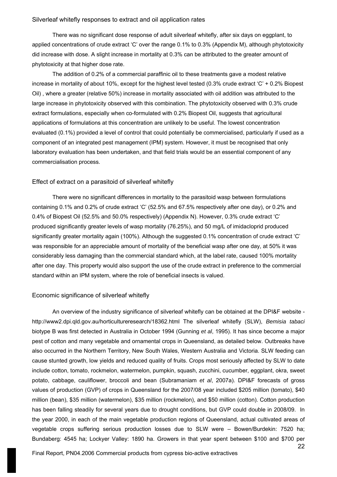#### Silverleaf whitefly responses to extract and oil application rates

There was no significant dose response of adult silverleaf whitefly, after six days on eggplant, to applied concentrations of crude extract 'C' over the range 0.1% to 0.3% (Appendix M), although phytotoxicity did increase with dose. A slight increase in mortality at 0.3% can be attributed to the greater amount of phytotoxicity at that higher dose rate.

The addition of 0.2% of a commercial paraffinic oil to these treatments gave a modest relative increase in mortality of about 10%, except for the highest level tested (0.3% crude extract 'C' + 0.2% Biopest Oil) , where a greater (relative 50%) increase in mortality associated with oil addition was attributed to the large increase in phytotoxicity observed with this combination. The phytotoxicity observed with 0.3% crude extract formulations, especially when co-formulated with 0.2% Biopest Oil, suggests that agricultural applications of formulations at this concentration are unlikely to be useful. The lowest concentration evaluated (0.1%) provided a level of control that could potentially be commercialised, particularly if used as a component of an integrated pest management (IPM) system. However, it must be recognised that only laboratory evaluation has been undertaken, and that field trials would be an essential component of any commercialisation process.

#### Effect of extract on a parasitoid of silverleaf whitefly

There were no significant differences in mortality to the parasitoid wasp between formulations containing 0.1% and 0.2% of crude extract 'C' (52.5% and 67.5% respectively after one day), or 0.2% and 0.4% of Biopest Oil (52.5% and 50.0% respectively) (Appendix N). However, 0.3% crude extract 'C' produced significantly greater levels of wasp mortality (76.25%), and 50 mg/L of imidacloprid produced significantly greater mortality again (100%). Although the suggested 0.1% concentration of crude extract 'C' was responsible for an appreciable amount of mortality of the beneficial wasp after one day, at 50% it was considerably less damaging than the commercial standard which, at the label rate, caused 100% mortality after one day. This property would also support the use of the crude extract in preference to the commercial standard within an IPM system, where the role of beneficial insects is valued.

# Economic significance of silverleaf whitefly

An overview of the industry significance of silverleaf whitefly can be obtained at the DPI&F website http://www2.dpi.qld.gov.au/horticultureresearch/18362.html The silverleaf whitefly (SLW), *Bemisia tabaci* biotype B was first detected in Australia in October 1994 (Gunning *et al*, 1995). It has since become a major pest of cotton and many vegetable and ornamental crops in Queensland, as detailed below. Outbreaks have also occurred in the Northern Territory, New South Wales, Western Australia and Victoria. SLW feeding can cause stunted growth, low yields and reduced quality of fruits. Crops most seriously affected by SLW to date include cotton, tomato, rockmelon, watermelon, pumpkin, squash, zucchini, cucumber, eggplant, okra, sweet potato, cabbage, cauliflower, broccoli and bean (Subramaniam *et al*, 2007a). DPI&F forecasts of gross values of production (GVP) of crops in Queensland for the 2007/08 year included \$205 million (tomato), \$40 million (bean), \$35 million (watermelon), \$35 million (rockmelon), and \$50 million (cotton). Cotton production has been falling steadily for several years due to drought conditions, but GVP could double in 2008/09. In the year 2000, in each of the main vegetable production regions of Queensland, actual cultivated areas of vegetable crops suffering serious production losses due to SLW were – Bowen/Burdekin: 7520 ha; Bundaberg: 4545 ha; Lockyer Valley: 1890 ha. Growers in that year spent between \$100 and \$700 per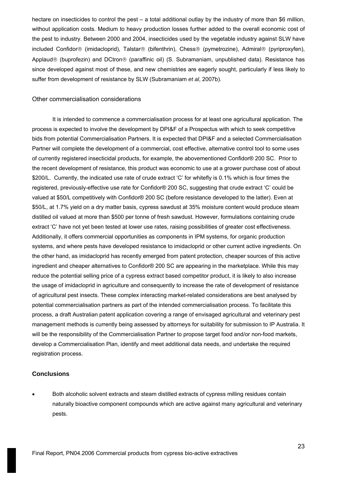hectare on insecticides to control the pest – a total additional outlay by the industry of more than \$6 million, without application costs. Medium to heavy production losses further added to the overall economic cost of the pest to industry. Between 2000 and 2004, insecticides used by the vegetable industry against SLW have included Confidor® (imidacloprid), Talstar® (bifenthrin), Chess® (pymetrozine), Admiral® (pyriproxyfen), Applaud® (buprofezin) and DCtron® (paraffinic oil) (S. Subramaniam, unpublished data). Resistance has since developed against most of these, and new chemistries are eagerly sought, particularly if less likely to suffer from development of resistance by SLW (Subramaniam *et al*, 2007b).

#### Other commercialisation considerations

It is intended to commence a commercialisation process for at least one agricultural application. The process is expected to involve the development by DPI&F of a Prospectus with which to seek competitive bids from potential Commercialisation Partners. It is expected that DPI&F and a selected Commercialisation Partner will complete the development of a commercial, cost effective, alternative control tool to some uses of currently registered insecticidal products, for example, the abovementioned Confidor® 200 SC. Prior to the recent development of resistance, this product was economic to use at a grower purchase cost of about \$200/L. Currently, the indicated use rate of crude extract 'C' for whitefly is 0.1% which is four times the registered, previously-effective use rate for Confidor® 200 SC, suggesting that crude extract 'C' could be valued at \$50/L competitively with Confidor® 200 SC (before resistance developed to the latter). Even at \$50/L, at 1.7% yield on a dry matter basis, cypress sawdust at 35% moisture content would produce steam distilled oil valued at more than \$500 per tonne of fresh sawdust. However, formulations containing crude extract 'C' have not yet been tested at lower use rates, raising possibilities of greater cost effectiveness. Additionally, it offers commercial opportunities as components in IPM systems, for organic production systems, and where pests have developed resistance to imidacloprid or other current active ingredients. On the other hand, as imidacloprid has recently emerged from patent protection, cheaper sources of this active ingredient and cheaper alternatives to Confidor® 200 SC are appearing in the marketplace. While this may reduce the potential selling price of a cypress extract based competitor product, it is likely to also increase the usage of imidacloprid in agriculture and consequently to increase the rate of development of resistance of agricultural pest insects. These complex interacting market-related considerations are best analysed by potential commercialisation partners as part of the intended commercialisation process. To facilitate this process, a draft Australian patent application covering a range of envisaged agricultural and veterinary pest management methods is currently being assessed by attorneys for suitability for submission to IP Australia. It will be the responsibility of the Commercialisation Partner to propose target food and/or non-food markets, develop a Commercialisation Plan, identify and meet additional data needs, and undertake the required registration process.

#### **Conclusions**

• Both alcoholic solvent extracts and steam distilled extracts of cypress milling residues contain naturally bioactive component compounds which are active against many agricultural and veterinary pests.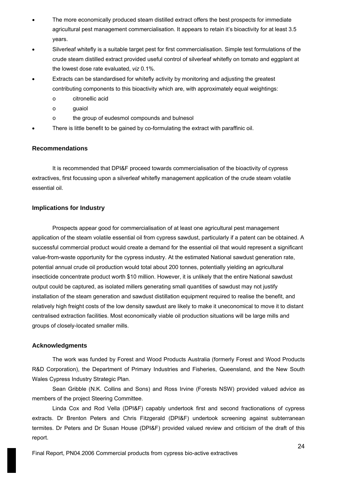- The more economically produced steam distilled extract offers the best prospects for immediate agricultural pest management commercialisation. It appears to retain it's bioactivity for at least 3.5 years.
- Silverleaf whitefly is a suitable target pest for first commercialisation. Simple test formulations of the crude steam distilled extract provided useful control of silverleaf whitefly on tomato and eggplant at the lowest dose rate evaluated, *viz* 0.1%.
- Extracts can be standardised for whitefly activity by monitoring and adjusting the greatest contributing components to this bioactivity which are, with approximately equal weightings:
	- o citronellic acid
	- o guaiol
	- o the group of eudesmol compounds and bulnesol
- There is little benefit to be gained by co-formulating the extract with paraffinic oil.

# **Recommendations**

It is recommended that DPI&F proceed towards commercialisation of the bioactivity of cypress extractives, first focussing upon a silverleaf whitefly management application of the crude steam volatile essential oil.

# **Implications for Industry**

Prospects appear good for commercialisation of at least one agricultural pest management application of the steam volatile essential oil from cypress sawdust, particularly if a patent can be obtained. A successful commercial product would create a demand for the essential oil that would represent a significant value-from-waste opportunity for the cypress industry. At the estimated National sawdust generation rate, potential annual crude oil production would total about 200 tonnes, potentially yielding an agricultural insecticide concentrate product worth \$10 million. However, it is unlikely that the entire National sawdust output could be captured, as isolated millers generating small quantities of sawdust may not justify installation of the steam generation and sawdust distillation equipment required to realise the benefit, and relatively high freight costs of the low density sawdust are likely to make it uneconomical to move it to distant centralised extraction facilities. Most economically viable oil production situations will be large mills and groups of closely-located smaller mills.

# **Acknowledgments**

The work was funded by Forest and Wood Products Australia (formerly Forest and Wood Products R&D Corporation), the Department of Primary Industries and Fisheries, Queensland, and the New South Wales Cypress Industry Strategic Plan.

Sean Gribble (N.K. Collins and Sons) and Ross Irvine (Forests NSW) provided valued advice as members of the project Steering Committee.

Linda Cox and Rod Vella (DPI&F) capably undertook first and second fractionations of cypress extracts. Dr Brenton Peters and Chris Fitzgerald (DPI&F) undertook screening against subterranean termites. Dr Peters and Dr Susan House (DPI&F) provided valued review and criticism of the draft of this report.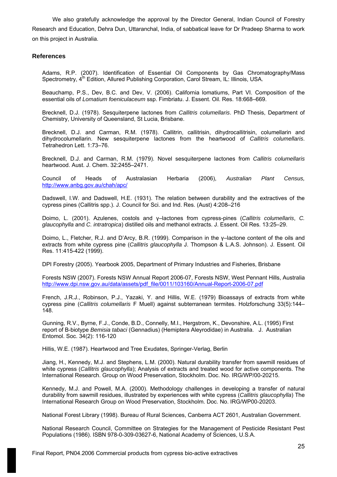We also gratefully acknowledge the approval by the Director General, Indian Council of Forestry Research and Education, Dehra Dun, Uttaranchal, India, of sabbatical leave for Dr Pradeep Sharma to work on this project in Australia.

# **References**

Adams, R.P. (2007). Identification of Essential Oil Components by Gas Chromatography/Mass Spectrometry, 4<sup>th</sup> Edition, Allured Publishing Corporation, Carol Stream, IL: Illinois, USA.

Beauchamp, P.S., Dev, B.C. and Dev, V. (2006). California lomatiums, Part VI. Composition of the essential oils of *Lomatium foeniculaceum* ssp. Fimbriatu. J. Essent. Oil. Res. 18:668–669.

Brecknell, D.J. (1978). Sesquiterpene lactones from *Callitris columellaris*. PhD Thesis, Department of Chemistry, University of Queensland, St Lucia, Brisbane.

Brecknell, D.J. and Carman, R.M. (1978). Callitrin, callitrisin, dihydrocallitrisin, columellarin and dihydrocolumellarin. New sesquiterpene lactones from the heartwood of *Callitris columellaris*. Tetrahedron Lett. 1:73–76.

Brecknell, D.J. and Carman, R.M. (1979). Novel sesquiterpene lactones from *Callitris columellaris* heartwood. Aust. J. Chem. 32:2455–2471.

Council of Heads of Australasian Herbaria (2006), *Australian Plant Census,*  <http://www.anbg.gov.au/chah/apc/>

Dadswell, I.W. and Dadswell, H.E. (1931). The relation between durability and the extractives of the cypress pines (Callitris spp.). J. Council for Sci. and Ind. Res. (Aust) 4:208–216

Doimo, L. (2001). Azulenes, costols and γ–lactones from cypress-pines (*Callitris columellaris*, *C. glaucophylla* and *C. intratropica*) distilled oils and methanol extracts. J. Essent. Oil Res. 13:25–29.

Doimo, L., Fletcher, R.J. and D'Arcy, B.R. (1999). Comparison in the γ–lactone content of the oils and extracts from white cypress pine (*Callitris glaucophylla* J. Thompson & L.A.S. Johnson). J. Essent. Oil Res. 11:415-422 (1999).

DPI Forestry (2005). Yearbook 2005, Department of Primary Industries and Fisheries, Brisbane

Forests NSW (2007). Forests NSW Annual Report 2006-07, Forests NSW, West Pennant Hills, Australia [http://www.dpi.nsw.gov.au/data/assets/pdf\\_file/0011/103160/Annual-Report-2006-07.pdf](http://www.dpi.nsw.gov.au/data/assets/pdf_file/0011/103160/Annual-Report-2006-07.pdf)

French, J.R.J., Robinson, P.J., Yazaki, Y. and Hillis, W.E. (1979) Bioassays of extracts from white cypress pine (*Callitris columellaris* F Muell) against subterranean termites. Holzforschung 33(5):144– 148.

Gunning, R.V., Byrne, F.J., Conde, B.D., Connelly, M.I., Hergstrom, K., Devonshire, A.L. (1995) First report of B-biotype *Bemisia tabaci* (Gennadius) (Hemiptera Aleyrodidae) in Australia. J. Australian Entomol. Soc. 34(2): 116-120

Hillis, W.E. (1987). Heartwood and Tree Exudates, Springer-Verlag, Berlin

Jiang, H., Kennedy, M.J. and Stephens, L.M. (2000). Natural durability transfer from sawmill residues of white cypress (*Callitris glaucophylla*); Analysis of extracts and treated wood for active components. The International Research. Group on Wood Preservation, Stockholm. Doc. No. IRG/WP/00-20215.

Kennedy, M.J. and Powell, M.A. (2000). Methodology challenges in developing a transfer of natural durability from sawmill residues, illustrated by experiences with white cypress (*Callitris glaucophylla*) The International Research Group on Wood Preservation, Stockholm. Doc. No. IRG/WP00-20203.

National Forest Library (1998). Bureau of Rural Sciences, Canberra ACT 2601, Australian Government.

National Research Council, Committee on Strategies for the Management of Pesticide Resistant Pest Populations (1986). ISBN 978-0-309-03627-6, National Academy of Sciences, U.S.A.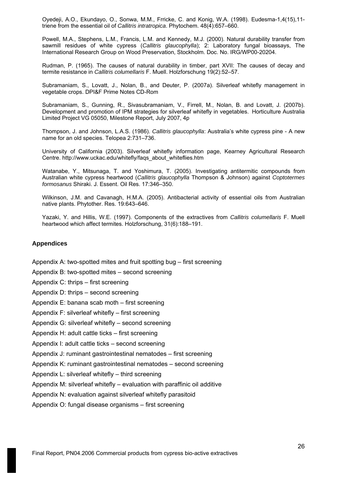Oyedeji, A.O., Ekundayo, O., Sonwa, M.M., Frricke, C. and Konig, W.A. (1998). Eudesma-1,4(15),11 triene from the essential oil of *Callitris intratropica*. Phytochem. 48(4):657–660.

Powell, M.A., Stephens, L.M., Francis, L.M. and Kennedy, M.J. (2000). Natural durability transfer from sawmill residues of white cypress (*Callitris glaucophylla*); 2: Laboratory fungal bioassays, The International Research Group on Wood Preservation, Stockholm. Doc. No. IRG/WP00-20204.

Rudman, P. (1965). The causes of natural durability in timber, part XVII: The causes of decay and termite resistance in *Callitris columellaris* F. Muell. Holzforschung 19(2):52–57.

Subramaniam, S., Lovatt, J., Nolan, B., and Deuter, P. (2007a). Silverleaf whitefly management in vegetable crops. DPI&F Prime Notes CD-Rom

Subramaniam, S., Gunning, R., Sivasubramaniam, V., Firrell, M., Nolan, B. and Lovatt, J. (2007b). Development and promotion of IPM strategies for silverleaf whitefly in vegetables. Horticulture Australia Limited Project VG 05050, Milestone Report, July 2007, 4p

Thompson, J. and Johnson, L.A.S. (1986). *Callitris glaucophylla*: Australia's white cypress pine - A new name for an old species. Telopea 2:731–736.

University of California (2003). Silverleaf whitefly information page, Kearney Agricultural Research Centre. http://www.uckac.edu/whitefly/faqs\_about\_whiteflies.htm

Watanabe, Y., Mitsunaga, T. and Yoshimura, T. (2005). Investigating antitermitic compounds from Australian white cypress heartwood (*Callitris glaucophylla* Thompson & Johnson) against *Coptotermes formosanus* Shiraki. J. Essent. Oil Res. 17:346–350.

Wilkinson, J.M. and Cavanagh, H.M.A. (2005). Antibacterial activity of essential oils from Australian native plants. Phytother. Res. 19:643–646.

Yazaki, Y. and Hillis, W.E. (1997). Components of the extractives from *Callitris columellaris* F. Muell heartwood which affect termites. Holzforschung, 31(6):188–191.

# **Appendices**

Appendix A: two-spotted mites and fruit spotting bug – first screening

Appendix B: two-spotted mites – second screening

Appendix C: thrips – first screening

Appendix D: thrips – second screening

Appendix E: banana scab moth – first screening

Appendix F: silverleaf whitefly – first screening

Appendix G: silverleaf whitefly – second screening

Appendix H: adult cattle ticks – first screening

Appendix I: adult cattle ticks – second screening

Appendix J: ruminant gastrointestinal nematodes – first screening

Appendix K: ruminant gastrointestinal nematodes – second screening

Appendix L: silverleaf whitefly – third screening

Appendix M: silverleaf whitefly – evaluation with paraffinic oil additive

Appendix N: evaluation against silverleaf whitefly parasitoid

Appendix O: fungal disease organisms – first screening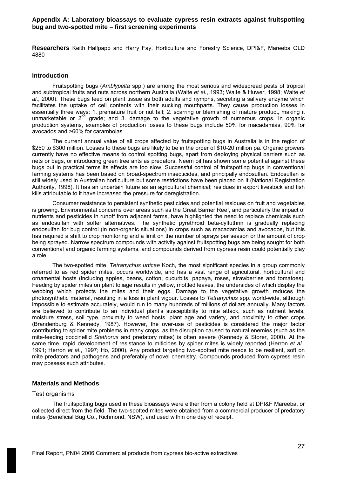#### **Appendix A: Laboratory bioassays to evaluate cypress resin extracts against fruitspotting bug and two-spotted mite – first screening experiments**

**Researchers** Keith Halfpapp and Harry Fay, Horticulture and Forestry Science, DPI&F, Mareeba QLD 4880

#### **Introduction**

Fruitspotting bugs (*Amblypelta* spp.) are among the most serious and widespread pests of tropical and subtropical fruits and nuts across northern Australia (Waite *et al.*, 1993; Waite & Huwer, 1998; Waite *et al*., 2000). These bugs feed on plant tissue as both adults and nymphs, secreting a salivary enzyme which facilitates the uptake of cell contents with their sucking mouthparts. They cause production losses in essentially three ways: 1. premature fruit or nut fall; 2. scarring or blemishing of mature product, making it unmarketable or  $2^{nd}$  grade; and 3. damage to the vegetative growth of numerous crops. In organic production systems, examples of production losses to these bugs include 50% for macadamias, 90% for avocados and >60% for carambolas

The current annual value of all crops affected by fruitspotting bugs in Australia is in the region of \$250 to \$300 million. Losses to these bugs are likely to be in the order of \$10-20 million pa. Organic growers currently have no effective means to control spotting bugs, apart from deploying physical barriers such as nets or bags, or introducing green tree ants as predators. Neem oil has shown some potential against these bugs but in practical terms its effects are too slow. Successful control of fruitspotting bugs in conventional farming systems has been based on broad-spectrum insecticides, and principally endosulfan. Endosulfan is still widely used in Australian horticulture but some restrictions have been placed on it (National Registration Authority, 1998). It has an uncertain future as an agricultural chemical; residues in export livestock and fish kills attributable to it have increased the pressure for deregistration.

Consumer resistance to persistent synthetic pesticides and potential residues on fruit and vegetables is growing. Environmental concerns over areas such as the Great Barrier Reef, and particularly the impact of nutrients and pesticides in runoff from adjacent farms, have highlighted the need to replace chemicals such as endosulfan with softer alternatives. The synthetic pyrethroid beta-cyfluthrin is gradually replacing endosulfan for bug control (in non-organic situations) in crops such as macadamias and avocados, but this has required a shift to crop monitoring and a limit on the number of sprays per season or the amount of crop being sprayed. Narrow spectrum compounds with activity against fruitspotting bugs are being sought for both conventional and organic farming systems, and compounds derived from cypress resin could potentially play a role.

The two-spotted mite, *Tetranychus urticae* Koch, the most significant species in a group commonly referred to as red spider mites, occurs worldwide, and has a vast range of agricultural, horticultural and ornamental hosts (including apples, beans, cotton, cucurbits, papaya, roses, strawberries and tomatoes). Feeding by spider mites on plant foliage results in yellow, mottled leaves, the undersides of which display the webbing which protects the mites and their eggs. Damage to the vegetative growth reduces the photosynthetic material, resulting in a loss in plant vigour. Losses to *Tetranychus* spp. world-wide, although impossible to estimate accurately, would run to many hundreds of millions of dollars annually. Many factors are believed to contribute to an individual plant's susceptibility to mite attack, such as nutrient levels, moisture stress, soil type, proximity to weed hosts, plant age and variety, and proximity to other crops (Brandenburg & Kennedy, 1987). However, the over-use of pesticides is considered the major factor contributing to spider mite problems in many crops, as the disruption caused to natural enemies (such as the mite-feeding coccinellid *Stethorus* and predatory mites) is often severe (Kennedy & Storer, 2000). At the same time, rapid development of resistance to miticides by spider mites is widely reported (Herron *et al.*, 1991; Herron *et al*., 1997; Ho, 2000). Any product targeting two-spotted mite needs to be resilient, soft on mite predators and pathogens and preferably of novel chemistry. Compounds produced from cypress resin may possess such attributes.

#### **Materials and Methods**

#### Test organisms

The fruitspotting bugs used in these bioassays were either from a colony held at DPI&F Mareeba, or collected direct from the field. The two-spotted mites were obtained from a commercial producer of predatory mites (Beneficial Bug Co., Richmond, NSW), and used within one day of receipt.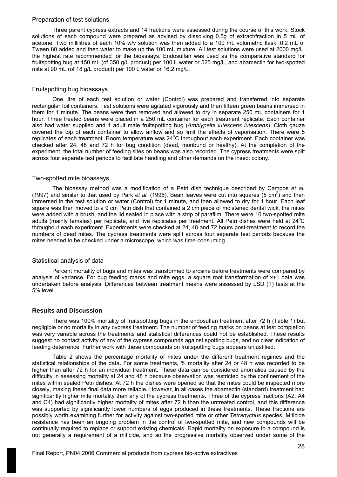#### Preparation of test solutions

Three parent cypress extracts and 14 fractions were assessed during the course of this work. Stock solutions of each compound were prepared as advised by dissolving 0.5g of extract/fraction in 5 mL of acetone. Two millilitres of each 10% w/v solution was then added to a 100 mL volumetric flask, 0.2 mL of Tween 80 added and then water to make up the 100 mL mixture. All test solutions were used at 2000 mg/L, the highest rate recommended for the bioassays. Endosulfan was used as the comparative standard for fruitspotting bug at 150 mL (of 350 g/L product) per 100 L water or 525 mg/L, and abamectin for two-spotted mite at 90 mL (of 18 g/L product) per 100 L water or 16.2 mg/L.

### Fruitspotting bug bioassays

One litre of each test solution or water (Control) was prepared and transferred into separate rectangular foil containers. Test solutions were agitated vigorously and then fifteen green beans immersed in them for 1 minute. The beans were then removed and allowed to dry in separate 250 mL containers for 1 hour. Three treated beans were placed in a 250 mL container for each treatment replicate. Each container also had water supplied and 1 adult male fruitspotting bug (*Amblypelta lutescens lutescens*). Cloth gauze covered the top of each container to allow airflow and so limit the effects of vaporisation. There were 5 replicates of each treatment. Room temperature was 24°C throughout each experiment. Each container was checked after 24, 48 and 72 h for bug condition (dead, moribund or healthy). At the completion of the experiment, the total number of feeding sites on beans was also recorded. The cypress treatments were split across four separate test periods to facilitate handling and other demands on the insect colony.

### Two-spotted mite bioassays

The bioassay method was a modification of a Petri dish technique described by Campos *et al.*  (1997) and similar to that used by Park *et al.* (1996). Bean leaves were cut into squares (5 cm<sup>2</sup>) and then immersed in the test solution or water (Control) for 1 minute, and then allowed to dry for 1 hour. Each leaf square was then moved to a 9 cm Petri dish that contained a 2 cm piece of moistened dental wick, the mites were added with a brush, and the lid sealed in place with a strip of parafilm. There were 10 two-spotted mite adults (mainly females) per replicate, and five replicates per treatment. All Petri dishes were held at 24°C throughout each experiment. Experiments were checked at 24, 48 and 72 hours post-treatment to record the numbers of dead mites. The cypress treatments were split across four separate test periods because the mites needed to be checked under a microscope, which was time-consuming.

# Statistical analysis of data

Percent mortality of bugs and mites was transformed to arcsine before treatments were compared by analysis of variance. For bug feeding marks and mite eggs, a square root transformation of x+1 data was undertaken before analysis. Differences between treatment means were assessed by LSD (T) tests at the 5% level.

# **Results and Discussion**

There was 100% mortality of fruitspottting bugs in the endosulfan treatment after 72 h (Table 1) but negligible or no mortality in any cypress treatment. The number of feeding marks on beans at test completion was very variable across the treatments and statistical differences could not be established. These results suggest no contact activity of any of the cypress compounds against spotting bugs, and no clear indication of feeding deterrence. Further work with these compounds on fruitspotting bugs appears unjustified.

Table 2 shows the percentage mortality of mites under the different treatment regimes and the statistical relationships of the data. For some treatments, % mortality after 24 or 48 h was recorded to be higher than after 72 h for an individual treatment. These data can be considered anomalies caused by the difficulty in assessing mortality at 24 and 48 h because observation was restricted by the confinement of the mites within sealed Petri dishes. At 72 h the dishes were opened so that the mites could be inspected more closely, making these final data more reliable. However, in all cases the abamectin (standard) treatment had significantly higher mite mortality than any of the cypress treatments. Three of the cypress fractions (A2, A4 and C4) had significantly higher mortality of mites after 72 h than the untreated control, and this difference was supported by significantly lower numbers of eggs produced in these treatments. These fractions are possibly worth examining further for activity against two-spotted mite or other *Tetranychus* species. Miticide resistance has been an ongoing problem in the control of two-spotted mite, and new compounds will be continually required to replace or support existing chemicals. Rapid mortality on exposure to a compound is not generally a requirement of a miticide, and so the progressive mortality observed under some of the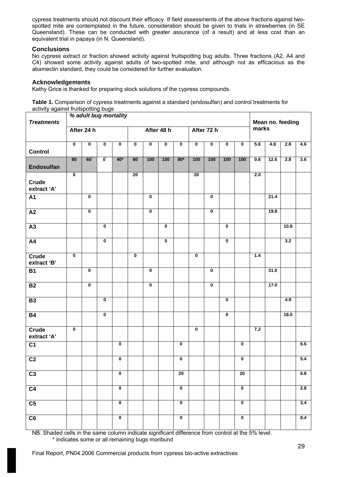cypress treatments should not discount their efficacy. If field assessments of the above fractions against twospotted mite are contemplated in the future, consideration should be given to trials in strawberries (in SE Queensland). These can be conducted with greater assurance (of a result) and at less cost than an equivalent trial in papaya (in N. Queensland).

# **Conclusions**

No cypress extract or fraction showed activity against fruitspotting bug adults. Three fractions (A2, A4 and C4) showed some activity against adults of two-spotted mite, and although not as efficacious as the abamectin standard, they could be considered for further evaluation.

# **Acknowledgements**

Kathy Grice is thanked for preparing stock solutions of the cypress compounds.

**Table 1.** Comparison of cypress treatments against a standard (endosulfan) and control treatments for activity against fruitspotting bugs

| <b>Treatments</b>    |                         | % adult bug mortality   |                         |                         |                         |                         |             |                         |                         |                         |                         |                         | Mean no. feeding |      |      |     |
|----------------------|-------------------------|-------------------------|-------------------------|-------------------------|-------------------------|-------------------------|-------------|-------------------------|-------------------------|-------------------------|-------------------------|-------------------------|------------------|------|------|-----|
|                      |                         | After 24 h              |                         |                         |                         |                         | After 48 h  |                         |                         | After 72 h              |                         |                         | marks            |      |      |     |
| <b>Control</b>       | $\overline{\mathbf{0}}$ | $\pmb{0}$               | 0                       | $\pmb{0}$               | $\mathbf 0$             | $\pmb{0}$               | $\pmb{0}$   | $\pmb{0}$               | $\pmb{0}$               | $\pmb{0}$               | 0                       | $\pmb{0}$               | 5.6              | 4.8  | 2.8  | 4.6 |
| Endosulfan           | 80                      | $60^{\degree}$          | $\overline{\mathbf{0}}$ | $40*$                   | 80                      | 100                     | 100         | $80*$                   | 100                     | 100                     | 100                     | 100                     | 0.6              | 12.6 | 2.8  | 3.6 |
| Crude<br>extract 'A' | $\overline{\mathbf{0}}$ |                         |                         |                         | $\overline{20}$         |                         |             |                         | $\overline{20}$         |                         |                         |                         | 2.0              |      |      |     |
| <b>A1</b>            |                         | $\mathbf 0$             |                         |                         |                         | $\mathbf 0$             |             |                         |                         | $\bf{0}$                |                         |                         |                  | 21.4 |      |     |
| $\overline{A2}$      |                         | $\overline{\mathbf{0}}$ |                         |                         |                         | $\overline{\mathbf{0}}$ |             |                         |                         | $\overline{\mathbf{0}}$ |                         |                         |                  | 19.8 |      |     |
| A3                   |                         |                         | $\overline{\mathbf{0}}$ |                         |                         |                         | $\mathbf 0$ |                         |                         |                         | $\overline{\mathbf{0}}$ |                         |                  |      | 10.8 |     |
| A4                   |                         |                         | $\overline{\textbf{0}}$ |                         |                         |                         | $\mathbf 0$ |                         |                         |                         | $\pmb{0}$               |                         |                  |      | 3.2  |     |
| Crude<br>extract 'B' | $\overline{\mathbf{0}}$ |                         |                         |                         | $\overline{\mathbf{0}}$ |                         |             |                         | $\overline{\mathbf{0}}$ |                         |                         |                         | 1.4              |      |      |     |
| <b>B1</b>            |                         | $\overline{\mathbf{0}}$ |                         |                         |                         | $\overline{\mathbf{0}}$ |             |                         |                         | $\overline{\mathbf{0}}$ |                         |                         |                  | 31.0 |      |     |
| B2                   |                         | $\overline{\mathbf{0}}$ |                         |                         |                         | $\mathbf 0$             |             |                         |                         | $\mathbf 0$             |                         |                         |                  | 17.0 |      |     |
| B3                   |                         |                         | $\overline{\mathbf{0}}$ |                         |                         |                         |             |                         |                         |                         | $\overline{\mathbf{0}}$ |                         |                  |      | 4.8  |     |
| B4                   |                         |                         | $\overline{\mathbf{0}}$ |                         |                         |                         |             |                         |                         |                         | $\overline{\mathbf{0}}$ |                         |                  |      | 18.0 |     |
| Crude<br>extract 'A' | $\mathbf 0$             |                         |                         |                         |                         |                         |             |                         | $\mathbf 0$             |                         |                         |                         | 7.2              |      |      |     |
| $\overline{C1}$      |                         |                         |                         | $\overline{\mathbf{0}}$ |                         |                         |             | $\overline{\mathbf{0}}$ |                         |                         |                         | $\overline{\mathbf{0}}$ |                  |      |      | 6.6 |
| $\overline{C2}$      |                         |                         |                         | $\mathbf 0$             |                         |                         |             | $\mathbf 0$             |                         |                         |                         | $\pmb{0}$               |                  |      |      | 5.4 |
| C <sub>3</sub>       |                         |                         |                         | $\overline{\mathbf{0}}$ |                         |                         |             | $\overline{20}$         |                         |                         |                         | $\overline{20}$         |                  |      |      | 6.8 |
| C <sub>4</sub>       |                         |                         |                         | $\overline{\mathbf{0}}$ |                         |                         |             | $\overline{\mathbf{0}}$ |                         |                         |                         | $\overline{\mathbf{0}}$ |                  |      |      | 2.8 |
| C <sub>5</sub>       |                         |                         |                         | $\mathbf 0$             |                         |                         |             | $\mathbf 0$             |                         |                         |                         | $\overline{\mathbf{0}}$ |                  |      |      | 3.4 |
| C6                   |                         |                         |                         | $\overline{\mathbf{0}}$ |                         |                         |             | $\overline{\mathbf{0}}$ |                         |                         |                         | $\overline{\mathbf{0}}$ |                  |      |      | 8.4 |

NB. Shaded cells in the same column indicate significant difference from control at the 5% level. \* indicates some or all remaining bugs moribund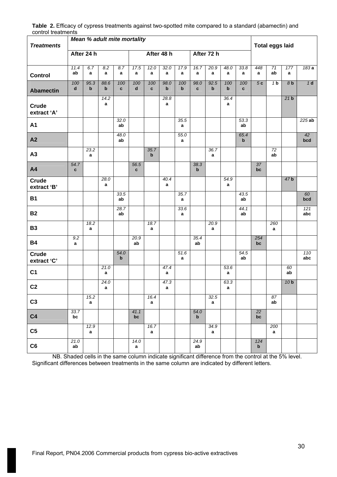| control treatments<br><b>Treatments</b> |                     |                     | <b>Mean % adult mite mortality</b> |                     |                      |                     |                     |           |                      |                      |                    |                     | <b>Total eggs laid</b> |                       |                 |            |
|-----------------------------------------|---------------------|---------------------|------------------------------------|---------------------|----------------------|---------------------|---------------------|-----------|----------------------|----------------------|--------------------|---------------------|------------------------|-----------------------|-----------------|------------|
|                                         |                     | After 24 h          |                                    |                     |                      |                     | After 48 h          |           |                      | After 72 h           |                    |                     |                        |                       |                 |            |
| <b>Control</b>                          | 11.4<br>ab          | 6.7<br>a            | 8.2<br>$\mathbf{a}$                | 8.7<br>a            | 17.5<br>a            | 12.0<br>$\mathbf a$ | 32.0<br>$\mathbf a$ | 17.9<br>a | 16.7<br>a            | 20.9<br>$\mathbf{a}$ | 48.0<br>a          | 33.8<br>a           | 448<br>a               | 71<br>ab              | 177<br>a        | 183a       |
| <b>Abamectin</b>                        | 100<br>$\mathbf d$  | 95.3<br>$\mathbf b$ | 88.6<br>$\mathbf b$                | 100<br>$\mathbf{c}$ | 100<br>d             | 100<br>$\mathbf{c}$ | 98.0<br>b           | 100<br>b  | 98.0<br>$\mathbf{c}$ | 92.5<br>$\mathbf b$  | 100<br>$\mathbf b$ | 100<br>$\mathbf{c}$ | 5c                     | 1 <sub>b</sub>        | 8 <sub>b</sub>  | 1d         |
| Crude<br>extract 'A'                    |                     |                     | 14.2<br>a                          |                     |                      |                     | 28.8<br>a           |           |                      |                      | 36.4<br>a          |                     |                        |                       | 21 <sub>b</sub> |            |
| <b>A1</b>                               |                     |                     |                                    | 32.0<br>ab          |                      |                     |                     | 35.5<br>a |                      |                      |                    | 53.3<br>ab          |                        |                       |                 | 225ab      |
| A2                                      |                     |                     |                                    | 48.0<br>ab          |                      |                     |                     | 55.0<br>a |                      |                      |                    | 65.4<br>$\mathbf b$ |                        |                       |                 | 42<br>bcd  |
| A3                                      |                     | 23.2<br>a           |                                    |                     |                      | 35.7<br>$\mathbf b$ |                     |           |                      | 36.7<br>a            |                    |                     |                        | 72<br>ab              |                 |            |
| A4                                      | 54.7<br>$\mathbf c$ |                     |                                    |                     | 56.5<br>$\mathbf{c}$ |                     |                     |           | 38.3<br>$\mathbf b$  |                      |                    |                     | 37<br>bc               |                       |                 |            |
| Crude<br>extract 'B'                    |                     |                     | 28.0<br>a                          |                     |                      |                     | 40.4<br>a           |           |                      |                      | 54.9<br>a          |                     |                        |                       | 47 <sub>b</sub> |            |
| <b>B1</b>                               |                     |                     |                                    | 33.5<br>ab          |                      |                     |                     | 35.7<br>a |                      |                      |                    | 43.5<br>ab          |                        |                       |                 | 60<br>bcd  |
| <b>B2</b>                               |                     |                     |                                    | 28.7<br>ab          |                      |                     |                     | 33.6<br>a |                      |                      |                    | 44.1<br>ab          |                        |                       |                 | 121<br>abc |
| <b>B3</b>                               |                     | 18.2<br>a           |                                    |                     |                      | 18.7<br>a           |                     |           |                      | 20.9<br>a            |                    |                     |                        | 260<br>a              |                 |            |
| <b>B4</b>                               | 9.2<br>a            |                     |                                    |                     | 20.9<br>ab           |                     |                     |           | 35.4<br>ab           |                      |                    |                     | 254<br>bc              |                       |                 |            |
| Crude<br>extract 'C'                    |                     |                     |                                    | 54.0<br>$\mathbf b$ |                      |                     |                     | 51.6<br>a |                      |                      |                    | 54.5<br>ab          |                        |                       |                 | 110<br>abc |
| C <sub>1</sub>                          |                     |                     | 21.0<br>a                          |                     |                      |                     | 47.4<br>$\mathbf a$ |           |                      |                      | 53.6<br>a          |                     |                        |                       | 60<br>ab        |            |
| C <sub>2</sub>                          |                     |                     | 24.0<br>a                          |                     |                      |                     | 47.3<br>a           |           |                      |                      | 63.3<br>a          |                     |                        |                       | 10 <sub>b</sub> |            |
| C <sub>3</sub>                          |                     | 15.2<br>$\mathbf a$ |                                    |                     |                      | 16.4<br>a           |                     |           |                      | 32.5<br>$\mathbf a$  |                    |                     |                        | $\overline{87}$<br>ab |                 |            |
| C <sub>4</sub>                          | 33.7<br>bc          |                     |                                    |                     | 41.1<br>bc           |                     |                     |           | 54.0<br>$\mathbf b$  |                      |                    |                     | $\overline{22}$<br>bc  |                       |                 |            |
| C <sub>5</sub>                          |                     | 12.9<br>a           |                                    |                     |                      | 16.7<br>a           |                     |           |                      | 34.9<br>a            |                    |                     |                        | 200<br>a              |                 |            |
| C6                                      | 21.0<br>ab          |                     |                                    |                     | 14.0<br>a            |                     |                     |           | 24.9<br>ab           |                      |                    |                     | 124<br>b               |                       |                 |            |

**Table 2.** Efficacy of cypress treatments against two-spotted mite compared to a standard (abamectin) and control treatments

NB. Shaded cells in the same column indicate significant difference from the control at the 5% level. Significant differences between treatments in the same column are indicated by different letters.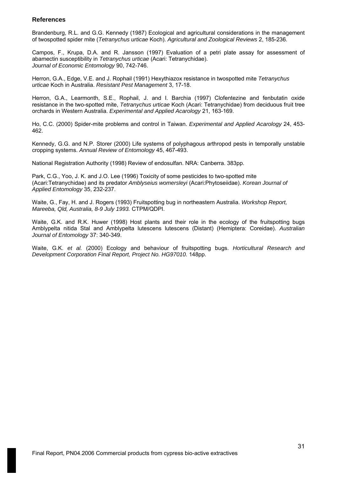# **References**

Brandenburg, R.L. and G.G. Kennedy (1987) Ecological and agricultural considerations in the management of twospotted spider mite (*Tetranychus urticae* Koch). *Agricultural and Zoological Reviews* 2, 185-236.

Campos, F., Krupa, D.A. and R. Jansson (1997) Evaluation of a petri plate assay for assessment of abamectin susceptibility in *Tetranychus urticae* (Acari: Tetranychidae). *Journal of Economic Entomology* 90, 742-746.

Herron, G.A., Edge, V.E. and J. Rophail (1991) Hexythiazox resistance in twospotted mite *Tetranychus urticae* Koch in Australia. *Resistant Pest Management* 3, 17-18.

Herron, G.A., Learmonth, S.E., Rophail, J. and I. Barchia (1997) Clofentezine and fenbutatin oxide resistance in the two-spotted mite, *Tetranychus urticae* Koch (Acari: Tetranychidae) from deciduous fruit tree orchards in Western Australia. *Experimental and Applied Acarology* 21, 163-169.

Ho, C.C. (2000) Spider-mite problems and control in Taiwan. *Experimental and Applied Acarology* 24, 453- 462.

Kennedy, G.G. and N.P. Storer (2000) Life systems of polyphagous arthropod pests in temporally unstable cropping systems. *Annual Review of Entomology* 45, 467-493.

National Registration Authority (1998) Review of endosulfan. NRA: Canberra. 383pp.

Park, C.G., Yoo, J. K. and J.O. Lee (1996) Toxicity of some pesticides to two-spotted mite (Acari:Tetranychidae) and its predator *Amblyseius womersleyi* (Acari:Phytoseiidae). *Korean Journal of Applied Entomology* 35, 232-237.

Waite, G., Fay, H. and J. Rogers (1993) Fruitspotting bug in northeastern Australia. *Workshop Report, Mareeba, Qld, Australia, 8-9 July 1993.* CTPM/QDPI.

Waite, G.K. and R.K. Huwer (1998) Host plants and their role in the ecology of the fruitspotting bugs Amblypelta nitida Stal and Amblypelta lutescens lutescens (Distant) (Hemiptera: Coreidae). *Australian Journal of Entomology* 37: 340-349.

Waite, G.K. *et al.* (2000) Ecology and behaviour of fruitspotting bugs. *Horticultural Research and Development Corporation Final Report, Project No. HG97010.* 148pp.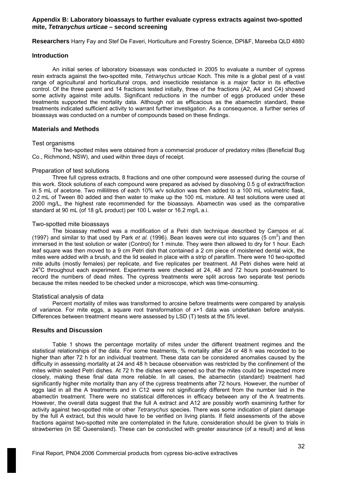## **Appendix B: Laboratory bioassays to further evaluate cypress extracts against two-spotted mite,** *Tetranychus urticae* **– second screening**

**Researchers** Harry Fay and Stef De Faveri, Horticulture and Forestry Science, DPI&F, Mareeba QLD 4880

#### **Introduction**

An initial series of laboratory bioassays was conducted in 2005 to evaluate a number of cypress resin extracts against the two-spotted mite, *Tetranychus urticae* Koch. This mite is a global pest of a vast range of agricultural and horticultural crops, and insecticide resistance is a major factor in its effective control. Of the three parent and 14 fractions tested initially, three of the fractions (A2, A4 and C4) showed some activity against mite adults. Significant reductions in the number of eggs produced under these treatments supported the mortality data. Although not as efficacious as the abamectin standard, these treatments indicated sufficient activity to warrant further investigation. As a consequence, a further series of bioassays was conducted on a number of compounds based on these findings.

### **Materials and Methods**

### Test organisms

The two-spotted mites were obtained from a commercial producer of predatory mites (Beneficial Bug Co., Richmond, NSW), and used within three days of receipt.

### Preparation of test solutions

Three full cypress extracts, 8 fractions and one other compound were assessed during the course of this work. Stock solutions of each compound were prepared as advised by dissolving 0.5 g of extract/fraction in 5 mL of acetone. Two millilitres of each 10% w/v solution was then added to a 100 mL volumetric flask, 0.2 mL of Tween 80 added and then water to make up the 100 mL mixture. All test solutions were used at 2000 mg/L, the highest rate recommended for the bioassays. Abamectin was used as the comparative standard at 90 mL (of 18 g/L product) per 100 L water or 16.2 mg/L a.i.

### Two-spotted mite bioassays

The bioassay method was a modification of a Petri dish technique described by Campos *et al.*  (1997) and similar to that used by Park *et al.* (1996). Bean leaves were cut into squares (5 cm<sup>2</sup>) and then immersed in the test solution or water (Control) for 1 minute. They were then allowed to dry for 1 hour. Each leaf square was then moved to a 9 cm Petri dish that contained a 2 cm piece of moistened dental wick, the mites were added with a brush, and the lid sealed in place with a strip of parafilm. There were 10 two-spotted mite adults (mostly females) per replicate, and five replicates per treatment. All Petri dishes were held at 24°C throughout each experiment. Experiments were checked at 24, 48 and 72 hours post-treatment to record the numbers of dead mites. The cypress treatments were split across two separate test periods because the mites needed to be checked under a microscope, which was time-consuming.

#### Statistical analysis of data

Percent mortality of mites was transformed to arcsine before treatments were compared by analysis of variance. For mite eggs, a square root transformation of x+1 data was undertaken before analysis. Differences between treatment means were assessed by LSD (T) tests at the 5% level.

# **Results and Discussion**

Table 1 shows the percentage mortality of mites under the different treatment regimes and the statistical relationships of the data. For some treatments, % mortality after 24 or 48 h was recorded to be higher than after 72 h for an individual treatment. These data can be considered anomalies caused by the difficulty in assessing mortality at 24 and 48 h because observation was restricted by the confinement of the mites within sealed Petri dishes. At 72 h the dishes were opened so that the mites could be inspected more closely, making these final data more reliable. In all cases, the abamectin (standard) treatment had significantly higher mite mortality than any of the cypress treatments after 72 hours. However, the number of eggs laid in all the A treatments and in C12 were not significantly different from the number laid in the abamectin treatment. There were no statistical differences in efficacy between any of the A treatments. However, the overall data suggest that the full A extract and A12 are possibly worth examining further for activity against two-spotted mite or other *Tetranychus* species. There was some indication of plant damage by the full A extract, but this would have to be verified on living plants. If field assessments of the above fractions against two-spotted mite are contemplated in the future, consideration should be given to trials in strawberries (in SE Queensland). These can be conducted with greater assurance (of a result) and at less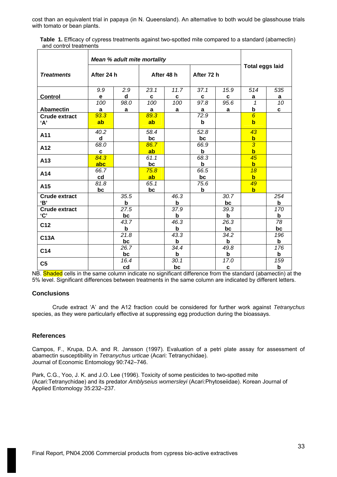cost than an equivalent trial in papaya (in N. Queensland). An alternative to both would be glasshouse trials with tomato or bean plants.

| Table 1. Efficacy of cypress treatments against two-spotted mite compared to a standard (abamectin) |
|-----------------------------------------------------------------------------------------------------|
| and control treatments                                                                              |

|                      |            | <b>Mean % adult mite mortality</b> |      |                    |             |             | <b>Total eggs laid</b> |                 |  |
|----------------------|------------|------------------------------------|------|--------------------|-------------|-------------|------------------------|-----------------|--|
| <b>Treatments</b>    | After 24 h |                                    |      | After 48 h         | After 72 h  |             |                        |                 |  |
|                      | 9.9        | 2.9                                | 23.1 | 11.7               | 37.1        | 15.9        | 514                    | 535             |  |
| <b>Control</b>       | e          | d                                  | C    | C                  | $\mathbf c$ | C           | <u>a</u>               | <u>a</u>        |  |
|                      | 100        | 98.0                               | 100  | 100                | 97.8        | 95.6        | $\mathbf{1}$           | $\overline{10}$ |  |
| <b>Abamectin</b>     | a          | a                                  | a    | a                  | a           | a           | <u>b</u>               | C               |  |
| <b>Crude extract</b> | 93.3       |                                    | 89.3 |                    | 72.9        |             | $\overline{6}$         |                 |  |
| A'                   | ab         |                                    | ab   |                    | $\mathbf b$ |             | $\mathbf b$            |                 |  |
| A11                  | 40.2       |                                    | 58.4 |                    | 52.8        |             | 43                     |                 |  |
|                      | d          |                                    | bc   |                    | bc          |             | $\mathbf b$            |                 |  |
| A12                  | 68.0       |                                    | 86.7 |                    | 66.9        |             | $\overline{3}$         |                 |  |
|                      | C          |                                    | ab   |                    | b           |             | $\mathbf b$            |                 |  |
|                      | 84.3       |                                    | 61.1 |                    | 68.3        |             | $\overline{45}$        |                 |  |
| A13                  | abc        |                                    | bc   |                    | $\mathbf b$ |             | $\mathbf b$            |                 |  |
| A14                  | 66.7       |                                    | 75.8 |                    | 66.5        |             | 18                     |                 |  |
|                      | cd         |                                    | ab   |                    | bc          |             | $\mathbf b$            |                 |  |
| A15                  | 81.8       |                                    | 65.1 |                    | 75.6        |             | 49                     |                 |  |
|                      | bc         |                                    | bc   |                    | b           |             | $\mathbf b$            |                 |  |
| <b>Crude extract</b> |            | 35.5                               |      | 46.3               |             | 30.7        |                        | 254             |  |
| 'B'                  |            | b                                  |      | b                  |             | bc          |                        | b               |  |
| <b>Crude extract</b> |            | 27.5                               |      | 37.9               |             | 39.3        |                        | 170             |  |
| $^{\cdot}$ C'        |            | bc                                 |      | b                  |             | b           |                        | b               |  |
| C <sub>12</sub>      |            | 43.7                               |      | 46.3               |             | 26.3        |                        | $\overline{78}$ |  |
|                      |            | $\mathbf b$                        |      | $\mathbf b$        |             | bc          |                        | bc              |  |
| <b>C13A</b>          |            | $\overline{2}1.8$                  |      | 43.3               |             | 34.2        |                        | 196             |  |
|                      |            | bc                                 |      | $\mathbf b$        |             | b           |                        | b               |  |
| C14                  |            | 26.7                               |      | $\overline{3}$ 4.4 |             | 49.8        |                        | 176             |  |
|                      |            | bc                                 |      | b                  |             | b           |                        | b               |  |
| C <sub>5</sub>       |            | 16.4                               |      | 30.1               |             | 17.0        |                        | 159             |  |
|                      |            | cd                                 |      | bc                 |             | $\mathbf c$ |                        | b               |  |

NB. Shaded cells in the same column indicate no significant difference from the standard (abamectin) at the 5% level. Significant differences between treatments in the same column are indicated by different letters.

# **Conclusions**

Crude extract 'A' and the A12 fraction could be considered for further work against *Tetranychus* species, as they were particularly effective at suppressing egg production during the bioassays.

# **References**

Campos, F., Krupa, D.A. and R. Jansson (1997). Evaluation of a petri plate assay for assessment of abamectin susceptibility in *Tetranychus urticae* (Acari: Tetranychidae). Journal of Economic Entomology 90:742–746.

Park, C.G., Yoo, J. K. and J.O. Lee (1996). Toxicity of some pesticides to two-spotted mite (Acari:Tetranychidae) and its predator *Amblyseius womersleyi* (Acari:Phytoseiidae). Korean Journal of Applied Entomology 35:232–237.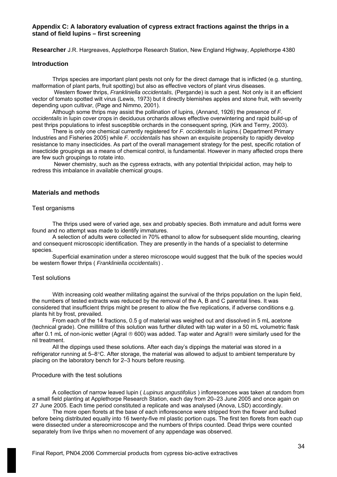# **Appendix C: A laboratory evaluation of cypress extract fractions against the thrips in a stand of field lupins – first screening**

**Researcher** J.R. Hargreaves, Applethorpe Research Station, New England Highway, Applethorpe 4380

#### **Introduction**

Thrips species are important plant pests not only for the direct damage that is inflicted (e.g. stunting, malformation of plant parts, fruit spotting) but also as effective vectors of plant virus diseases.

 Western flower thrips, *Frankliniella occidentalis,* (Pergande) is such a pest. Not only is it an efficient vector of tomato spotted wilt virus (Lewis, 1973) but it directly blemishes apples and stone fruit, with severity depending upon cultivar, (Page and Nimmo, 2001).

Although some thrips may assist the pollination of lupins, (Annand, 1926) the presence of *F. occidentalis* in lupin cover crops in deciduous orchards allows effective overwintering and rapid build-up of pest thrips populations to infest susceptible orchards in the consequent spring, (Kirk and Terrry, 2003).

There is only one chemical currently registered for *F. occidentalis* in lupins.( Department Primary Industries and Fisheries 2005) while *F. occidentalis* has shown an exquisite propensity to rapidly develop resistance to many insecticides. As part of the overall management strategy for the pest, specific rotation of insecticide groupings as a means of chemical control, is fundamental. However in many affected crops there are few such groupings to rotate into.

 Newer chemistry, such as the cypress extracts, with any potential thripicidal action, may help to redress this imbalance in available chemical groups.

### **Materials and methods**

## Test organisms

The thrips used were of varied age, sex and probably species. Both immature and adult forms were found and no attempt was made to identify immatures.

A selection of adults were collected in 70% ethanol to allow for subsequent slide mounting, clearing and consequent microscopic identification. They are presently in the hands of a specialist to determine species.

Superficial examination under a stereo microscope would suggest that the bulk of the species would be western flower thrips ( *Frankliniella occidentalis*) .

### Test solutions

With increasing cold weather militating against the survival of the thrips population on the lupin field, the numbers of tested extracts was reduced by the removal of the A, B and C parental lines. It was considered that insufficient thrips might be present to allow the five replications, if adverse conditions e.g. plants hit by frost, prevailed.

From each of the 14 fractions, 0.5 g of material was weighed out and dissolved in 5 mL acetone (technical grade). One millilitre of this solution was further diluted with tap water in a 50 mL volumetric flask after 0.1 mL of non-ionic wetter (Agral ® 600) was added. Tap water and Agral® were similarly used for the nil treatment.

All the dippings used these solutions. After each day's dippings the material was stored in a refrigerator running at 5–8°C. After storage, the material was allowed to adjust to ambient temperature by placing on the laboratory bench for 2–3 hours before reusing.

#### Procedure with the test solutions

A collection of narrow leaved lupin ( *Lupinus angustifolius* ) inflorescences was taken at random from a small field planting at Applethorpe Research Station, each day from 20–23 June 2005 and once again on 27 June 2005. Each time period constituted a replicate and was analysed (Anova, LSD) accordingly.

The more open florets at the base of each inflorescence were stripped from the flower and bulked before being distributed equally into 16 twenty-five ml plastic portion cups. The first ten florets from each cup were dissected under a stereomicroscope and the numbers of thrips counted. Dead thrips were counted separately from live thrips when no movement of any appendage was observed.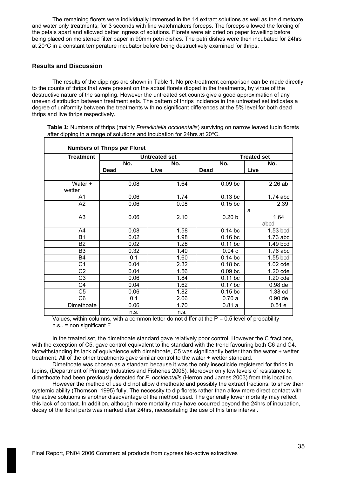The remaining florets were individually immersed in the 14 extract solutions as well as the dimetoate and water only treatments; for 3 seconds with fine watchmakers forceps. The forceps allowed the forcing of the petals apart and allowed better ingress of solutions. Florets were air dried on paper towelling before being placed on moistened filter paper in 90mm petri dishes. The petri dishes were then incubated for 24hrs at 20°C in a constant temperature incubator before being destructively examined for thrips.

# **Results and Discussion**

The results of the dippings are shown in Table 1. No pre-treatment comparison can be made directly to the counts of thrips that were present on the actual florets dipped in the treatments, by virtue of the destructive nature of the sampling. However the untreated set counts give a good approximation of any uneven distribution between treatment sets. The pattern of thrips incidence in the untreated set indicates a degree of uniformity between the treatments with no significant differences at the 5% level for both dead thrips and live thrips respectively.

| <b>Treatment</b>  |      | <b>Untreated set</b> | <b>Treated set</b> |              |  |  |  |
|-------------------|------|----------------------|--------------------|--------------|--|--|--|
|                   | No.  | No.                  | No.                | No.          |  |  |  |
|                   | Dead | Live                 | <b>Dead</b>        | Live         |  |  |  |
| Water +<br>wetter | 0.08 | 1.64                 | $0.09$ bc          | 2.26ab       |  |  |  |
| A1                | 0.06 | 1.74                 | $0.13$ bc          | $1.74$ abc   |  |  |  |
| A2                | 0.06 | 0.08                 | $0.15$ bc          | 2.39<br>a    |  |  |  |
| A3                | 0.06 | 2.10                 | 0.20 <sub>b</sub>  | 1.64<br>abcd |  |  |  |
| A4                | 0.08 | 1.58                 | $0.14$ bc          | 1.53 bcd     |  |  |  |
| <b>B1</b>         | 0.02 | 1.98                 | $0.16$ bc          | $1.73$ abc   |  |  |  |
| B2                | 0.02 | 1.28                 | $0.11$ bc          | 1.49 bcd     |  |  |  |
| B <sub>3</sub>    | 0.32 | 1.40                 | 0.04c              | $1.76$ abc   |  |  |  |
| <b>B4</b>         | 0.1  | 1.60                 | $0.14$ bc          | 1.55 bcd     |  |  |  |
| C <sub>1</sub>    | 0.04 | 2.32                 | $0.18$ bc          | $1.02$ cde   |  |  |  |
| C2                | 0.04 | 1.56                 | 0.09 <sub>bc</sub> | 1.20 cde     |  |  |  |
| C <sub>3</sub>    | 0.06 | 1.84                 | $0.11$ bc          | 1.20 cde     |  |  |  |
| C4                | 0.04 | 1.62                 | $0.17$ bc          | $0.98$ de    |  |  |  |
| C <sub>5</sub>    | 0.06 | 1.82                 | $0.15$ bc          | 1.38 cd      |  |  |  |
| C6                | 0.1  | 2.06                 | 0.70a              | $0.90$ de    |  |  |  |
| Dimethoate        | 0.06 | 1.70                 | 0.81a              | 0.51e        |  |  |  |
|                   | n.s. | n.s.                 |                    |              |  |  |  |

**Table 1:** Numbers of thrips (mainly *Frankliniella occidentalis*) surviving on narrow leaved lupin florets after dipping in a range of solutions and incubation for 24hrs at 20°C.

Values, within columns, with a common letter do not differ at the  $P = 0.5$  level of probability n.s.. = non significant F

In the treated set, the dimethoate standard gave relatively poor control. However the C fractions, with the exception of C5, gave control equivalent to the standard with the trend favouring both C6 and C4. Notwithstanding its lack of equivalence with dimethoate, C5 was significantly better than the water + wetter treatment. All of the other treatments gave similar control to the water + wetter standard.

Dimethoate was chosen as a standard because it was the only insecticide registered for thrips in lupins, (Department of Primary Industries and Fisheries 2005). Moreover only low levels of resistance to dimethoate had been previously detected for *F. occidentalis* (Herron and James 2003) from this location.

However the method of use did not allow dimethoate and possibly the extract fractions, to show their systemic ability (Thomson, 1995) fully. The necessity to dip florets rather than allow more direct contact with the active solutions is another disadvantage of the method used. The generally lower mortality may reflect this lack of contact. In addition, although more mortality may have occurred beyond the 24hrs of incubation, decay of the floral parts was marked after 24hrs, necessitating the use of this time interval.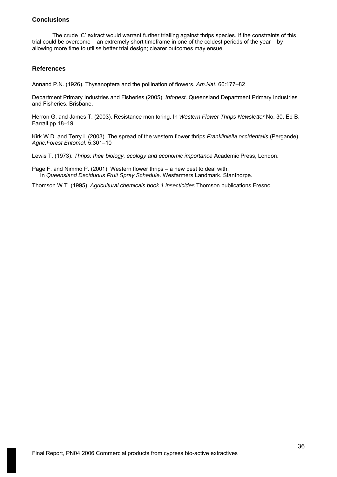# **Conclusions**

The crude 'C' extract would warrant further trialling against thrips species. If the constraints of this trial could be overcome – an extremely short timeframe in one of the coldest periods of the year – by allowing more time to utilise better trial design; clearer outcomes may ensue.

# **References**

Annand P.N. (1926). Thysanoptera and the pollination of flowers. *Am.Nat*. 60:177–82

Department Primary Industries and Fisheries (2005). *Infopest*. Queensland Department Primary Industries and Fisheries. Brisbane.

Herron G. and James T. (2003). Resistance monitoring. In *Western Flower Thrips Newsletter* No. 30. Ed B. Farrall pp 18–19.

Kirk W.D. and Terry I. (2003). The spread of the western flower thrips *Frankliniella occidentalis* (Pergande). *Agric.Forest Entomol*. 5:301–10

Lewis T. (1973). *Thrips: their biology, ecology and economic importance* Academic Press, London.

Page F. and Nimmo P. (2001). Western flower thrips – a new pest to deal with. In *Queensland Deciduous Fruit Spray Schedule*. Wesfarmers Landmark. Stanthorpe.

Thomson W.T. (1995). *Agricultural chemicals book 1 insecticides* Thomson publications Fresno.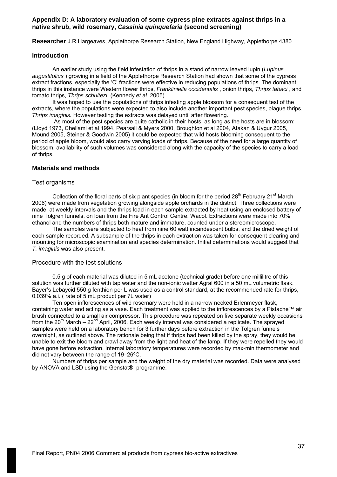### **Appendix D: A laboratory evaluation of some cypress pine extracts against thrips in a native shrub, wild rosemary,** *Cassinia quinquefaria* **(second screening)**

**Researcher** J.R.Hargeaves, Applethorpe Research Station, New England Highway, Applethorpe 4380

#### **Introduction**

An earlier study using the field infestation of thrips in a stand of narrow leaved lupin (*Lupinus augustifolius* ) growing in a field of the Applethorpe Research Station had shown that some of the cypress extract fractions, especially the 'C' fractions were effective in reducing populations of thrips. The dominant thrips in this instance were Western flower thrips, *Frankliniella occidentalis* , onion thrips, *Thrips tabaci* , and tomato thrips, *Thrips schultezi.* (Kennedy *et al*. 2005)

It was hoped to use the populations of thrips infesting apple blossom for a consequent test of the extracts, where the populations were expected to also include another important pest species, plague thrips, *Thrips imaginis.* However testing the extracts was delayed until after flowering.

 As most of the pest species are quite catholic in their hosts, as long as the hosts are in blossom; (Lloyd 1973, Chellami et al 1994, Pearsall & Myers 2000, Broughton et al 2004, Atakan & Uygur 2005, Mound 2005, Steiner & Goodwin 2005) it could be expected that wild hosts blooming consequent to the period of apple bloom, would also carry varying loads of thrips. Because of the need for a large quantity of blossom, availability of such volumes was considered along with the capacity of the species to carry a load of thrips.

#### **Materials and methods**

#### Test organisms

Collection of the floral parts of six plant species (in bloom for the period 28<sup>th</sup> February 21<sup>st</sup> March 2006) were made from vegetation growing alongside apple orchards in the district. Three collections were made, at weekly intervals and the thrips load in each sample extracted by heat using an enclosed battery of nine Tolgren funnels, on loan from the Fire Ant Control Centre, Wacol. Extractions were made into 70% ethanol and the numbers of thrips both mature and immature, counted under a stereomicroscope.

The samples were subjected to heat from nine 60 watt incandescent bulbs, and the dried weight of each sample recorded. A subsample of the thrips in each extraction was taken for consequent clearing and mounting for microscopic examination and species determination. Initial determinations would suggest that *T. imaginis* was also present.

#### Procedure with the test solutions

0.5 g of each material was diluted in 5 mL acetone (technical grade) before one millilitre of this solution was further diluted with tap water and the non-ionic wetter Agral 600 in a 50 mL volumetric flask. Bayer's Lebaycid 550 g fenthion per L was used as a control standard, at the recommended rate for thrips, 0.039% a.i. ( rate of 5 mL product per 7L water)

Ten open inflorescences of wild rosemary were held in a narrow necked Erlenmeyer flask, containing water and acting as a vase. Each treatment was applied to the inflorescences by a Pistache™ air brush connected to a small air compressor. This procedure was repeated on five separate weekly occasions from the  $20<sup>th</sup>$  March –  $22<sup>nd</sup>$  April, 2006. Each weekly interval was considered a replicate. The sprayed samples were held on a laboratory bench for 3 further days before extraction in the Tolgren funnels overnight, as outlined above. The rationale being that if thrips had been killed by the spray, they would be unable to exit the bloom and crawl away from the light and heat of the lamp. If they were repelled they would have gone before extraction. Internal laboratory temperatures were recorded by max-min thermometer and did not vary between the range of 19–26ºC.

Numbers of thrips per sample and the weight of the dry material was recorded. Data were analysed by ANOVA and LSD using the Genstat® programme.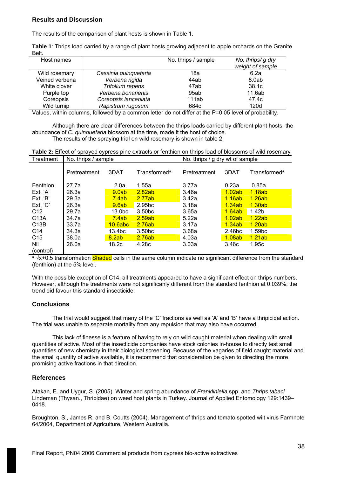## **Results and Discussion**

The results of the comparison of plant hosts is shown in Table 1.

**Table 1**: Thrips load carried by a range of plant hosts growing adjacent to apple orchards on the Granite Belt.

| Host names     |                       | No. thrips / sample | No. thrips/ g dry |
|----------------|-----------------------|---------------------|-------------------|
|                |                       |                     | weight of sample  |
| Wild rosemary  | Cassinia quinquefaria | 18a                 | 6.2a              |
| Veined verbena | Verbena rigida        | 44ab                | 8.0ab             |
| White clover   | Trifolium repens      | 47ab                | 38.1c             |
| Purple top     | Verbena bonarienis    | 95ab                | 11.6ab            |
| Coreopsis      | Coreopsis lanceolata  | 111ab               | 47.4c             |
| Wild turnip    | Rapistrum rugosum     | 684c                | 120d              |

Values, within columns, followed by a common letter do not differ at the P=0.05 level of probability.

Although there are clear differences between the thrips loads carried by different plant hosts, the abundance of *C. quinquefaria* blossom at the time, made it the host of choice. The results of the spraying trial on wild rosemary is shown in table 2.

**Table 2:** Effect of sprayed cypress pine extracts or fenthion on thrips load of blossoms of wild rosemary

| Treatment         | No. thrips / sample |                    |                    | No. thrips / g dry wt of sample |        |                    |
|-------------------|---------------------|--------------------|--------------------|---------------------------------|--------|--------------------|
|                   | Pretreatment        | 3DAT               | Transformed*       | Pretreatment                    | 3DAT   | Transformed*       |
| Fenthion          | 27.7a               | 2.0a               | 1.55a              | 3.77a                           | 0.23a  | 0.85a              |
| Ext. 'A'          | 26.3a               | 9.0ab              | 2.82ab             | 3.46a                           | 1.02ab | <u>1.18ab</u>      |
| Ext. 'B'          | 29.3a               | 7.4ab              | 2.77ab             | 3.42a                           | 1.16ab | 1.26ab             |
| Ext. 'C'          | 26.3a               | 9.6ab              | 2.95 <sub>bc</sub> | 3.18a                           | 1.34ab | 1.30ab             |
| C <sub>12</sub>   | 29.7a               | 13.0 <sub>bc</sub> | 3.50 <sub>bc</sub> | 3.65a                           | 1.64ab | 1.42 <sub>b</sub>  |
| C <sub>13</sub> A | 34.7a               | 7.4ab              | 2.59ab             | 5.22a                           | 1.02ab | 1.22ab             |
| C <sub>13</sub> B | 33.7a               | 10.6abc            | 2.76ab             | 3.17a                           | 1.34ab | 1.20ab             |
| C <sub>14</sub>   | 34.3a               | 13.4bc             | 3.50 <sub>bc</sub> | 3.68a                           | 2.46bc | 1.59 <sub>bc</sub> |
| C <sub>15</sub>   | 38.0a               | 8.2ab              | 2.76ab             | 4.03a                           | 1.08ab | 1.21ab             |
| Nil               | 26.0a               | 18.2c              | 4.28c              | 3.03a                           | 3.46c  | 1.95c              |
| (control)         |                     |                    |                    |                                 |        |                    |

**\*** √x+0.5 transformation Shaded cells in the same column indicate no significant difference from the standard (fenthion) at the 5% level.

With the possible exception of C14, all treatments appeared to have a significant effect on thrips numbers. However, although the treatments were not significanly different from the standard fenthion at 0.039%, the trend did favour this standard insecticide.

# **Conclusions**

The trial would suggest that many of the 'C' fractions as well as 'A' and 'B' have a thripicidal action. The trial was unable to separate mortality from any repulsion that may also have occurred.

This lack of finesse is a feature of having to rely on wild caught material when dealing with small quantities of active. Most of the insecticide companies have stock colonies in-house to directly test small quantities of new chemistry in their biological screening. Because of the vagaries of field caught material and the small quantity of active available, it is recommend that consideration be given to directing the more promising active fractions in that direction.

### **References**

Atakan, E. and Uygur, S. (2005). Winter and spring abundance of *Frankliniella* spp. and *Thrips tabaci* Lindeman (Thysan., Thripidae) on weed host plants in Turkey. Journal of Applied Entomology 129:1439– 0418.

Broughton, S., James R. and B. Coutts (2004). Management of thrips and tomato spotted wilt virus Farmnote 64/2004, Department of Agriculture, Western Australia.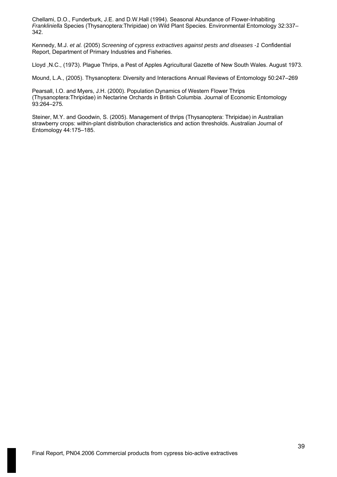Chellami, D.O., Funderburk, J.E. and D.W.Hall (1994). Seasonal Abundance of Flower-Inhabiting *Frankliniella* Species (Thysanoptera:Thripidae) on Wild Plant Species. Environmental Entomology 32:337– 342.

Kennedy, M.J. *et al.* (2005) *Screening of cypress extractives against pests and diseases -1* Confidential Report, Department of Primary Industries and Fisheries.

Lloyd ,N.C., (1973). Plague Thrips, a Pest of Apples Agricultural Gazette of New South Wales. August 1973.

Mound, L.A., (2005). Thysanoptera: Diversity and Interactions Annual Reviews of Entomology 50:247–269

Pearsall, I.O. and Myers, J.H. (2000). Population Dynamics of Western Flower Thrips (Thysanoptera:Thripidae) in Nectarine Orchards in British Columbia. Journal of Economic Entomology 93:264–275*.* 

Steiner, M.Y. and Goodwin, S. (2005). Management of thrips (Thysanoptera: Thripidae) in Australian strawberry crops: within-plant distribution characteristics and action thresholds. Australian Journal of Entomology 44:175–185.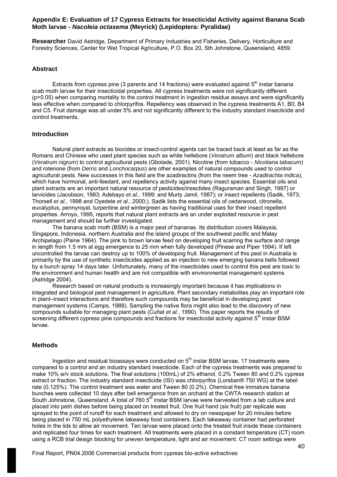### **Appendix E: Evaluation of 17 Cypress Extracts for Insecticidal Activity against Banana Scab Moth larvae -** *Nacoleia octasema* **(Meyrick) (Lepidoptera: Pyralidae)**

**Researcher** David Astridge, Department of Primary Industries and Fisheries, Delivery, Horticulture and Forestry Sciences, Center for Wet Tropical Agriculture, P.O. Box 20, Sth Johnstone, Queensland, 4859.

#### **Abstract**

Extracts from cypress pine (3 parents and 14 fractions) were evaluated against  $5<sup>th</sup>$  instar banana scab moth larvae for their insecticidal properties. All cypress treatments were not significantly different (p>0.05) when comparing mortality to the control treatment in ingestion residue assays and were significantly less effective when compared to chlorpyrifos. Repellency was observed in the cypress treatments A1, B0, B4 and C5. Fruit damage was all under 5% and not significantly different to the industry standard insecticide and control treatments.

#### **Introduction**

Natural plant extracts as biocides or insect-control agents can be traced back at least as far as the Romans and Chinese who used plant species such as white hellebore (*Veratrum album*) and black hellebore (*Veratrum nigrum*) to control agricultural pests (Gbolade, 2001). Nicotine (from tobacco - *Nicotiana tabacum*) and rotenone (from *Derris* and *Lonchocarpus*) are other examples of natural compounds used to control agricultural pests. New successes in this field are the azadiractins (from the neem tree - *Azadirachta indica*), which have hormonal, anti-feedant, and repellency activity against many insect species. Essential oils and plant extracts are an important natural resource of pesticides/insectides (Raguraman and Singh, 1997) or larvicides (Jacobson, 1983; Adebayo *et al.*, 1999; and Murty Jamil, 1987); or insect repellents (Sadik, 1973; Thorsell *et al.*, 1998 and Oyedele *et al.*, 2000;). Sadik lists the essential oils of cedarwood, citronella, eucalyptus, pennyroyal, turpentine and wintergreen as having traditional uses for their insect repellent properties. Arroyo, 1995, reports that natural plant extracts are an under exploited resource in pest management and should be further investigated.

The banana scab moth (BSM) is a major pest of bananas. Its distribution covers Malaysia, Singapore, Indonesia, northern Australia and the island groups of the southwest pacific and Malay Archipelago (Paine 1964). The pink to brown larvae feed on developing fruit scarring the surface and range in length from 1.5 mm at egg emergence to 25 mm when fully developed (Pinese and Piper 1994). If left uncontrolled the larvae can destroy up to 100% of developing fruit. Management of this pest in Australia is primarily by the use of synthetic insecticides applied as an injection to new emerging banana bells followed by a bunch spray 14 days later. Unfortunately, many of the insecticides used to control this pest are toxic to the environment and human health and are not compatible with environmental management systems (Astridge 2004).

Research based on natural products is increasingly important because it has implications in integrated and biological pest management in agriculture. Plant secondary metabolites play an important role in plant–insect interactions and therefore such compounds may be beneficial in developing pest management systems (Camps, 1988). Sampling the native flora might also lead to the discovery of new compounds suitable for managing plant pests (Cuñat *et al.*, 1990). This paper reports the results of screening different cypress pine compounds and fractions for insecticidal activity against 5<sup>th</sup> instar BSM larvae.

### **Methods**

Ingestion and residual bioassays were conducted on  $5<sup>th</sup>$  instar BSM larvae. 17 treatments were compared to a control and an industry standard insecticide. Each of the cypress treatments was prepared to make 10% w/v stock solutions. The final solutions (100mL) of 2% ethanol, 0.2% Tween 80 and 0.2% cypress extract or fraction. The industry standard insecticide (ISI) was chlorpyrifos (Lorsban® 750 WG) at the label rate (0.125%). The control treatment was water and Tween 80 (0.2%). Chemical free immature banana bunches were collected 10 days after bell emergence from an orchard at the CWTA research station at South Johnstone, Queensland. A total of 760 5<sup>th</sup> instar BSM larvae were harvested from a lab culture and placed into petri dishes before being placed on treated fruit. One fruit hand (six fruit) per replicate was sprayed to the point of runoff for each treatment and allowed to dry on newspaper for 20 minutes before being placed in 750 mL polyethylene takeaway food containers. Each takeaway container had perforated holes in the lids to allow air movement. Ten larvae were placed onto the treated fruit inside these containers and replicated four times for each treatment. All treatments were placed in a constant temperature (CT) room using a RCB trial design blocking for uneven temperature, light and air movement. CT room settings were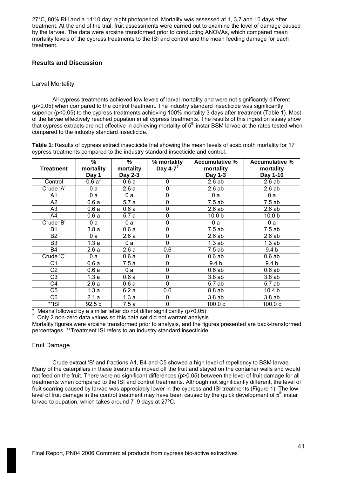27°C, 80% RH and a 14:10 day: night photoperiod. Mortality was assessed at 1, 3,7 and 10 days after treatment. At the end of the trial, fruit assessments were carried out to examine the level of damage caused by the larvae. The data were arcsine transformed prior to conducting ANOVAs, which compared mean mortality levels of the cypress treatments to the ISI and control and the mean feeding damage for each treatment.

# **Results and Discussion**

# Larval Mortality

All cypress treatments achieved low levels of larval mortality and were not significantly different (p>0.05) when compared to the control treatment. The industry standard insecticide was significantly superior (p<0.05) to the cypress treatments achieving 100% mortality 3 days after treatment (Table 1). Most of the larvae effectively reached pupation in all cypress treatments. The results of this ingestion assay show that cypress extracts are not effective in achieving mortality of 5<sup>th</sup> instar BSM larvae at the rates tested when compared to the industry standard insecticide.

**Table 1**: Results of cypress extract insecticide trial showing the mean levels of scab moth mortality for 17 cypress treatments compared to the industry standard insecticide and control.

| <b>Treatment</b> | %<br>mortality<br>Day 1 | %<br>mortality<br>Day 2-3 | % mortality<br>Day 4-7 $^{\dagger}$ | <b>Accumulative %</b><br>mortality<br>Day 1-3 | <b>Accumulative %</b><br>mortality<br>Day 1-10 |
|------------------|-------------------------|---------------------------|-------------------------------------|-----------------------------------------------|------------------------------------------------|
| Control          | $0.6a*$                 | 0.6a                      | 0                                   | 2.6ab                                         | 2.6ab                                          |
| Crude 'A'        | 0a                      | 2.6a                      | 0                                   | 2.6ab                                         | 2.6ab                                          |
| A <sub>1</sub>   | 0a                      | 0a                        | 0                                   | 0a                                            | 0a                                             |
| A2               | 0.6a                    | 5.7a                      | 0                                   | 7.5ab                                         | 7.5ab                                          |
| A <sub>3</sub>   | 0.6a                    | 0.6a                      | 0                                   | 2.6ab                                         | 2.6ab                                          |
| A4               | 0.6a                    | 5.7a                      | 0                                   | 10.0 <sub>b</sub>                             | 10.0 <sub>b</sub>                              |
| Crude 'B'        | 0a                      | 0a                        | 0                                   | 0a                                            | 0a                                             |
| <b>B1</b>        | 3.8a                    | 0.6a                      | 0                                   | 7.5ab                                         | 7.5ab                                          |
| <b>B2</b>        | 0a                      | 2.6a                      | 0                                   | 2.6ab                                         | 2.6ab                                          |
| B <sub>3</sub>   | 1.3a                    | 0a                        | $\mathbf 0$                         | 1.3ab                                         | 1.3ab                                          |
| <b>B4</b>        | 2.6a                    | 2.6a                      | 0.6                                 | 7.5ab                                         | 9.4 <sub>b</sub>                               |
| Crude 'C'        | 0a                      | 0.6a                      | 0                                   | 0.6ab                                         | 0.6ab                                          |
| C <sub>1</sub>   | 0.6a                    | 7.5a                      | 0                                   | 9.4 <sub>b</sub>                              | 9.4 <sub>b</sub>                               |
| C <sub>2</sub>   | 0.6a                    | 0a                        | $\mathbf 0$                         | 0.6ab                                         | 0.6ab                                          |
| C <sub>3</sub>   | 1.3a                    | 0.6a                      | 0                                   | 3.8ab                                         | 3.8ab                                          |
| C4               | 2.6a                    | 0.6a                      | $\mathbf 0$                         | 5.7 ab                                        | 5.7 ab                                         |
| C <sub>5</sub>   | 1.3a                    | 6.2a                      | 0.6                                 | 8.8 ab                                        | 10.4 <sub>b</sub>                              |
| C6               | 2.1a                    | 1.3a                      | $\pmb{0}$                           | 3.8ab                                         | 3.8ab                                          |
| **ISI            | 92.5 <sub>b</sub>       | 7.5 a                     | $\mathbf 0$                         | 100.0c                                        | 100.0c                                         |

 $*$  Means followed by a similar letter do not differ significantly ( $p > 0.05$ )

† Only 2 non-zero data values so this data set did not warrant analysis

Mortality figures were arcsine transformed prior to analysis, and the figures presented are back-transformed percentages. \*\*Treatment ISI refers to an industry standard insecticide.

### Fruit Damage

Crude extract 'B' and fractions A1, B4 and C5 showed a high level of repellency to BSM larvae. Many of the caterpillars in these treatments moved off the fruit and stayed on the container walls and would not feed on the fruit. There were no significant differences (p>0.05) between the level of fruit damage for all treatments when compared to the ISI and control treatments. Although not significantly different, the level of fruit scarring caused by larvae was appreciably lower in the cypress and ISI treatments (Figure 1). The low level of fruit damage in the control treatment may have been caused by the quick development of  $5<sup>th</sup>$  instar larvae to pupation, which takes around 7–9 days at 27ºC.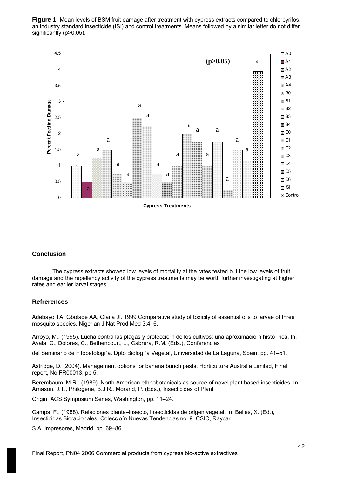**Figure 1**. Mean levels of BSM fruit damage after treatment with cypress extracts compared to chlorpyrifos, an industry standard insecticide (ISI) and control treatments. Means followed by a similar letter do not differ significantly (p>0.05).



### **Conclusion**

The cypress extracts showed low levels of mortality at the rates tested but the low levels of fruit damage and the repellency activity of the cypress treatments may be worth further investigating at higher rates and earlier larval stages.

#### **Refrerences**

Adebayo TA, Gbolade AA, Olaifa JI. 1999 Comparative study of toxicity of essential oils to larvae of three mosquito species. Nigerian J Nat Prod Med 3:4–6.

Arroyo, M., (1995). Lucha contra las plagas y proteccio´n de los cultivos: una aproximacio´n histo´ rica. In: Ayala, C., Dolores, C., Bethencourt, L., Cabrera, R.M. (Eds.), Conferencias

del Seminario de Fitopatologı´a. Dpto Biologı´a Vegetal, Universidad de La Laguna, Spain, pp. 41–51.

Astridge, D. (2004). Management options for banana bunch pests. Horticulture Australia Limited, Final report, No FR00013, pp 5.

Berembaum, M.R., (1989). North American ethnobotanicals as source of novel plant based insecticides. In: Arnason, J.T., Philogene, B.J.R., Morand, P. (Eds.), Insecticides of Plant

Origin. ACS Symposium Series, Washington, pp. 11–24.

Camps, F., (1988). Relaciones planta–insecto, insecticidas de origen vegetal. In: Belles, X. (Ed.), Insecticidas Bioracionales. Coleccio´n Nuevas Tendencias no. 9. CSIC, Raycar

S.A. Impresores, Madrid, pp. 69–86.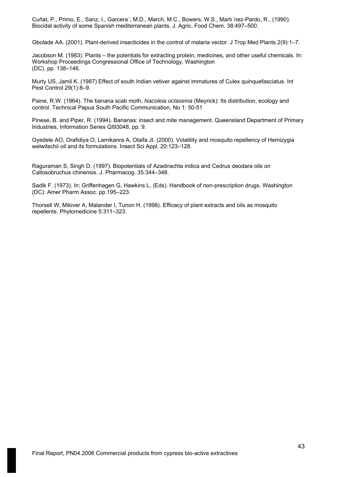Cuñat, P., Primo, E., Sanz, I., Garcera´, M.D., March, M.C., Bowers, W.S., Martı´nez-Pardo, R., (1990). Biocidal activity of some Spanish mediterranean plants. J. Agric. Food Chem. 38:497–500.

Gbolade AA. (2001). Plant-derived insecticides in the control of malaria vector. J Trop Med Plants 2(9):1–7.

Jacobson M. (1983). Plants – the potentials for extracting protein, medicines, and other useful chemicals. In: Workshop Proceedings Congressional Office of Technology, Washington (DC). pp. 138–146.

Murty US, Jamil K. (1987) Effect of south Indian vetiver against immatures of Culex quinquefasciatus. Int Pest Control 29(1):8–9.

Paine, R.W. (1964). The banana scab moth, *Nacoleia octasema* (Meyrick): Its distribution, ecology and control. Technical Papua South Pacific Communication, No 1: 50-51

Pinese, B. and Piper, R. (1994). Bananas: insect and mite management. Queensland Department of Primary Industries, Information Series QI93048, pp. 9.

Oyedele AO, Orafidiya O, Lamikanra A, Olaifa JI. (2000). Volatility and mosquito repellency of Hemizygia welwitschii oil and its formulations. Insect Sci Appl. 20:123–128.

Raguraman S, Singh D. (1997). Biopotentials of Azadirachta indica and Cedrus deodara oils on Callosobruchus chinensis. J. Pharmacog. 35:344–348.

Sadik F. (1973). In: Griffenhagen G, Hawkins L, (Eds). Handbook of non-prescription drugs. Washington (DC): Amer Pharm Assoc. pp.195–223.

Thorsell W, Mikiver A, Malander I, Tunon H. (1998). Efficacy of plant extracts and oils as mosquito repellents. Phytomedicine 5:311–323.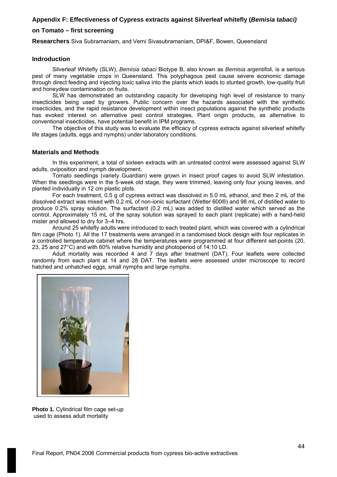# **Appendix F: Effectiveness of Cypress extracts against Silverleaf whitefly (***Bemisia tabaci)*

# **on Tomato – first screening**

**Researchers** Siva Subramaniam, and Verni Sivasubramaniam, DPI&F, Bowen, Queensland

#### **Indroduction**

Silverleaf Whitefly (SLW), *Bemisia tabaci* Biotype B, also known as *Bemisia argentifoli*, is a serious pest of many vegetable crops in Queensland. This polyphagous pest cause severe economic damage through direct feeding and injecting toxic saliva into the plants which leads to stunted growth, low-quality fruit and honeydew contamination on fruits.

SLW has demonstrated an outstanding capacity for developing high level of resistance to many insecticides being used by growers. Public concern over the hazards associated with the synthetic insecticides, and the rapid resistance development within insect populations against the synthetic products has evoked interest on alternative pest control strategies. Plant origin products, as alternative to conventional insecticides, have potential benefit in IPM programs.

The objective of this study was to evaluate the efficacy of cypress extracts against silverleaf whitefly life stages (adults, eggs and nymphs) under laboratory conditions.

#### **Materials and Methods**

In this experiment, a total of sixteen extracts with an untreated control were assessed against SLW adults, oviposition and nymph development.

Tomato seedlings (variety Guardian) were grown in insect proof cages to avoid SLW infestation. When the seedlings were in the 5-week old stage, they were trimmed, leaving only four young leaves, and planted individually in 12 cm plastic plots.

For each treatment, 0.5 g of cypress extract was dissolved in 5.0 mL ethanol, and then 2 mL of the dissolved extract was mixed with 0.2 mL of non-ionic surfactant (Wetter 600®) and 98 mL of distilled water to produce 0.2% spray solution. The surfactant (0.2 mL) was added to distilled water which served as the control. Approximately 15 mL of the spray solution was sprayed to each plant (replicate) with a hand-held mister and allowed to dry for 3–4 hrs.

Around 25 whitefly adults were introduced to each treated plant, which was covered with a cylindrical film cage (Photo 1). All the 17 treatments were arranged in a randomised block design with four replicates in a controlled temperature cabinet where the temperatures were programmed at four different set-points (20, 23, 25 and 27°C) and with 60% relative humidity and photoperiod of 14:10 LD.

Adult mortality was recorded 4 and 7 days after treatment (DAT). Four leaflets were collected randomly from each plant at 14 and 28 DAT. The leaflets were assessed under microscope to record hatched and unhatched eggs, small nymphs and large nymphs.



**Photo 1.** Cylindrical film cage set-up used to assess adult mortality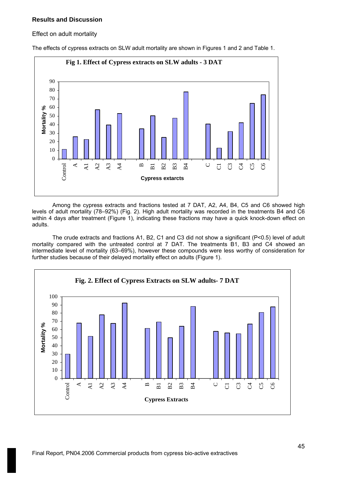# **Results and Discussion**

### Effect on adult mortality



The effects of cypress extracts on SLW adult mortality are shown in Figures 1 and 2 and Table 1.

Among the cypress extracts and fractions tested at 7 DAT, A2, A4, B4, C5 and C6 showed high levels of adult mortality (78–92%) (Fig. 2). High adult mortality was recorded in the treatments B4 and C6 within 4 days after treatment (Figure 1), indicating these fractions may have a quick knock-down effect on adults.

The crude extracts and fractions A1, B2, C1 and C3 did not show a significant (P<0.5) level of adult mortality compared with the untreated control at 7 DAT. The treatments B1, B3 and C4 showed an intermediate level of mortality (63–69%), however these compounds were less worthy of consideration for further studies because of their delayed mortality effect on adults (Figure 1).

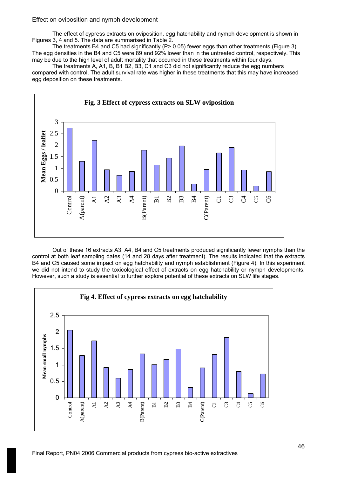## Effect on oviposition and nymph development

The effect of cypress extracts on oviposition, egg hatchability and nymph development is shown in Figures 3, 4 and 5. The data are summarised in Table 2.

The treatments B4 and C5 had significantly  $(P > 0.05)$  fewer eggs than other treatments (Figure 3). The egg densities in the B4 and C5 were 89 and 92% lower than in the untreated control, respectively. This may be due to the high level of adult mortality that occurred in these treatments within four days.

The treatments A, A1, B, B1 B2, B3, C1 and C3 did not significantly reduce the egg numbers compared with control. The adult survival rate was higher in these treatments that this may have increased egg deposition on these treatments.



Out of these 16 extracts A3, A4, B4 and C5 treatments produced significantly fewer nymphs than the control at both leaf sampling dates (14 and 28 days after treatment). The results indicated that the extracts B4 and C5 caused some impact on egg hatchability and nymph establishment (Figure 4). In this experiment we did not intend to study the toxicological effect of extracts on egg hatchability or nymph developments. However, such a study is essential to further explore potential of these extracts on SLW life stages.

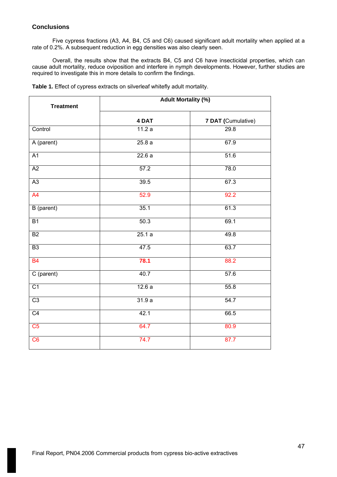# **Conclusions**

Five cypress fractions (A3, A4, B4, C5 and C6) caused significant adult mortality when applied at a rate of 0.2%. A subsequent reduction in egg densities was also clearly seen.

Overall, the results show that the extracts B4, C5 and C6 have insecticidal properties, which can cause adult mortality, reduce oviposition and interfere in nymph developments. However, further studies are required to investigate this in more details to confirm the findings.

| <b>Treatment</b> | <b>Adult Mortality (%)</b> |                    |  |
|------------------|----------------------------|--------------------|--|
|                  | 4 DAT                      | 7 DAT (Cumulative) |  |
| Control          | 11.2a                      | 29.8               |  |
| A (parent)       | 25.8a                      | 67.9               |  |
| A1               | 22.6a                      | 51.6               |  |
| A2               | 57.2                       | 78.0               |  |
| A3               | 39.5                       | 67.3               |  |
| A4               | 52.9                       | 92.2               |  |
| B (parent)       | 35.1                       | 61.3               |  |
| B <sub>1</sub>   | 50.3                       | 69.1               |  |
| B2               | 25.1a                      | 49.8               |  |
| B <sub>3</sub>   | 47.5                       | 63.7               |  |
| <b>B4</b>        | 78.1                       | 88.2               |  |
| C (parent)       | 40.7                       | 57.6               |  |
| $\overline{C1}$  | 12.6a                      | 55.8               |  |
| C3               | 31.9a                      | 54.7               |  |
| $\overline{C4}$  | 42.1                       | 66.5               |  |
| C5               | 64.7                       | 80.9               |  |
| C6               | 74.7                       | 87.7               |  |

**Table 1.** Effect of cypress extracts on silverleaf whitefly adult mortality.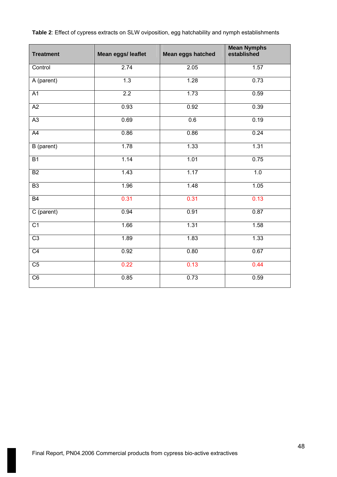| <b>Treatment</b> | Mean eggs/ leaflet | <b>Mean eggs hatched</b> | <b>Mean Nymphs</b><br>established |
|------------------|--------------------|--------------------------|-----------------------------------|
| Control          | 2.74               | 2.05                     | 1.57                              |
| A (parent)       | 1.3                | 1.28                     | 0.73                              |
| A1               | 2.2                | 1.73                     | 0.59                              |
| A2               | 0.93               | 0.92                     | 0.39                              |
| $\overline{A3}$  | 0.69               | 0.6                      | 0.19                              |
| A4               | 0.86               | 0.86                     | 0.24                              |
| B (parent)       | 1.78               | 1.33                     | 1.31                              |
| $\overline{B1}$  | 1.14               | 1.01                     | 0.75                              |
| $\overline{B2}$  | 1.43               | 1.17                     | 1.0                               |
| B3               | 1.96               | 1.48                     | 1.05                              |
| B4               | 0.31               | 0.31                     | 0.13                              |
| C (parent)       | 0.94               | 0.91                     | 0.87                              |
| $\overline{C1}$  | 1.66               | 1.31                     | 1.58                              |
| $\overline{C3}$  | 1.89               | 1.83                     | 1.33                              |
| $\overline{C4}$  | 0.92               | 0.80                     | 0.67                              |
| $\overline{C5}$  | 0.22               | 0.13                     | 0.44                              |
| C6               | 0.85               | 0.73                     | 0.59                              |

**Table 2**: Effect of cypress extracts on SLW oviposition, egg hatchability and nymph establishments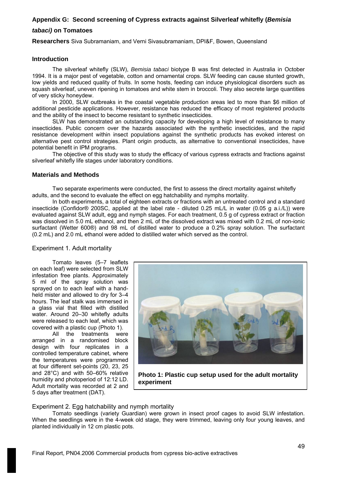# **Appendix G: Second screening of Cypress extracts against Silverleaf whitefly (***Bemisia*

# *tabaci)* **on Tomatoes**

**Researchers** Siva Subramaniam, and Verni Sivasubramaniam, DPI&F, Bowen, Queensland

#### **Introduction**

The silverleaf whitefly (SLW), *Bemisia tabaci* biotype B was first detected in Australia in October 1994. It is a major pest of vegetable, cotton and ornamental crops. SLW feeding can cause stunted growth, low yields and reduced quality of fruits. In some hosts, feeding can induce physiological disorders such as squash silverleaf, uneven ripening in tomatoes and white stem in broccoli. They also secrete large quantities of very sticky honeydew.

In 2000, SLW outbreaks in the coastal vegetable production areas led to more than \$6 million of additional pesticide applications. However, resistance has reduced the efficacy of most registered products and the ability of the insect to become resistant to synthetic insecticides.

SLW has demonstrated an outstanding capacity for developing a high level of resistance to many insecticides. Public concern over the hazards associated with the synthetic insecticides, and the rapid resistance development within insect populations against the synthetic products has evoked interest on alternative pest control strategies. Plant origin products, as alternative to conventional insecticides, have potential benefit in IPM programs.

The objective of this study was to study the efficacy of various cypress extracts and fractions against silverleaf whitefly life stages under laboratory conditions.

#### **Materials and Methods**

Two separate experiments were conducted, the first to assess the direct mortality against whitefly adults, and the second to evaluate the effect on egg hatchability and nymphs mortality.

In both experiments, a total of eighteen extracts or fractions with an untreated control and a standard insecticide (Confidor® 200SC, applied at the label rate - diluted 0.25 mL/L in water (0.05 g a.i./L)) were evaluated against SLW adult, egg and nymph stages. For each treatment, 0.5 g of cypress extract or fraction was dissolved in 5.0 mL ethanol, and then 2 mL of the dissolved extract was mixed with 0.2 mL of non-ionic surfactant (Wetter 600®) and 98 mL of distilled water to produce a 0.2% spray solution. The surfactant (0.2 mL) and 2.0 mL ethanol were added to distilled water which served as the control.

### Experiment 1. Adult mortality

Tomato leaves (5–7 leaflets on each leaf) were selected from SLW infestation free plants. Approximately 5 ml of the spray solution was sprayed on to each leaf with a handheld mister and allowed to dry for 3–4 hours. The leaf stalk was immersed in a glass vial that filled with distilled water. Around 20-30 whitefly adults were released to each leaf, which was covered with a plastic cup (Photo 1).

All the treatments were arranged in a randomised block design with four replicates in a controlled temperature cabinet, where the temperatures were programmed at four different set-points (20, 23, 25 and 28°C) and with 50–60% relative humidity and photoperiod of 12:12 LD. Adult mortality was recorded at 2 and 5 days after treatment (DAT).



**Photo 1: Plastic cup setup used for the adult mortality experiment**

Experiment 2. Egg hatchability and nymph mortality

Tomato seedlings (variety Guardian) were grown in insect proof cages to avoid SLW infestation. When the seedlings were in the 4-week old stage, they were trimmed, leaving only four young leaves, and planted individually in 12 cm plastic pots.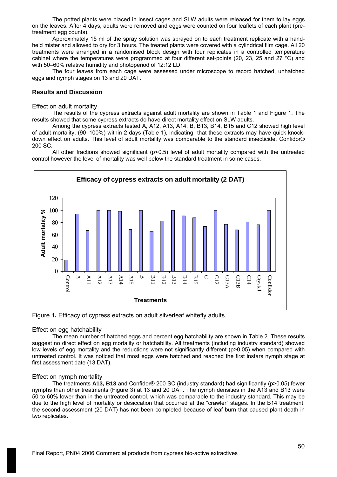The potted plants were placed in insect cages and SLW adults were released for them to lay eggs on the leaves. After 4 days, adults were removed and eggs were counted on four leaflets of each plant (pretreatment egg counts).

Approximately 15 ml of the spray solution was sprayed on to each treatment replicate with a handheld mister and allowed to dry for 3 hours. The treated plants were covered with a cylindrical film cage. All 20 treatments were arranged in a randomised block design with four replicates in a controlled temperature cabinet where the temperatures were programmed at four different set-points (20, 23, 25 and 27 °C) and with 50–60% relative humidity and photoperiod of 12:12 LD.

The four leaves from each cage were assessed under microscope to record hatched, unhatched eggs and nymph stages on 13 and 20 DAT.

#### **Results and Discussion**

Effect on adult mortality

The results of the cypress extracts against adult mortality are shown in Table 1 and Figure 1. The results showed that some cypress extracts do have direct mortality effect on SLW adults.

Among the cypress extracts tested A, A12, A13, A14, B, B13, B14, B15 and C12 showed high level of adult mortality, (90–100%) within 2 days (Table 1), indicating that these extracts may have quick knockdown effect on adults. This level of adult mortality was comparable to the standard insecticide, Confidor® 200 SC.

All other fractions showed significant (p<0.5) level of adult mortality compared with the untreated control however the level of mortality was well below the standard treatment in some cases.



Figure 1**.** Efficacy of cypress extracts on adult silverleaf whitefly adults.

#### Effect on egg hatchability

The mean number of hatched eggs and percent egg hatchability are shown in Table 2. These results suggest no direct effect on egg mortality or hatchability. All treatments (including industry standard) showed low levels of egg mortality and the reductions were not significantly different (p>0.05) when compared with untreated control. It was noticed that most eggs were hatched and reached the first instars nymph stage at first assessment date (13 DAT).

#### Effect on nymph mortality

The treatments **A13, B13** and Confidor® 200 SC (industry standard) had significantly (p>0.05) fewer nymphs than other treatments (Figure 3) at 13 and 20 DAT. The nymph densities in the A13 and B13 were 50 to 60% lower than in the untreated control, which was comparable to the industry standard. This may be due to the high level of mortality or desiccation that occurred at the "crawler" stages. In the B14 treatment, the second assessment (20 DAT) has not been completed because of leaf burn that caused plant death in two replicates.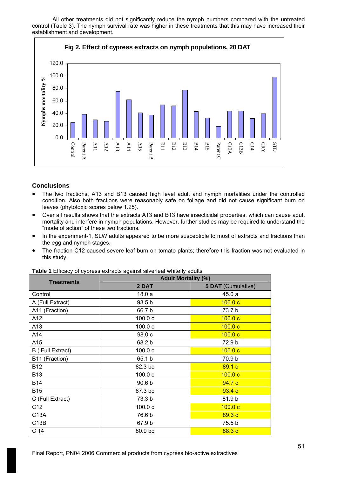All other treatments did not significantly reduce the nymph numbers compared with the untreated control (Table 3). The nymph survival rate was higher in these treatments that this may have increased their establishment and development.



# **Conclusions**

- The two fractions, A13 and B13 caused high level adult and nymph mortalities under the controlled condition. Also both fractions were reasonably safe on foliage and did not cause significant burn on leaves (phytotoxic scores below 1.25).
- Over all results shows that the extracts A13 and B13 have insecticidal properties, which can cause adult mortality and interfere in nymph populations. However, further studies may be required to understand the "mode of action" of these two fractions.
- In the experiment-1, SLW adults appeared to be more susceptible to most of extracts and fractions than the egg and nymph stages.
- The fraction C12 caused severe leaf burn on tomato plants; therefore this fraction was not evaluated in this study.

| <b>Adult Mortality (%)</b> |                    |  |  |
|----------------------------|--------------------|--|--|
| 2 DAT                      | 5 DAT (Cumulative) |  |  |
| 18.0a                      | 45.0a              |  |  |
| 93.5 b                     | 100.0c             |  |  |
| 66.7 b                     | 73.7 b             |  |  |
| 100.0c                     | 100.0c             |  |  |
| 100.0c                     | 100.0c             |  |  |
| 98.0 c                     | 100.0c             |  |  |
| 68.2 b                     | 72.9 b             |  |  |
| 100.0c                     | 100.0c             |  |  |
| 65.1 b                     | 70.9 b             |  |  |
| 82.3 bc                    | 89.1c              |  |  |
| 100.0c                     | 100.0c             |  |  |
| 90.6 <sub>b</sub>          | 94.7c              |  |  |
| 87.3 bc                    | 93.4c              |  |  |
| 73.3 b                     | 81.9 b             |  |  |
| 100.0c                     | 100.0c             |  |  |
| 76.6 b                     | 89.3c              |  |  |
| 67.9 b                     | 75.5 b             |  |  |
| 80.9 bc                    | 88.3c              |  |  |
|                            |                    |  |  |

**Table 1** Efficacy of cypress extracts against silverleaf whitefly adults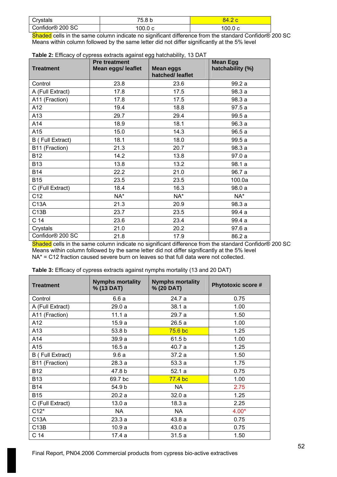| Crystals                     | 75.8 b | т. д    |
|------------------------------|--------|---------|
| Confidor <sup>®</sup> 200 SC | 00.0c  | 100.0 с |

Shaded cells in the same column indicate no significant difference from the standard Confidor® 200 SC Means within column followed by the same letter did not differ significantly at the 5% level

| Table 2: Efficacy of cypress extracts against egg hatchability, 13 DAT |  |  |  |  |  |
|------------------------------------------------------------------------|--|--|--|--|--|
|------------------------------------------------------------------------|--|--|--|--|--|

| <b>Treatment</b> | <b>Pre treatment</b><br><b>Mean eggs/leaflet</b> | <u>vv</u><br><b>Mean eggs</b><br>hatched/leaflet | <b>Mean Egg</b><br>hatchability (%) |
|------------------|--------------------------------------------------|--------------------------------------------------|-------------------------------------|
| Control          | 23.8                                             | 23.6                                             | 99.2 a                              |
| A (Full Extract) | 17.8                                             | 17.5                                             | 98.3 a                              |
| A11 (Fraction)   | 17.8                                             | 17.5                                             | 98.3 a                              |
| A12              | 19.4                                             | 18.8                                             | 97.5a                               |
| A13              | 29.7                                             | 29.4                                             | 99.5a                               |
| A14              | 18.9                                             | 18.1                                             | 96.3a                               |
| A15              | 15.0                                             | 14.3                                             | 96.5a                               |
| B (Full Extract) | 18.1                                             | 18.0                                             | 99.5a                               |
| B11 (Fraction)   | 21.3                                             | 20.7                                             | 98.3 a                              |
| <b>B12</b>       | 14.2                                             | 13.8                                             | 97.0 a                              |
| <b>B13</b>       | 13.8                                             | 13.2                                             | 98.1 a                              |
| <b>B14</b>       | 22.2                                             | 21.0                                             | 96.7 a                              |
| <b>B15</b>       | 23.5                                             | 23.5                                             | 100.0a                              |
| C (Full Extract) | 18.4                                             | 16.3                                             | 98.0a                               |
| C12              | NA*                                              | NA*                                              | NA*                                 |
| C13A             | 21.3                                             | 20.9                                             | 98.3 a                              |
| C13B             | 23.7                                             | 23.5                                             | 99.4 a                              |
| C <sub>14</sub>  | 23.6                                             | 23.4                                             | 99.4 a                              |
| Crystals         | 21.0                                             | 20.2                                             | 97.6 a                              |
| Confidor® 200 SC | 21.8                                             | 17.9                                             | 86.2 a                              |

Shaded cells in the same column indicate no significant difference from the standard Confidor® 200 SC Means within column followed by the same letter did not differ significantly at the 5% level  $NA* = C12$  fraction caused severe burn on leaves so that full data were not collected.

|  | Table 3: Efficacy of cypress extracts against nymphs mortality (13 and 20 DAT) |
|--|--------------------------------------------------------------------------------|
|  |                                                                                |

| <b>Treatment</b> | <b>Nymphs mortality</b><br>% (13 DAT) | <b>Nymphs mortality</b><br>% (20 DAT) | <b>Phytotoxic score #</b> |
|------------------|---------------------------------------|---------------------------------------|---------------------------|
| Control          | 6.6a                                  | 24.7 a                                | 0.75                      |
| A (Full Extract) | 29.0a                                 | 38.1a                                 | 1.00                      |
| A11 (Fraction)   | 11.1a                                 | 29.7 a                                | 1.50                      |
| A12              | 15.9a                                 | 26.5a                                 | 1.00                      |
| A13              | 53.8 b                                | 75.6 bc                               | 1.25                      |
| A14              | 39.9a                                 | 61.5 b                                | 1.00                      |
| A15              | 16.5a                                 | 40.7 a                                | 1.25                      |
| B (Full Extract) | 9.6a                                  | 37.2a                                 | 1.50                      |
| B11 (Fraction)   | 28.3 a                                | 53.3a                                 | 1.75                      |
| <b>B12</b>       | 47.8 b                                | 52.1a                                 | 0.75                      |
| <b>B13</b>       | 69.7 bc                               | 77.4 bc                               | 1.00                      |
| <b>B14</b>       | 54.9 b                                | NA.                                   | 2.75                      |
| <b>B15</b>       | 20.2a                                 | 32.0a                                 | 1.25                      |
| C (Full Extract) | 13.0a                                 | 18.3a                                 | 2.25                      |
| $C12*$           | NA.                                   | NA.                                   | $4.00*$                   |
| C13A             | 23.3a                                 | 43.8 a                                | 0.75                      |
| C13B             | 10.9a                                 | 43.0 a                                | 0.75                      |
| C <sub>14</sub>  | 17.4 a                                | 31.5a                                 | 1.50                      |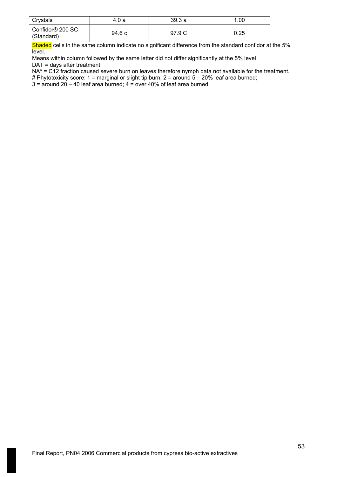| Crystals                                   | 4.0 a  | 39.3a  | 1.00 |
|--------------------------------------------|--------|--------|------|
| Confidor <sup>®</sup> 200 SC<br>(Standard) | 94.6 c | 97.9 C | 0.25 |

Shaded cells in the same column indicate no significant difference from the standard confidor at the 5% level.

Means within column followed by the same letter did not differ significantly at the 5% level DAT = days after treatment

 $NA* = C12$  fraction caused severe burn on leaves therefore nymph data not available for the treatment.

# Phytotoxicity score: 1 = marginal or slight tip burn; 2 = around  $5 - 20%$  leaf area burned;

 $3 =$  around  $20 - 40$  leaf area burned;  $4 =$  over  $40%$  of leaf area burned.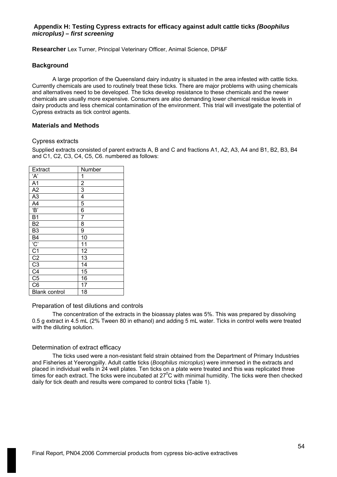# **Appendix H: Testing Cypress extracts for efficacy against adult cattle ticks** *(Boophilus microplus) – first screening*

**Researcher** Lex Turner, Principal Veterinary Officer, Animal Science, DPI&F

### **Background**

A large proportion of the Queensland dairy industry is situated in the area infested with cattle ticks. Currently chemicals are used to routinely treat these ticks. There are major problems with using chemicals and alternatives need to be developed. The ticks develop resistance to these chemicals and the newer chemicals are usually more expensive. Consumers are also demanding lower chemical residue levels in dairy products and less chemical contamination of the environment. This trial will investigate the potential of Cypress extracts as tick control agents.

# **Materials and Methods**

### Cypress extracts

Supplied extracts consisted of parent extracts A, B and C and fractions A1, A2, A3, A4 and B1, B2, B3, B4 and C1, C2, C3, C4, C5, C6. numbered as follows:

| <b>Extract</b>                                                | Number         |
|---------------------------------------------------------------|----------------|
| ʻA'                                                           | 1              |
| $\overline{A1}$                                               | $\overline{2}$ |
| A2                                                            | 3              |
| A3                                                            | 4              |
| A <sub>4</sub>                                                | 5              |
| $\overline{B}$                                                | 6              |
| B <sub>1</sub>                                                | 7              |
| B <sub>2</sub>                                                | 8              |
| B <sub>3</sub>                                                | 9              |
|                                                               | 10             |
|                                                               | 11             |
| $\frac{BA}{C}$ $\frac{C}{C1}$ $\frac{C2}{C3}$ $\frac{C3}{C4}$ | 12             |
|                                                               | 13             |
|                                                               | 14             |
|                                                               | 15             |
| C <sub>5</sub>                                                | 16             |
| C <sub>6</sub>                                                | 17             |
| <b>Blank control</b>                                          | 18             |

### Preparation of test dilutions and controls

The concentration of the extracts in the bioassay plates was 5%. This was prepared by dissolving 0.5 g extract in 4.5 mL (2% Tween 80 in ethanol) and adding 5 mL water. Ticks in control wells were treated with the diluting solution.

### Determination of extract efficacy

The ticks used were a non-resistant field strain obtained from the Department of Primary Industries and Fisheries at Yeerongpilly. Adult cattle ticks (*Boophilus microplus*) were immersed in the extracts and placed in individual wells in 24 well plates. Ten ticks on a plate were treated and this was replicated three times for each extract. The ticks were incubated at 27 $\rm ^{0}C$  with minimal humidity. The ticks were then checked daily for tick death and results were compared to control ticks (Table 1).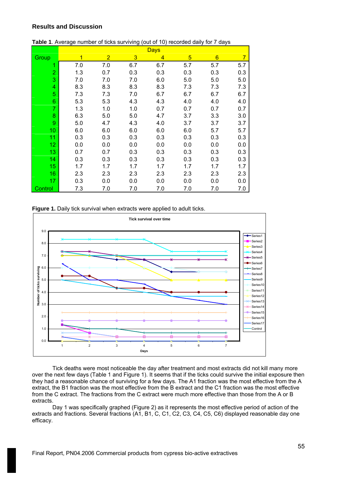# **Results and Discussion**

|                 | <b>Days</b> |                |     |     |     |                 |     |  |  |
|-----------------|-------------|----------------|-----|-----|-----|-----------------|-----|--|--|
| Group           | 1           | $\overline{2}$ | 3   | 4   | 5   | $6\phantom{1}6$ | 7   |  |  |
| 1               | 7.0         | 7.0            | 6.7 | 6.7 | 5.7 | 5.7             | 5.7 |  |  |
| $\overline{2}$  | 1.3         | 0.7            | 0.3 | 0.3 | 0.3 | 0.3             | 0.3 |  |  |
| 3               | 7.0         | 7.0            | 7.0 | 6.0 | 5.0 | 5.0             | 5.0 |  |  |
| 4               | 8.3         | 8.3            | 8.3 | 8.3 | 7.3 | 7.3             | 7.3 |  |  |
| 5               | 7.3         | 7.3            | 7.0 | 6.7 | 6.7 | 6.7             | 6.7 |  |  |
| $6\phantom{1}$  | 5.3         | 5.3            | 4.3 | 4.3 | 4.0 | 4.0             | 4.0 |  |  |
| $\overline{7}$  | 1.3         | 1.0            | 1.0 | 0.7 | 0.7 | 0.7             | 0.7 |  |  |
| 8               | 6.3         | 5.0            | 5.0 | 4.7 | 3.7 | 3.3             | 3.0 |  |  |
| 9               | 5.0         | 4.7            | 4.3 | 4.0 | 3.7 | 3.7             | 3.7 |  |  |
| 10              | 6.0         | 6.0            | 6.0 | 6.0 | 6.0 | 5.7             | 5.7 |  |  |
| 11              | 0.3         | 0.3            | 0.3 | 0.3 | 0.3 | 0.3             | 0.3 |  |  |
| 12 <sub>2</sub> | 0.0         | 0.0            | 0.0 | 0.0 | 0.0 | 0.0             | 0.0 |  |  |
| 13              | 0.7         | 0.7            | 0.3 | 0.3 | 0.3 | 0.3             | 0.3 |  |  |
| 14              | 0.3         | 0.3            | 0.3 | 0.3 | 0.3 | 0.3             | 0.3 |  |  |
| 15              | 1.7         | 1.7            | 1.7 | 1.7 | 1.7 | 1.7             | 1.7 |  |  |
| 16              | 2.3         | 2.3            | 2.3 | 2.3 | 2.3 | 2.3             | 2.3 |  |  |
| 17              | 0.3         | 0.0            | 0.0 | 0.0 | 0.0 | 0.0             | 0.0 |  |  |
| Control         | 7.3         | 7.0            | 7.0 | 7.0 | 7.0 | 7.0             | 7.0 |  |  |

#### **Table 1**. Average number of ticks surviving (out of 10) recorded daily for 7 days





Tick deaths were most noticeable the day after treatment and most extracts did not kill many more over the next few days (Table 1 and Figure 1). It seems that if the ticks could survive the initial exposure then they had a reasonable chance of surviving for a few days. The A1 fraction was the most effective from the A extract, the B1 fraction was the most effective from the B extract and the C1 fraction was the most effective from the C extract. The fractions from the C extract were much more effective than those from the A or B extracts.

Day 1 was specifically graphed (Figure 2) as it represents the most effective period of action of the extracts and fractions. Several fractions (A1, B1, C, C1, C2, C3, C4, C5, C6) displayed reasonable day one efficacy.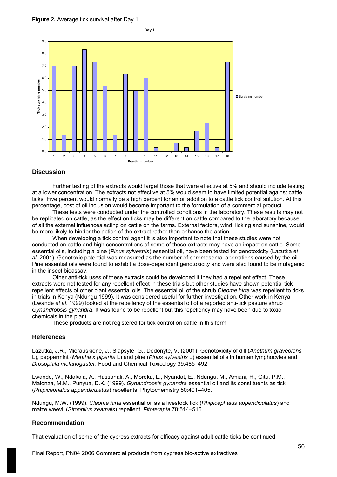



#### **Discussion**

Further testing of the extracts would target those that were effective at 5% and should include testing at a lower concentration. The extracts not effective at 5% would seem to have limited potential against cattle ticks. Five percent would normally be a high percent for an oil addition to a cattle tick control solution. At this percentage, cost of oil inclusion would become important to the formulation of a commercial product.

These tests were conducted under the controlled conditions in the laboratory. These results may not be replicated on cattle, as the effect on ticks may be different on cattle compared to the laboratory because of all the external influences acting on cattle on the farms. External factors, wind, licking and sunshine, would be more likely to hinder the action of the extract rather than enhance the action.

When developing a tick control agent it is also important to note that these studies were not conducted on cattle and high concentrations of some of these extracts may have an impact on cattle. Some essential oils, including a pine (*Pinus sylvestris*) essential oil, have been tested for genotoxicity (Lazutka *et al.* 2001). Genotoxic potential was measured as the number of chromosomal aberrations caused by the oil. Pine essential oils were found to exhibit a dose-dependent genotoxicity and were also found to be mutagenic in the insect bioassay.

Other anti-tick uses of these extracts could be developed if they had a repellent effect. These extracts were not tested for any repellent effect in these trials but other studies have shown potential tick repellent effects of other plant essential oils. The essential oil of the shrub *Cleome hirta* was repellent to ticks in trials in Kenya (Ndungu 1999). It was considered useful for further investigation. Other work in Kenya (Lwande *et al*. 1999) looked at the repellency of the essential oil of a reported anti-tick pasture shrub *Gynandropsis gynandra*. It was found to be repellent but this repellency may have been due to toxic chemicals in the plant.

These products are not registered for tick control on cattle in this form.

#### **References**

Lazutka, J.R., Mierauskiene, J., Slapsyte, G., Dedonyte, V. (2001). Genotoxicity of dill (*Anethum graveolens* L), peppermint (*Mentha x piperita* L) and pine (*Pinus sylvestris* L) essential oils in human lymphocytes and *Drosophila melanogaster*. Food and Chemical Toxicology 39:485–492.

Lwande, W., Ndakala, A., Hassanali, A., Moreka, L., Nyandat, E., Ndungu, M., Amiani, H., Gitu, P.M., Malonza, M.M., Punyua, D.K. (1999). *Gynandropsis gynandra* essential oil and its constituents as tick (*Rhipicephalus appendiculatus*) repellents. Phytochemistry 50:401–405.

Ndungu, M.W. (1999). *Cleome hirta* essential oil as a livestock tick (*Rhipicephalus appendiculatus*) and maize weevil (*Sitophilus zeamais*) repellent. *Fitoterapia* 70:514–516.

#### **Recommendation**

That evaluation of some of the cypress extracts for efficacy against adult cattle ticks be continued.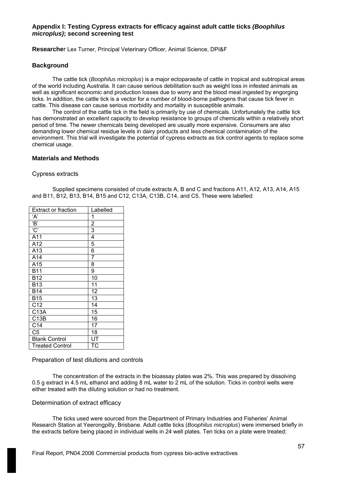# **Appendix I: Testing Cypress extracts for efficacy against adult cattle ticks** *(Boophilus microplus)***; second screening test**

**Researche**r Lex Turner, Principal Veterinary Officer, Animal Science, DPI&F

### **Background**

The cattle tick (*Boophilus microplus*) is a major ectoparasite of cattle in tropical and subtropical areas of the world including Australia. It can cause serious debilitation such as weight loss in infested animals as well as significant economic and production losses due to worry and the blood meal ingested by engorging ticks. In addition, the cattle tick is a vector for a number of blood-borne pathogens that cause tick fever in cattle. This disease can cause serious morbidity and mortality in susceptible animals.

The control of the cattle tick in the field is primarily by use of chemicals. Unfortunately the cattle tick has demonstrated an excellent capacity to develop resistance to groups of chemicals within a relatively short period of time. The newer chemicals being developed are usually more expensive. Consumers are also demanding lower chemical residue levels in dairy products and less chemical contamination of the environment. This trial will investigate the potential of cypress extracts as tick control agents to replace some chemical usage.

### **Materials and Methods**

#### Cypress extracts

Supplied specimens consisted of crude extracts A, B and C and fractions A11, A12, A13, A14, A15 and B11, B12, B13, B14, B15 and C12, C13A, C13B, C14, and C5. These were labelled:

| <b>Extract or fraction</b> | Labelled                 |
|----------------------------|--------------------------|
| ʻA'                        | 1                        |
| B                          |                          |
| $\overline{C}$             | $\frac{2}{3}$            |
| A11                        | $\overline{4}$           |
| A12                        | 5                        |
| A13                        | 6                        |
| A14                        | 7                        |
| A15                        | 8                        |
| <b>B11</b>                 | $\overline{9}$           |
| <b>B12</b>                 | 10                       |
| <b>B13</b>                 | 11                       |
| <b>B14</b>                 | 12                       |
| <b>B15</b>                 | 13                       |
| C12                        | 14                       |
| C13A                       | 15                       |
| C13B                       | 16                       |
| C <sub>14</sub>            | 17                       |
| $\overline{C5}$            | 18                       |
| <b>Blank Control</b>       | $\overline{\mathsf{UT}}$ |
| <b>Treated Control</b>     | ТC                       |

### Preparation of test dilutions and controls

The concentration of the extracts in the bioassay plates was 2%. This was prepared by dissolving 0.5 g extract in 4.5 mL ethanol and adding 8 mL water to 2 mL of the solution. Ticks in control wells were either treated with the diluting solution or had no treatment.

### Determination of extract efficacy

The ticks used were sourced from the Department of Primary Industries and Fisheries' Animal Research Station at Yeerongpilly, Brisbane. Adult cattle ticks (*Boophilus microplus*) were immersed briefly in the extracts before being placed in individual wells in 24 well plates. Ten ticks on a plate were treated;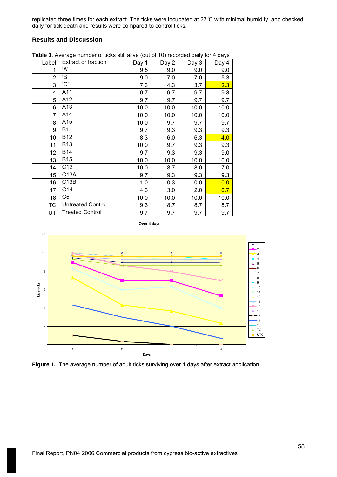replicated three times for each extract. The ticks were incubated at 27 $\rm ^{o}C$  with minimal humidity, and checked daily for tick death and results were compared to control ticks.

# **Results and Discussion**

| Label          | <b>Extract or fraction</b> | Day 1 | Day 2 | Day 3 | Day 4 |
|----------------|----------------------------|-------|-------|-------|-------|
| 1              | 'A'                        | 9.5   | 9.0   | 9.0   | 9.0   |
| 2              | 'B'                        | 9.0   | 7.0   | 7.0   | 5.3   |
| 3              | 'C'                        | 7.3   | 4.3   | 3.7   | 2.3   |
| 4              | A11                        | 9.7   | 9.7   | 9.7   | 9.3   |
| 5              | A12                        | 9.7   | 9.7   | 9.7   | 9.7   |
| 6              | A13                        | 10.0  | 10.0  | 10.0  | 10.0  |
| $\overline{7}$ | A14                        | 10.0  | 10.0  | 10.0  | 10.0  |
| 8              | A15                        | 10.0  | 9.7   | 9.7   | 9.7   |
| 9              | <b>B11</b>                 | 9.7   | 9.3   | 9.3   | 9.3   |
| 10             | <b>B12</b>                 | 8.3   | 6.0   | 6.3   | 4.0   |
| 11             | <b>B13</b>                 | 10.0  | 9.7   | 9.3   | 9.3   |
| 12             | <b>B14</b>                 | 9.7   | 9.3   | 9.3   | 9.0   |
| 13             | <b>B15</b>                 | 10.0  | 10.0  | 10.0  | 10.0  |
| 14             | C12                        | 10.0  | 8.7   | 8.0   | 7.0   |
| 15             | C13A                       | 9.7   | 9.3   | 9.3   | 9.3   |
| 16             | C <sub>13</sub> B          | 1.0   | 0.3   | 0.0   | 0.0   |
| 17             | C <sub>14</sub>            | 4.3   | 3.0   | 2.0   | 0.7   |
| 18             | C5                         | 10.0  | 10.0  | 10.0  | 10.0  |
| <b>TC</b>      | <b>Untreated Control</b>   | 9.3   | 8.7   | 8.7   | 8.7   |
| UT             | <b>Treated Control</b>     | 9.7   | 9.7   | 9.7   | 9.7   |

**Table 1**. Average number of ticks still alive (out of 10) recorded daily for 4 days





Figure 1. The average number of adult ticks surviving over 4 days after extract application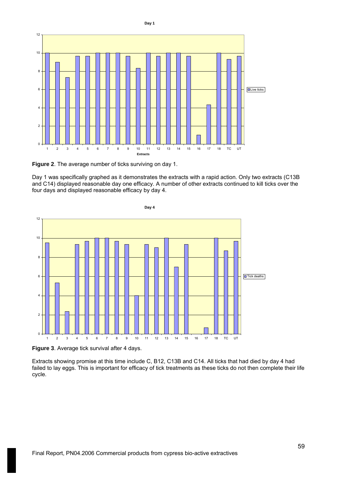

**Day 1**

**Figure 2**. The average number of ticks surviving on day 1.

Day 1 was specifically graphed as it demonstrates the extracts with a rapid action. Only two extracts (C13B and C14) displayed reasonable day one efficacy. A number of other extracts continued to kill ticks over the four days and displayed reasonable efficacy by day 4.



**Day 4**

**Figure 3**. Average tick survival after 4 days.

Extracts showing promise at this time include C, B12, C13B and C14. All ticks that had died by day 4 had failed to lay eggs. This is important for efficacy of tick treatments as these ticks do not then complete their life cycle.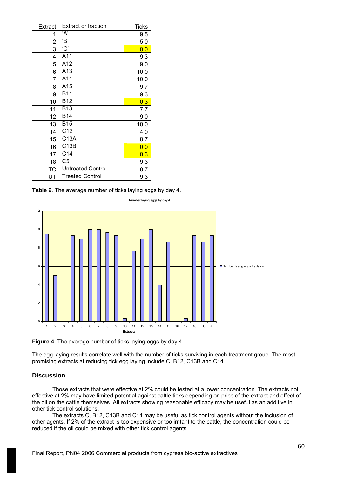| Extract   | <b>Extract or fraction</b> | <b>Ticks</b> |
|-----------|----------------------------|--------------|
| 1         | ʻA'                        | 9.5          |
| 2         | 'B'                        | 5.0          |
| 3         | 'C'                        | 0.0          |
| 4         | A11                        | 9.3          |
| 5         | A12                        | 9.0          |
| 6         | A13                        | 10.0         |
| 7         | A14                        | 10.0         |
| 8         | A15                        | 9.7          |
| 9         | <b>B11</b>                 | 9.3          |
| 10        | <b>B12</b>                 | 0.3          |
| 11        | B13                        | 7.7          |
| 12        | <b>B14</b>                 | 9.0          |
| 13        | <b>B15</b>                 | 10.0         |
| 14        | C12                        | 4.0          |
| 15        | C13A                       | 8.7          |
| 16        | C13B                       | 0.0          |
| 17        | C <sub>14</sub>            | 0.3          |
| 18        | C <sub>5</sub>             | 9.3          |
| <b>TC</b> | <b>Untreated Control</b>   | 8.7          |
| UT        | <b>Treated Control</b>     | 9.3          |

**Table 2**. The average number of ticks laying eggs by day 4.



Number laying eggs by day 4

**Figure 4**. The average number of ticks laying eggs by day 4.

The egg laying results correlate well with the number of ticks surviving in each treatment group. The most promising extracts at reducing tick egg laying include C, B12, C13B and C14.

### **Discussion**

Those extracts that were effective at 2% could be tested at a lower concentration. The extracts not effective at 2% may have limited potential against cattle ticks depending on price of the extract and effect of the oil on the cattle themselves. All extracts showing reasonable efficacy may be useful as an additive in other tick control solutions.

The extracts C, B12, C13B and C14 may be useful as tick control agents without the inclusion of other agents. If 2% of the extract is too expensive or too irritant to the cattle, the concentration could be reduced if the oil could be mixed with other tick control agents.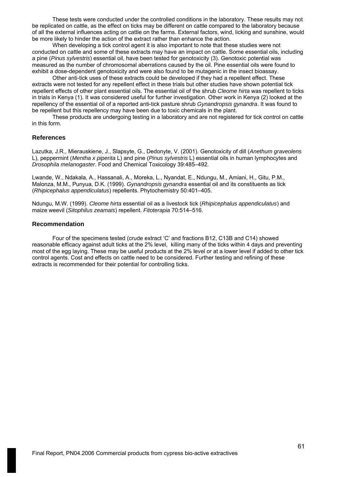These tests were conducted under the controlled conditions in the laboratory. These results may not be replicated on cattle, as the effect on ticks may be different on cattle compared to the laboratory because of all the external influences acting on cattle on the farms. External factors, wind, licking and sunshine, would be more likely to hinder the action of the extract rather than enhance the action.

When developing a tick control agent it is also important to note that these studies were not conducted on cattle and some of these extracts may have an impact on cattle. Some essential oils, including a pine (*Pinus sylvestris*) essential oil, have been tested for genotoxicity (3). Genotoxic potential was measured as the number of chromosomal aberrations caused by the oil. Pine essential oils were found to exhibit a dose-dependent genotoxicity and were also found to be mutagenic in the insect bioassay.

Other anti-tick uses of these extracts could be developed if they had a repellent effect. These extracts were not tested for any repellent effect in these trials but other studies have shown potential tick repellent effects of other plant essential oils. The essential oil of the shrub *Cleome hirta* was repellent to ticks in trials in Kenya (1). It was considered useful for further investigation. Other work in Kenya (2) looked at the repellency of the essential oil of a reported anti-tick pasture shrub *Gynandropsis gynandra*. It was found to be repellent but this repellency may have been due to toxic chemicals in the plant.

These products are undergoing testing in a laboratory and are not registered for tick control on cattle in this form.

#### **References**

Lazutka, J.R., Mierauskiene, J., Slapsyte, G., Dedonyte, V. (2001). Genotoxicity of dill (*Anethum graveolens* L), peppermint (*Mentha x piperita* L) and pine (*Pinus sylvestris* L) essential oils in human lymphocytes and *Drosophila melanogaster*. Food and Chemical Toxicology 39:485–492.

Lwande, W., Ndakala, A., Hassanali, A., Moreka, L., Nyandat, E., Ndungu, M., Amiani, H., Gitu, P.M., Malonza, M.M., Punyua, D.K. (1999). *Gynandropsis gynandra* essential oil and its constituents as tick (*Rhipicephalus appendiculatus*) repellents. Phytochemistry 50:401–405.

Ndungu, M.W. (1999). *Cleome hirta* essential oil as a livestock tick (*Rhipicephalus appendiculatus*) and maize weevil (*Sitophilus zeamais*) repellent. *Fitoterapia* 70:514–516.

#### **Recommendation**

Four of the specimens tested (crude extract 'C' and fractions B12, C13B and C14) showed reasonable efficacy against adult ticks at the 2% level, killing many of the ticks within 4 days and preventing most of the egg laying. These may be useful products at the 2% level or at a lower level if added to other tick control agents. Cost and effects on cattle need to be considered. Further testing and refining of these extracts is recommended for their potential for controlling ticks.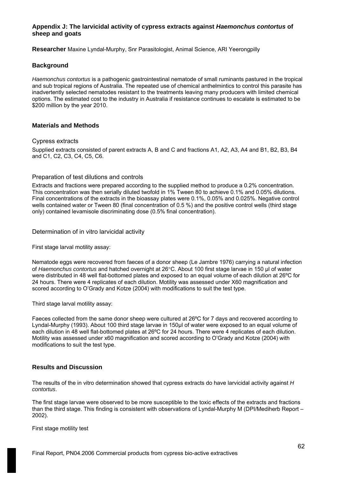# **Appendix J: The larvicidal activity of cypress extracts against** *Haemonchus contortus* **of sheep and goats**

**Researcher** Maxine Lyndal-Murphy, Snr Parasitologist, Animal Science, ARI Yeerongpilly

# **Background**

*Haemonchus contortus* is a pathogenic gastrointestinal nematode of small ruminants pastured in the tropical and sub tropical regions of Australia. The repeated use of chemical anthelmintics to control this parasite has inadvertently selected nematodes resistant to the treatments leaving many producers with limited chemical options. The estimated cost to the industry in Australia if resistance continues to escalate is estimated to be \$200 million by the year 2010.

# **Materials and Methods**

#### Cypress extracts

Supplied extracts consisted of parent extracts A, B and C and fractions A1, A2, A3, A4 and B1, B2, B3, B4 and C1, C2, C3, C4, C5, C6.

### Preparation of test dilutions and controls

Extracts and fractions were prepared according to the supplied method to produce a 0.2% concentration. This concentration was then serially diluted twofold in 1% Tween 80 to achieve 0.1% and 0.05% dilutions. Final concentrations of the extracts in the bioassay plates were 0.1%, 0.05% and 0.025%. Negative control wells contained water or Tween 80 (final concentration of 0.5 %) and the positive control wells (third stage only) contained levamisole discriminating dose (0.5% final concentration).

### Determination of in vitro larvicidal activity

First stage larval motility assay:

Nematode eggs were recovered from faeces of a donor sheep (Le Jambre 1976) carrying a natural infection of *Haemonchus contortus* and hatched overnight at 26°C. About 100 first stage larvae in 150 µl of water were distributed in 48 well flat-bottomed plates and exposed to an equal volume of each dilution at 26ºC for 24 hours. There were 4 replicates of each dilution. Motility was assessed under X60 magnification and scored according to O'Grady and Kotze (2004) with modifications to suit the test type.

Third stage larval motility assay:

Faeces collected from the same donor sheep were cultured at 26ºC for 7 days and recovered according to Lyndal-Murphy (1993). About 100 third stage larvae in 150µl of water were exposed to an equal volume of each dilution in 48 well flat-bottomed plates at 26ºC for 24 hours. There were 4 replicates of each dilution. Motility was assessed under x60 magnification and scored according to O'Grady and Kotze (2004) with modifications to suit the test type.

### **Results and Discussion**

The results of the in vitro determination showed that cypress extracts do have larvicidal activity against *H contortus*.

The first stage larvae were observed to be more susceptible to the toxic effects of the extracts and fractions than the third stage. This finding is consistent with observations of Lyndal-Murphy M (DPI/Mediherb Report – 2002).

First stage motility test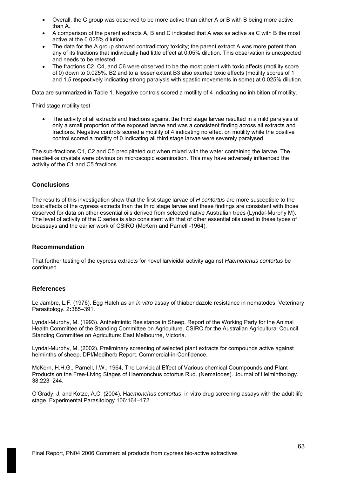- Overall, the C group was observed to be more active than either A or B with B being more active than A.
- A comparison of the parent extracts A, B and C indicated that A was as active as C with B the most active at the 0.025% dilution.
- The data for the A group showed contradictory toxicity; the parent extract A was more potent than any of its fractions that individually had little effect at 0.05% dilution. This observation is unexpected and needs to be retested.
- The fractions C2, C4, and C6 were observed to be the most potent with toxic affects (motility score of 0) down to 0.025%. B2 and to a lesser extent B3 also exerted toxic effects (motility scores of 1 and 1.5 respectively indicating strong paralysis with spastic movements in some) at 0.025% dilution.

Data are summarized in Table 1. Negative controls scored a motility of 4 indicating no inhibition of motility.

Third stage motility test

The activity of all extracts and fractions against the third stage larvae resulted in a mild paralysis of only a small proportion of the exposed larvae and was a consistent finding across all extracts and fractions. Negative controls scored a motility of 4 indicating no effect on motility while the positive control scored a motility of 0 indicating all third stage larvae were severely paralysed.

The sub-fractions C1, C2 and C5 precipitated out when mixed with the water containing the larvae. The needle-like crystals were obvious on microscopic examination. This may have adversely influenced the activity of the C1 and C5 fractions.

# **Conclusions**

The results of this investigation show that the first stage larvae of *H contortus* are more susceptible to the toxic effects of the cypress extracts than the third stage larvae and these findings are consistent with those observed for data on other essential oils derived from selected native Australian trees (Lyndal-Murphy M). The level of activity of the C series is also consistent with that of other essential oils used in these types of bioassays and the earlier work of CSIRO (McKern and Parnell -1964).

### **Recommendation**

That further testing of the cypress extracts for novel larvicidal activity against *Haemonchus contortus* be continued.

### **References**

Le Jambre, L.F. (1976). Egg Hatch as an *in vitro* assay of thiabendazole resistance in nematodes. Veterinary Parasitology*.* 2**:**385–391.

Lyndal-Murphy, M. (1993). Anthelmintic Resistance in Sheep. Report of the Working Party for the Animal Health Committee of the Standing Committee on Agriculture. CSIRO for the Australian Agricultural Council Standing Committee on Agriculture: East Melbourne, Victoria.

Lyndal-Murphy, M. (2002). Preliminary screening of selected plant extracts for compounds active against helminths of sheep. DPI/Mediherb Report. Commercial-in-Confidence.

McKern, H.H.G., Parnell, I.W., 1964, The Larvicidal Effect of Various chemical Coumpounds and Plant Products on the Free-Living Stages of Haemonchus cotortus Rud. (Nematodes). Journal of Helminthology. 38:223–244.

O'Grady, J. and Kotze, A.C. (2004). H*aemonchus contortus*: in vitro drug screening assays with the adult life stage. Experimental Parasitology 106:164–172.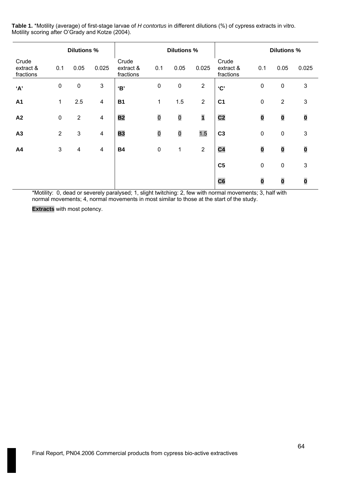**Table 1.** \*Motility (average) of first-stage larvae of *H contortus* in different dilutions (%) of cypress extracts in vitro. Motility scoring after O'Grady and Kotze (2004).

|                                 | <b>Dilutions %</b> |                           |                           | <b>Dilutions %</b>              |             |           |                         |                                 | <b>Dilutions %</b> |                |                |
|---------------------------------|--------------------|---------------------------|---------------------------|---------------------------------|-------------|-----------|-------------------------|---------------------------------|--------------------|----------------|----------------|
| Crude<br>extract &<br>fractions | 0.1                | 0.05                      | 0.025                     | Crude<br>extract &<br>fractions | 0.1         | 0.05      | 0.025                   | Crude<br>extract &<br>fractions | 0.1                | 0.05           | 0.025          |
| 'A'                             | $\boldsymbol{0}$   | $\pmb{0}$                 | $\ensuremath{\mathsf{3}}$ | <b>'В'</b>                      | $\pmb{0}$   | $\pmb{0}$ | $\overline{2}$          | C                               | $\pmb{0}$          | $\pmb{0}$      | $\mathfrak{S}$ |
| <b>A1</b>                       | 1                  | 2.5                       | 4                         | <b>B1</b>                       | 1           | 1.5       | $\overline{2}$          | C <sub>1</sub>                  | $\pmb{0}$          | $\overline{2}$ | $\mathbf{3}$   |
| A2                              | $\pmb{0}$          | $\mathbf{2}$              | $\overline{4}$            | <b>B2</b>                       | $\mathbf 0$ | $\bf{0}$  | $\overline{\mathbf{1}}$ | C <sub>2</sub>                  | $\bf{0}$           | $\bf{0}$       | $\bf{0}$       |
| A3                              | $\overline{2}$     | $\ensuremath{\mathsf{3}}$ | $\overline{\mathbf{4}}$   | <b>B3</b>                       | $\mathbf 0$ | $\bf{0}$  | 1.5                     | C <sub>3</sub>                  | $\pmb{0}$          | $\pmb{0}$      | $\mathfrak{S}$ |
| A4                              | $\sqrt{3}$         | 4                         | $\overline{\mathbf{4}}$   | <b>B4</b>                       | $\pmb{0}$   | 1         | $\overline{2}$          | C <sub>4</sub>                  | $\bf{0}$           | $\bf{0}$       | $\bf{0}$       |
|                                 |                    |                           |                           |                                 |             |           |                         | C <sub>5</sub>                  | $\pmb{0}$          | $\pmb{0}$      | $\mathsf 3$    |
|                                 |                    |                           |                           |                                 |             |           |                         | C6                              | $\bf{0}$           | $\bf{0}$       | $\bf{0}$       |

\*Motility: 0, dead or severely paralysed; 1, slight twitching: 2, few with normal movements; 3, half with normal movements; 4, normal movements in most similar to those at the start of the study.

**Extracts** with most potency.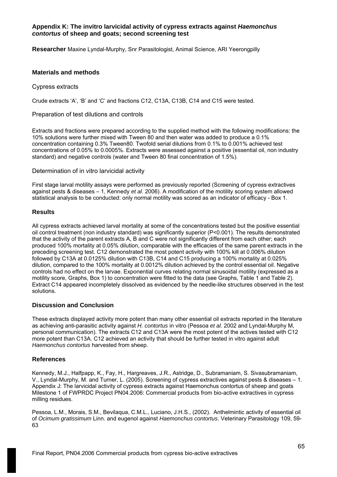# **Appendix K: The invitro larvicidal activity of cypress extracts against** *Haemonchus contortus* **of sheep and goats; second screening test**

**Researcher** Maxine Lyndal-Murphy, Snr Parasitologist, Animal Science, ARI Yeerongpilly

### **Materials and methods**

Cypress extracts

Crude extracts 'A', 'B' and 'C' and fractions C12, C13A, C13B, C14 and C15 were tested.

Preparation of test dilutions and controls

Extracts and fractions were prepared according to the supplied method with the following modifications: the 10% solutions were further mixed with Tween 80 and then water was added to produce a 0.1% concentration containing 0.3% Tween80. Twofold serial dilutions from 0.1% to 0.001% achieved test concentrations of 0.05% to 0.0005%. Extracts were assessed against a positive (essential oil, non industry standard) and negative controls (water and Tween 80 final concentration of 1.5%).

Determination of in vitro larvicidal activity

First stage larval motility assays were performed as previously reported (Screening of cypress extractives against pests & diseases – 1, Kennedy *et al*. 2006). A modification of the motility scoring system allowed statistical analysis to be conducted: only normal motility was scored as an indicator of efficacy - Box 1.

### **Results**

All cypress extracts achieved larval mortality at some of the concentrations tested but the positive essential oil control treatment (non industry standard) was significantly superior (P<0.001). The results demonstrated that the activity of the parent extracts A, B and C were not significantly different from each other; each produced 100% mortality at 0.05% dilution, comparable with the efficacies of the same parent extracts in the preceding screening test. C12 demonstrated the most potent activity with 100% kill at 0.006% dilution followed by C13A at 0.0125% dilution with C13B, C14 and C15 producing a 100% mortality at 0.025% dilution, compared to the 100% mortality at 0.0012% dilution achieved by the control essential oil. Negative controls had no effect on the larvae. Exponential curves relating normal sinusoidal motility (expressed as a motility score, Graphs, Box 1) to concentration were fitted to the data (see Graphs, Table 1 and Table 2). Extract C14 appeared incompletely dissolved as evidenced by the needle-like structures observed in the test solutions.

## **Discussion and Conclusion**

These extracts displayed activity more potent than many other essential oil extracts reported in the literature as achieving anti-parasitic activity against *H. contortus* in vitro (Pessoa *et al.* 2002 and Lyndal-Murphy M, personal communication). The extracts C12 and C13A were the most potent of the actives tested with C12 more potent than C13A. C12 achieved an activity that should be further tested in vitro against adult *Haemonchus contortus* harvested from sheep.

### **References**

Kennedy, M.J., Halfpapp, K., Fay, H., Hargreaves, J.R., Astridge, D., Subramaniam, S. Sivasubramaniam, V., Lyndal-Murphy, M. and Turner, L. (2005). Screening of cypress extractives against pests & diseases – 1. Appendix J: The larvicidal activity of cypress extracts against Haemonchus contortus of sheep and goats Milestone 1 of FWPRDC Project PN04.2006: Commercial products from bio-active extractives in cypress milling residues.

Pessoa, L.M., Morais, S.M., Bevilaqua, C.M.L., Luciano, J.H.S., (2002). Anthelmintic activity of essential oil of *Ocimum gratissimum* Linn. and eugenol against *Haemonchus contortus*. Veterinary Parasitology 109, 59- 63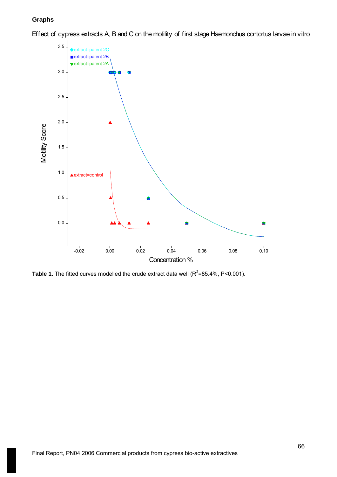# **Graphs**

Effect of cypress extracts A, B and C on the motility of first stage Haemonchus contortus larvae in vitro



**Table 1.** The fitted curves modelled the crude extract data well ( $R^2$ =85.4%, P<0.001).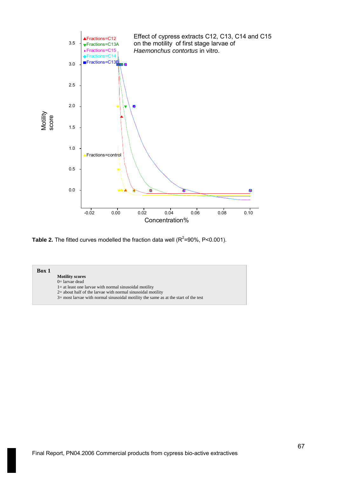

**Table 2.** The fitted curves modelled the fraction data well ( $R^2$ =90%, P<0.001).

### **Box 1**

- **Motility scores**
- 0= larvae dead
- 1= at least one larvae with normal sinusoidal motility
- 2= about half of the larvae with normal sinusoidal motility
- 3= most larvae with normal sinusoidal motility the same as at the start of the test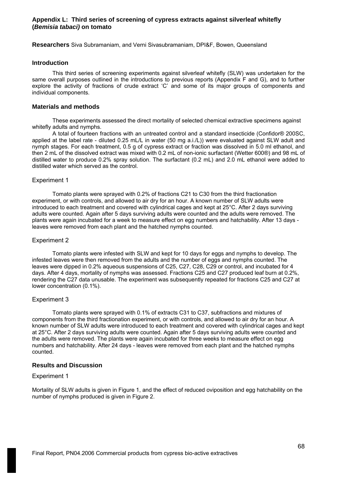## **Appendix L: Third series of screening of cypress extracts against silverleaf whitefly (***Bemisia tabaci)* **on tomato**

**Researchers** Siva Subramaniam, and Verni Sivasubramaniam, DPI&F, Bowen, Queensland

#### **Introduction**

This third series of screening experiments against silverleaf whitefly (SLW) was undertaken for the same overall purposes outlined in the introductions to previous reports (Appendix F and G), and to further explore the activity of fractions of crude extract 'C' and some of its major groups of components and individual components.

#### **Materials and methods**

These experiments assessed the direct mortality of selected chemical extractive specimens against whitefly adults and nymphs.

A total of fourteen fractions with an untreated control and a standard insecticide (Confidor® 200SC, applied at the label rate - diluted 0.25 mL/L in water (50 mg a.i./L)) were evaluated against SLW adult and nymph stages. For each treatment, 0.5 g of cypress extract or fraction was dissolved in 5.0 ml ethanol, and then 2 mL of the dissolved extract was mixed with 0.2 mL of non-ionic surfactant (Wetter 600®) and 98 mL of distilled water to produce 0.2% spray solution. The surfactant (0.2 mL) and 2.0 mL ethanol were added to distilled water which served as the control.

#### Experiment 1

Tomato plants were sprayed with 0.2% of fractions C21 to C30 from the third fractionation experiment, or with controls, and allowed to air dry for an hour. A known number of SLW adults were introduced to each treatment and covered with cylindrical cages and kept at 25°C. After 2 days surviving adults were counted. Again after 5 days surviving adults were counted and the adults were removed. The plants were again incubated for a week to measure effect on egg numbers and hatchability. After 13 days leaves were removed from each plant and the hatched nymphs counted.

#### Experiment 2

Tomato plants were infested with SLW and kept for 10 days for eggs and nymphs to develop. The infested leaves were then removed from the adults and the number of eggs and nymphs counted. The leaves were dipped in 0.2% aqueous suspensions of C25, C27, C28, C29 or control, and incubated for 4 days. After 4 days, mortality of nymphs was assessed. Fractions C25 and C27 produced leaf burn at 0.2%, rendering the C27 data unusable. The experiment was subsequently repeated for fractions C25 and C27 at lower concentration (0.1%).

### Experiment 3

Tomato plants were sprayed with 0.1% of extracts C31 to C37, subfractions and mixtures of components from the third fractionation experiment, or with controls, and allowed to air dry for an hour. A known number of SLW adults were introduced to each treatment and covered with cylindrical cages and kept at 25°C. After 2 days surviving adults were counted. Again after 5 days surviving adults were counted and the adults were removed. The plants were again incubated for three weeks to measure effect on egg numbers and hatchability. After 24 days - leaves were removed from each plant and the hatched nymphs counted.

### **Results and Discussion**

# Experiment 1

Mortality of SLW adults is given in Figure 1, and the effect of reduced oviposition and egg hatchability on the number of nymphs produced is given in Figure 2.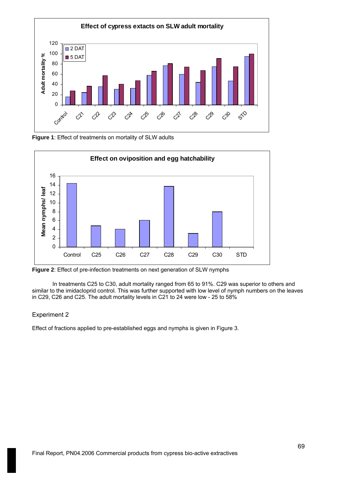

**Figure 1**: Effect of treatments on mortality of SLW adults



**Figure 2**: Effect of pre-infection treatments on next generation of SLW nymphs

In treatments C25 to C30, adult mortality ranged from 65 to 91%. C29 was superior to others and similar to the imidacloprid control. This was further supported with low level of nymph numbers on the leaves in C29, C26 and C25. The adult mortality levels in C21 to 24 were low - 25 to 58%

### Experiment 2

Effect of fractions applied to pre-established eggs and nymphs is given in Figure 3.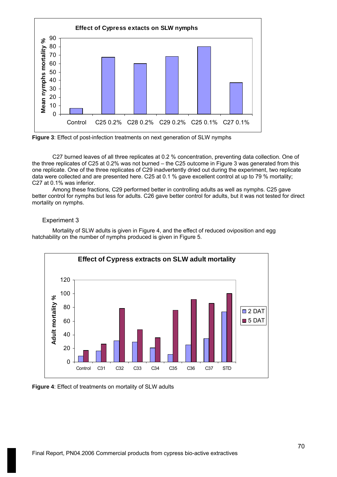



C27 burned leaves of all three replicates at 0.2 % concentration, preventing data collection. One of the three replicates of C25 at 0.2% was not burned – the C25 outcome in Figure 3 was generated from this one replicate. One of the three replicates of C29 inadvertently dried out during the experiment, two replicate data were collected and are presented here. C25 at 0.1 % gave excellent control at up to 79 % mortality; C27 at 0.1% was inferior.

Among these fractions, C29 performed better in controlling adults as well as nymphs. C25 gave better control for nymphs but less for adults. C26 gave better control for adults, but it was not tested for direct mortality on nymphs.

# Experiment 3

Mortality of SLW adults is given in Figure 4, and the effect of reduced oviposition and egg hatchability on the number of nymphs produced is given in Figure 5.



**Figure 4**: Effect of treatments on mortality of SLW adults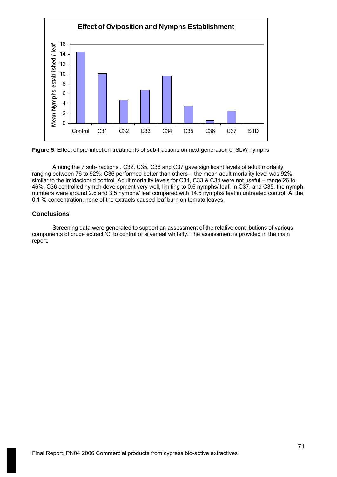



Among the 7 sub-fractions . C32, C35, C36 and C37 gave significant levels of adult mortality, ranging between 76 to 92%. C36 performed better than others – the mean adult mortality level was 92%, similar to the imidacloprid control. Adult mortality levels for C31, C33 & C34 were not useful – range 26 to 46%. C36 controlled nymph development very well, limiting to 0.6 nymphs/ leaf. In C37, and C35, the nymph numbers were around 2.6 and 3.5 nymphs/ leaf compared with 14.5 nymphs/ leaf in untreated control. At the 0.1 % concentration, none of the extracts caused leaf burn on tomato leaves.

### **Conclusions**

Screening data were generated to support an assessment of the relative contributions of various components of crude extract 'C' to control of silverleaf whitefly. The assessment is provided in the main report.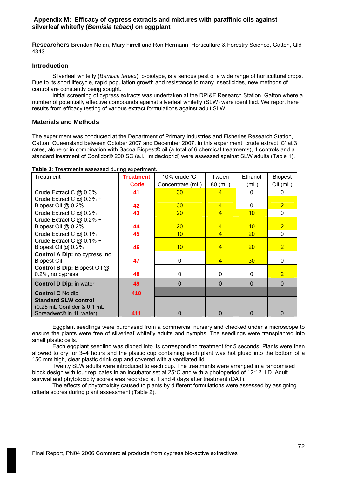**Researchers** Brendan Nolan, Mary Firrell and Ron Hermann, Horticulture & Forestry Science, Gatton, Qld 4343

# **Introduction**

Silverleaf whitefly (*Bemisia tabaci*), b-biotype, is a serious pest of a wide range of horticultural crops. Due to its short lifecycle, rapid population growth and resistance to many insecticides, new methods of control are constantly being sought.

Initial screening of cypress extracts was undertaken at the DPI&F Research Station, Gatton where a number of potentially effective compounds against silverleaf whitefly (SLW) were identified. We report here results from efficacy testing of various extract formulations against adult SLW

# **Materials and Methods**

The experiment was conducted at the Department of Primary Industries and Fisheries Research Station, Gatton, Queensland between October 2007 and December 2007. In this experiment, crude extract 'C' at 3 rates, alone or in combination with Sacoa Biopest® oil (a total of 6 chemical treatments), 4 controls and a standard treatment of Confidor® 200 SC (a.i.: imidacloprid) were assessed against SLW adults (Table 1).

| Treatment                           | <b>Treatment</b> | 10% crude 'C'    | Tween          | Ethanol         | <b>Biopest</b> |
|-------------------------------------|------------------|------------------|----------------|-----------------|----------------|
|                                     | <b>Code</b>      | Concentrate (mL) | 80 (mL)        | (mL)            | Oil (mL)       |
| Crude Extract C @ 0.3%              | 41               | 30 <sup>°</sup>  | $\overline{4}$ | $\Omega$        | 0              |
| Crude Extract C $@$ 0.3% +          |                  |                  |                |                 |                |
| Biopest Oil @ 0.2%                  | 42               | 30               | $\overline{4}$ | 0               | $\overline{2}$ |
| Crude Extract C @ 0.2%              | 43               | 20 <sup>°</sup>  | $\overline{4}$ | 10              | $\mathbf 0$    |
| Crude Extract C $@$ 0.2% +          |                  |                  |                |                 |                |
| Biopest Oil @ 0.2%                  | 44               | 20 <sub>2</sub>  | $\overline{4}$ | 10              | $\overline{2}$ |
| Crude Extract C @ 0.1%              | 45               | 10               | $\overline{4}$ | 20              | $\mathbf 0$    |
| Crude Extract C @ 0.1% +            |                  |                  |                |                 |                |
| Biopest Oil @ 0.2%                  | 46               | 10               | $\overline{4}$ | 20              | $\overline{2}$ |
| Control A Dip: no cypress, no       |                  |                  |                |                 |                |
| <b>Biopest Oil</b>                  | 47               | 0                | $\overline{4}$ | 30 <sub>o</sub> | 0              |
| Control B Dip: Biopest Oil @        |                  |                  |                |                 |                |
| 0.2%, no cypress                    | 48               | $\Omega$         | 0              | 0               | $\overline{2}$ |
| <b>Control D Dip: in water</b>      | 49               | $\Omega$         | $\Omega$       | $\Omega$        | $\Omega$       |
| <b>Control C No dip</b>             | 410              |                  |                |                 |                |
| <b>Standard SLW control</b>         |                  |                  |                |                 |                |
| (0.25 mL Confidor & 0.1 mL          |                  |                  |                |                 |                |
| Spreadwet <sup>®</sup> in 1L water) | 411              | n                | ŋ              | $\Omega$        | 0              |

**Table 1**: Treatments assessed during experiment.

Eggplant seedlings were purchased from a commercial nursery and checked under a microscope to ensure the plants were free of silverleaf whitefly adults and nymphs. The seedlings were transplanted into small plastic cells.

Each eggplant seedling was dipped into its corresponding treatment for 5 seconds. Plants were then allowed to dry for 3–4 hours and the plastic cup containing each plant was hot glued into the bottom of a 150 mm high, clear plastic drink cup and covered with a ventilated lid.

Twenty SLW adults were introduced to each cup. The treatments were arranged in a randomised block design with four replicates in an incubator set at 25°C and with a photoperiod of 12:12 LD. Adult survival and phytotoxicity scores was recorded at 1 and 4 days after treatment (DAT).

The effects of phytotoxicity caused to plants by different formulations were assessed by assigning criteria scores during plant assessment (Table 2).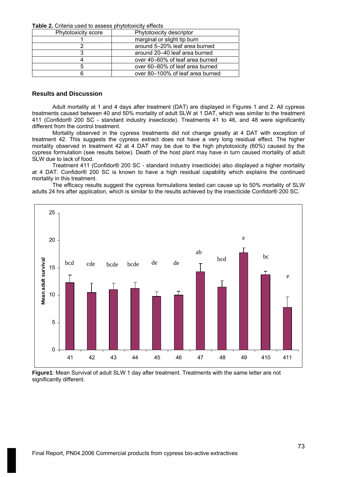**Table 2.** Criteria used to assess phytotoxicity effects

| Phytotoxicity score | Phytotoxicity descriptor         |  |  |  |
|---------------------|----------------------------------|--|--|--|
|                     | marginal or slight tip burn      |  |  |  |
|                     | around 5-20% leaf area burned    |  |  |  |
|                     | around 20–40 leaf area burned    |  |  |  |
|                     | over 40–60% of leaf area burned  |  |  |  |
|                     | over 60–80% of leaf area burned  |  |  |  |
|                     | over 80–100% of leaf area burned |  |  |  |

### **Results and Discussion**

Adult mortality at 1 and 4 days after treatment (DAT) are displayed in Figures 1 and 2. All cypress treatments caused between 40 and 50% mortality of adult SLW at 1 DAT, which was similar to the treatment 411 (Confidor® 200 SC - standard industry insecticide). Treatments 41 to 46, and 48 were significantly different from the control treatment.

Mortality observed in the cypress treatments did not change greatly at 4 DAT with exception of treatment 42. This suggests the cypress extract does not have a very long residual effect. The higher mortality observed in treatment 42 at 4 DAT may be due to the high phytotoxicity (60%) caused by the cypress formulation (see results below). Death of the host plant may have in turn caused mortality of adult SLW due to lack of food.

Treatment 411 (Confidor® 200 SC - standard industry insecticide) also displayed a higher mortality at 4 DAT. Confidor® 200 SC is known to have a high residual capability which explains the continued mortality in this treatment.

The efficacy results suggest the cypress formulations tested can cause up to 50% mortality of SLW adults 24 hrs after application, which is similar to the results achieved by the insecticide Confidor® 200 SC.



**Figure1**: Mean Survival of adult SLW 1 day after treatment. Treatments with the same letter are not significantly different.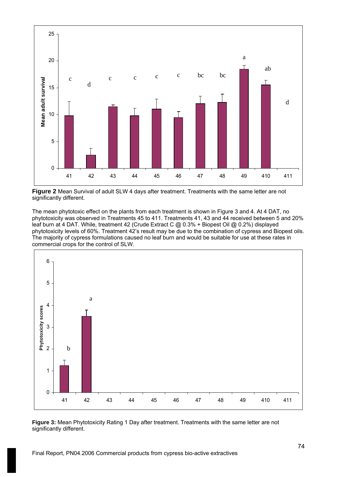

**Figure 2** Mean Survival of adult SLW 4 days after treatment. Treatments with the same letter are not significantly different.

The mean phytotoxic effect on the plants from each treatment is shown in Figure 3 and 4. At 4 DAT, no phytotoxicity was observed in Treatments 45 to 411. Treatments 41, 43 and 44 received between 5 and 20% leaf burn at 4 DAT. While, treatment 42 (Crude Extract C @ 0.3% + Biopest Oil @ 0.2%) displayed phytotoxicity levels of 60%. Treatment 42's result may be due to the combination of cypress and Biopest oils. The majority of cypress formulations caused no leaf burn and would be suitable for use at these rates in commercial crops for the control of SLW.



**Figure 3:** Mean Phytotoxicity Rating 1 Day after treatment. Treatments with the same letter are not significantly different.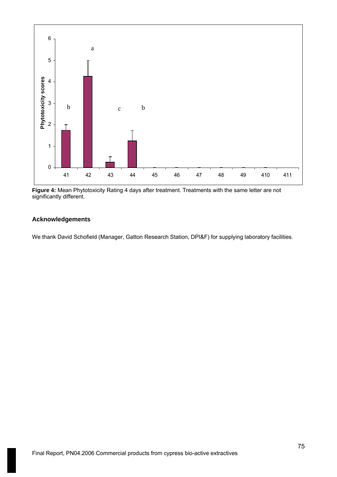

**Figure 4:** Mean Phytotoxicity Rating 4 days after treatment. Treatments with the same letter are not significantly different.

## **Acknowledgements**

We thank David Schofield (Manager, Gatton Research Station, DPI&F) for supplying laboratory facilities.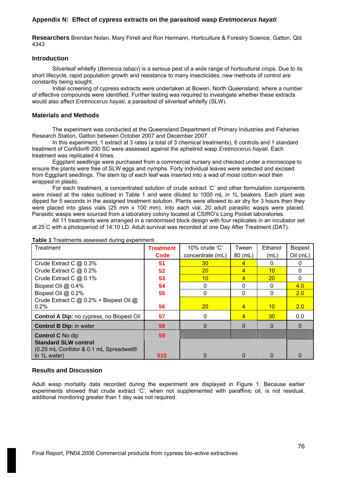# **Appendix N: Effect of cypress extracts on the parasitoid wasp** *Eretmocerus hayati*

**Researchers** Brendan Nolan, Mary Firrell and Ron Hermann, Horticulture & Forestry Science, Gatton, Qld 4343

### **Introduction**

Silverleaf whitefly (*Bemesia tabaci*) is a serious pest of a wide range of horticultural crops. Due to its short lifecycle, rapid population growth and resistance to many insecticides, new methods of control are constantly being sought.

Initial screening of cypress extracts were undertaken at Bowen, North Queensland, where a number of effective compounds were identified. Further testing was required to investigate whether these extracts would also affect *Eretmocerus hayati*, a parasitoid of silverleaf whitefly (SLW).

# **Materials and Methods**

The experiment was conducted at the Queensland Department of Primary Industries and Fisheries Research Station, Gatton between October 2007 and December 2007.

In this experiment, 1 extract at 3 rates (a total of 3 chemical treatments), 6 controls and 1 standard treatment of Confidor® 200 SC were assessed against the aphelinid wasp *Eretmocerus hayati*. Each treatment was replicated 4 times.

Eggplant seedlings were purchased from a commercial nursery and checked under a microscope to ensure the plants were free of SLW eggs and nymphs. Forty individual leaves were selected and excised from Eggplant seedlings. The stem tip of each leaf was inserted into a wad of moist cotton wool then wrapped in plastic.

For each treatment, a concentrated solution of crude extract 'C' and other formulation components were mixed at the rates outlined in Table 1 and were diluted to 1000 mL in 1L beakers. Each plant was dipped for 5 seconds in the assigned treatment solution. Plants were allowed to air dry for 3 hours then they were placed into glass vials (25 mm x 100 mm). Into each vial, 20 adult parasitic wasps were placed. Parasitic wasps were sourced from a laboratory colony located at CSIRO's Long Pocket laboratories.

All 11 treatments were arranged in a randomised block design with four replicates in an incubator set at 25° C with a photoperiod of 14:10 LD. Adult survival was recorded at one Day After Treatment (DAT).

| Treatment                                    | <b>Treatment</b> | 10% crude 'C'    | Tween     | Ethanol         | <b>Biopest</b> |
|----------------------------------------------|------------------|------------------|-----------|-----------------|----------------|
|                                              | Code             | concentrate (mL) | $80$ (mL) | (mL)            | Oil (mL)       |
| Crude Extract C @ 0.3%                       | 51               | 30 <sup>°</sup>  | 4         | 0               | 0              |
| Crude Extract C @ 0.2%                       | 52               | 20               | 4         | 10              | 0              |
| Crude Extract C @ 0.1%                       | 53               | 10               | 4         | 20 <sup>°</sup> |                |
| Biopest Oil @ 0.4%                           | 54               | 0                | 0         | 0               | 4.0            |
| Biopest Oil @ 0.2%                           | 55               | $\Omega$         | $\Omega$  | 0               | 2.0            |
| Crude Extract C @ 0.2% + Biopest Oil @       |                  |                  |           |                 |                |
| 0.2%                                         | 56               | 20 <sup>°</sup>  | 4         | 10 <sup>°</sup> | 2.0            |
| Control A Dip: no cypress, no Biopest Oil    | 57               | $\Omega$         | 4         | 30 <sup>°</sup> | 0.0            |
| <b>Control B Dip: in water</b>               | 58               | $\Omega$         | 0         | 0               | $\Omega$       |
| <b>Control C No dip</b>                      | 59               |                  |           |                 |                |
| <b>Standard SLW control</b>                  |                  |                  |           |                 |                |
| $\mid$ (0.25 mL Confidor & 0.1 mL Spreadwet® |                  |                  |           |                 |                |
| in 1L water)                                 | 510              |                  | O         | O               |                |

#### **Table 1** Treatments assessed during experiment

## **Results and Discussion**

Adult wasp mortality data recorded during the experiment are displayed in Figure 1. Because earlier experiments showed that crude extract 'C', when not supplemented with paraffinic oil, is not residual, additional monitoring greater than 1 day was not required.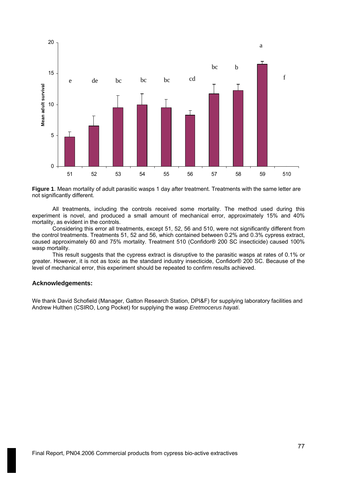

**Figure 1**. Mean mortality of adult parasitic wasps 1 day after treatment. Treatments with the same letter are not significantly different.

All treatments, including the controls received some mortality. The method used during this experiment is novel, and produced a small amount of mechanical error, approximately 15% and 40% mortality, as evident in the controls.

Considering this error all treatments, except 51, 52, 56 and 510, were not significantly different from the control treatments. Treatments 51, 52 and 56, which contained between 0.2% and 0.3% cypress extract, caused approximately 60 and 75% mortality. Treatment 510 (Confidor® 200 SC insecticide) caused 100% wasp mortality.

This result suggests that the cypress extract is disruptive to the parasitic wasps at rates of 0.1% or greater. However, it is not as toxic as the standard industry insecticide, Confidor® 200 SC. Because of the level of mechanical error, this experiment should be repeated to confirm results achieved.

## **Acknowledgements:**

We thank David Schofield (Manager, Gatton Research Station, DPI&F) for supplying laboratory facilities and Andrew Hulthen (CSIRO, Long Pocket) for supplying the wasp *Eretmocerus hayati*.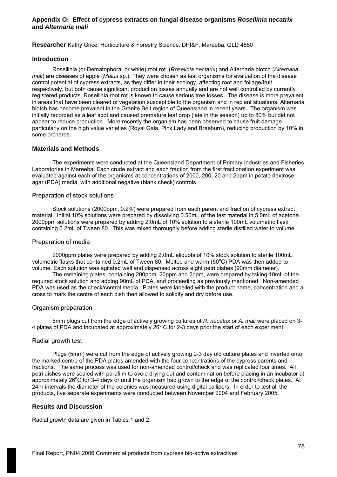### **Appendix O: Effect of cypress extracts on fungal disease organisms** *Rosellinia necatrix* **and** *Alternaria mali*

**Researcher** Kathy Grice, Horticulture & Forestry Science, DPI&F, Mareeba, QLD 4880

### **Introduction**

Rosellinia (or Dematophora, or white) root rot (*Roselinia nectarix*) and Alternaria blotch (*Alternaria mali*) are diseases of apple (*Malus* sp.). They were chosen as test organisms for evaluation of the disease control potential of cypress extracts, as they differ in their ecology, affecting root and foliage/fruit respectively, but both cause significant production losses annually and are not well controlled by currently registered products. Rosellinia root rot is known to cause serious tree losses. The disease is more prevalent in areas that have been cleared of vegetation susceptible to the organism and in replant situations. Alternaria blotch has become prevalent in the Granite Belt region of Queensland in recent years. The organism was initially recorded as a leaf spot and caused premature leaf drop (late in the season) up to 80% but did not appear to reduce production. More recently the organism has been observed to cause fruit damage particularly on the high value varieties (Royal Gala, Pink Lady and Braeburn), reducing production by 10% in some orchards.

## **Materials and Methods**

The experiments were conducted at the Queensland Department of Primary Industries and Fisheries Laboratories in Mareeba. Each crude extract and each fraction from the first fractionation experiment was evaluated against each of the organisms at concentrations of 2000, 200, 20 and 2ppm in potato dextrose agar (PDA) media, with additional negative (blank check) controls.

## Preparation of stock solutions

Stock solutions (2000ppm, 0.2%) were prepared from each parent and fraction of cypress extract material. Initial 10% solutions were prepared by dissolving 0.50mL of the test material in 5.0mL of acetone. 2000ppm solutions were prepared by adding 2.0mL of 10% solution to a sterile 100mL volumetric flask containing 0.2mL of Tween 80. This was mixed thoroughly before adding sterile distilled water to volume.

#### Preparation of media

2000ppm plates were prepared by adding 2.0mL aliquots of 10% stock solution to sterile 100mL volumetric flasks that contained 0.2mL of Tween 80. Melted and warm (50 $^{\circ}$ C) PDA was then added to volume. Each solution was agitated well and dispensed across eight petri dishes (90mm diameter).

The remaining plates, containing 200ppm, 20ppm and 2ppm, were prepared by taking 10mL of the required stock solution and adding 90mL of PDA, and proceeding as previously mentioned. Non-amended PDA was used as the check/control media. Plates were labelled with the product name, concentration and a cross to mark the centre of each dish then allowed to solidify and dry before use.

## Organism preparation

5mm plugs cut from the edge of actively growing cultures of *R. necatrix* or *A. mali* were placed on 3- 4 plates of PDA and incubated at approximately  $26^{\circ}$  C for 2-3 days prior the start of each experiment.

## Radial growth test

Plugs (5mm) were cut from the edge of actively growing 2-3 day old culture plates and inverted onto the marked centre of the PDA plates amended with the four concentrations of the cypress parents and fractions. The same process was used for non-amended control/check and was replicated four times. All petri dishes were sealed with parafilm to avoid drying out and contamination before placing in an incubator at approximately 26°C for 3-4 days or until the organism had grown to the edge of the control/check plates. At 24hr intervals the diameter of the colonies was measured using digital callipers. In order to test all the products, five separate experiments were conducted between November 2004 and February 2005.

## **Results and Discussion**

Radial growth data are given in Tables 1 and 2.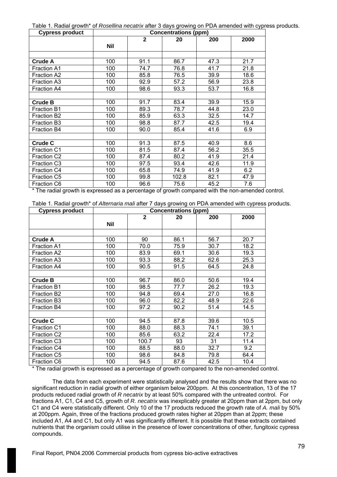Table 1. Radial growth\* of *Rosellina necatrix* after 3 days growing on PDA amended with cypress products.

| <b>Cypress product</b> | <b>Concentrations (ppm)</b> |              |       |      |      |
|------------------------|-----------------------------|--------------|-------|------|------|
|                        |                             | $\mathbf{2}$ | 20    | 200  | 2000 |
|                        | <b>Nil</b>                  |              |       |      |      |
|                        |                             |              |       |      |      |
| Crude A                | 100                         | 91.1         | 86.7  | 47.3 | 21.7 |
| <b>Fraction A1</b>     | 100                         | 74.7         | 76.8  | 41.7 | 21.8 |
| Fraction A2            | 100                         | 85.8         | 76.5  | 39.9 | 18.6 |
| <b>Fraction A3</b>     | 100                         | 92.9         | 57.2  | 56.9 | 23.8 |
| <b>Fraction A4</b>     | 100                         | 98.6         | 93.3  | 53.7 | 16.8 |
|                        |                             |              |       |      |      |
| <b>Crude B</b>         | 100                         | 91.7         | 83.4  | 39.9 | 15.9 |
| <b>Fraction B1</b>     | 100                         | 89.3         | 78.7  | 44.8 | 23.0 |
| Fraction B2            | 100                         | 85.9         | 63.3  | 32.5 | 14.7 |
| Fraction B3            | 100                         | 98.8         | 87.7  | 42.5 | 19.4 |
| Fraction B4            | 100                         | 90.0         | 85.4  | 41.6 | 6.9  |
|                        |                             |              |       |      |      |
| <b>Crude C</b>         | 100                         | 91.3         | 87.5  | 40.9 | 8.6  |
| <b>Fraction C1</b>     | 100                         | 81.5         | 87.4  | 56.2 | 35.5 |
| Fraction C2            | 100                         | 87.4         | 80.2  | 41.9 | 21.4 |
| Fraction C3            | 100                         | 97.5         | 93.4  | 42.6 | 11.9 |
| Fraction C4            | 100                         | 65.8         | 74.9  | 41.9 | 6.2  |
| Fraction C5            | 100                         | 99.8         | 102.8 | 82.1 | 47.9 |
| <b>Fraction C6</b>     | 100                         | 96.6         | 75.6  | 45.2 | 7.6  |

\* The radial growth is expressed as a percentage of growth compared with the non-amended control.

Table 1. Radial growth\* of *Alternaria mali* after 7 days growing on PDA amended with cypress products.

| <b>Cypress product</b> | <b>Concentrations (ppm)</b> |                |      |      |      |
|------------------------|-----------------------------|----------------|------|------|------|
|                        |                             | $\overline{2}$ | 20   | 200  | 2000 |
|                        | <b>Nil</b>                  |                |      |      |      |
|                        |                             |                |      |      |      |
| <b>Crude A</b>         | 100                         | 90             | 86.1 | 56.7 | 20.7 |
| <b>Fraction A1</b>     | 100                         | 70.0           | 75.9 | 30.7 | 18.2 |
| <b>Fraction A2</b>     | 100                         | 83.9           | 69.1 | 30.6 | 19.3 |
| <b>Fraction A3</b>     | 100                         | 93.3           | 88.2 | 62.6 | 25.3 |
| <b>Fraction A4</b>     | 100                         | 90.5           | 91.5 | 64.5 | 24.8 |
|                        |                             |                |      |      |      |
| <b>Crude B</b>         | 100                         | 96.7           | 86.0 | 50.6 | 19.4 |
| <b>Fraction B1</b>     | 100                         | 98.5           | 77.7 | 26.2 | 19.3 |
| <b>Fraction B2</b>     | 100                         | 94.8           | 69.4 | 27.0 | 16.8 |
| <b>Fraction B3</b>     | 100                         | 96.0           | 82.2 | 48.9 | 22.6 |
| <b>Fraction B4</b>     | 100                         | 97.2           | 90.2 | 51.4 | 14.5 |
|                        |                             |                |      |      |      |
| <b>Crude C</b>         | 100                         | 94.5           | 87.8 | 39.6 | 10.5 |
| <b>Fraction C1</b>     | 100                         | 88.0           | 88.3 | 74.1 | 39.1 |
| Fraction C2            | 100                         | 85.6           | 63.2 | 22.4 | 17.2 |
| Fraction C3            | 100                         | 100.7          | 93   | 31   | 11.4 |
| <b>Fraction C4</b>     | 100                         | 88.5           | 88.0 | 32.7 | 9.2  |
| <b>Fraction C5</b>     | 100                         | 98.6           | 84.8 | 79.8 | 64.4 |
| <b>Fraction C6</b>     | 100                         | 94.5           | 87.6 | 42.5 | 10.4 |

\* The radial growth is expressed as a percentage of growth compared to the non-amended control.

The data from each experiment were statistically analysed and the results show that there was no significant reduction in radial growth of either organism below 200ppm. At this concentration, 13 of the 17 products reduced radial growth of *R necatrix* by at least 50% compared with the untreated control. For fractions A1, C1, C4 and C5, growth of *R. necatrix* was inexplicably greater at 20ppm than at 2ppm, but only C1 and C4 were statistically different. Only 10 of the 17 products reduced the growth rate of *A. mali* by 50% at 200ppm. Again, three of the fractions produced growth rates higher at 20ppm than at 2ppm; these included A1, A4 and C1, but only A1 was significantly different. It is possible that these extracts contained nutrients that the organism could utilise in the presence of lower concentrations of other, fungitoxic cypress compounds.